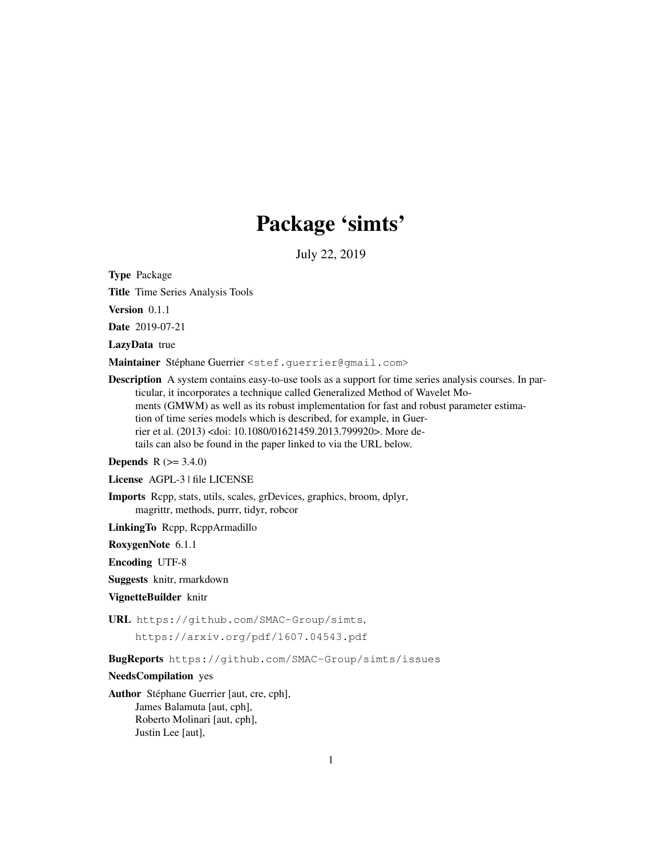# Package 'simts'

July 22, 2019

Type Package

Title Time Series Analysis Tools

Version 0.1.1

Date 2019-07-21

LazyData true

Maintainer Stéphane Guerrier <stef.guerrier@gmail.com>

Description A system contains easy-to-use tools as a support for time series analysis courses. In particular, it incorporates a technique called Generalized Method of Wavelet Moments (GMWM) as well as its robust implementation for fast and robust parameter estimation of time series models which is described, for example, in Guerrier et al. (2013) <doi: 10.1080/01621459.2013.799920>. More details can also be found in the paper linked to via the URL below.

**Depends** R  $(>= 3.4.0)$ 

License AGPL-3 | file LICENSE

Imports Rcpp, stats, utils, scales, grDevices, graphics, broom, dplyr, magrittr, methods, purrr, tidyr, robcor

LinkingTo Rcpp, RcppArmadillo

RoxygenNote 6.1.1

Encoding UTF-8

Suggests knitr, rmarkdown

VignetteBuilder knitr

URL https://github.com/SMAC-Group/simts,

https://arxiv.org/pdf/1607.04543.pdf

BugReports https://github.com/SMAC-Group/simts/issues

NeedsCompilation yes

Author Stéphane Guerrier [aut, cre, cph], James Balamuta [aut, cph], Roberto Molinari [aut, cph], Justin Lee [aut],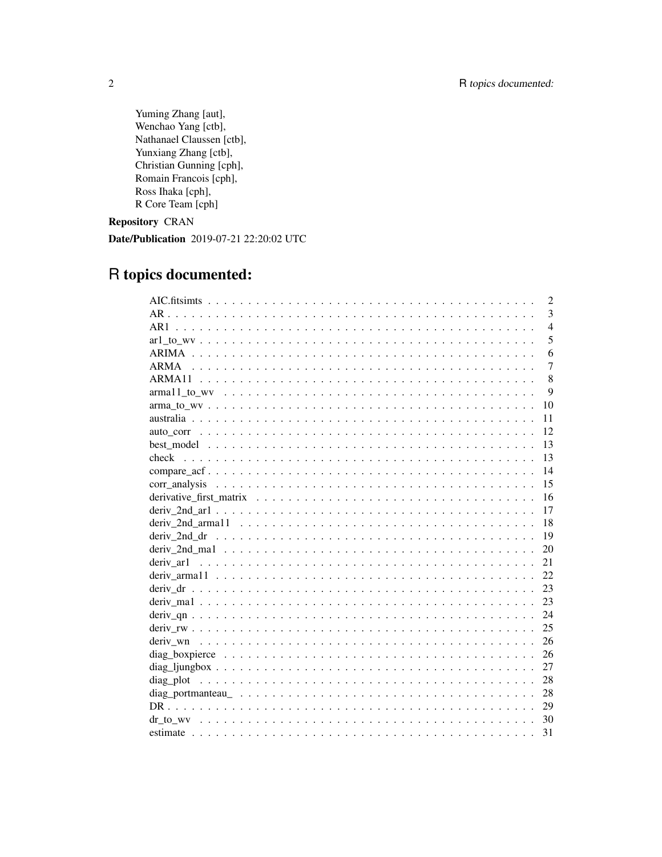Yuming Zhang [aut], Wenchao Yang [ctb], Nathanael Claussen [ctb], Yunxiang Zhang [ctb], Christian Gunning [cph], Romain Francois [cph], Ross Ihaka [cph], R Core Team [cph]

Repository CRAN

Date/Publication 2019-07-21 22:20:02 UTC

# R topics documented:

| 2               |
|-----------------|
| 3<br>$AR$ .     |
| $\overline{4}$  |
| 5               |
| 6               |
| $\overline{7}$  |
| 8               |
| 9               |
| 10              |
| 11              |
| 12              |
| 13              |
| 13              |
| 14              |
| 15              |
| 16              |
| 17              |
| 18              |
| 19              |
| 20              |
| deriv ar1<br>21 |
| 22.             |
| 23              |
| 23              |
| 24              |
| 25              |
| 26              |
| -26             |
| 27              |
|                 |
|                 |
| 29              |
| 30              |
| 31              |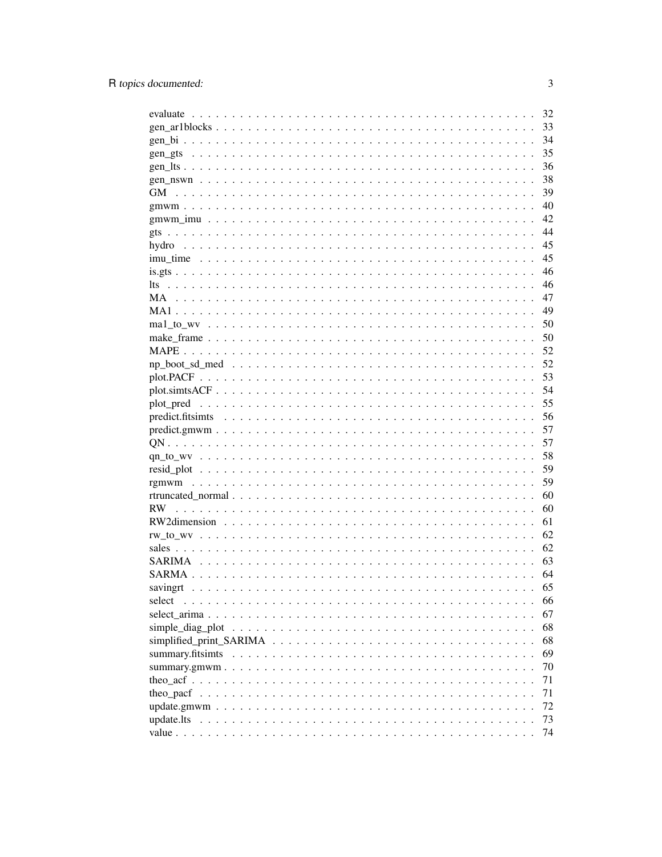|                                                                                                                                                                                                                                           | 32 |
|-------------------------------------------------------------------------------------------------------------------------------------------------------------------------------------------------------------------------------------------|----|
|                                                                                                                                                                                                                                           | 33 |
|                                                                                                                                                                                                                                           | 34 |
|                                                                                                                                                                                                                                           | 35 |
|                                                                                                                                                                                                                                           | 36 |
|                                                                                                                                                                                                                                           | 38 |
| GМ                                                                                                                                                                                                                                        | 39 |
|                                                                                                                                                                                                                                           | 40 |
|                                                                                                                                                                                                                                           | 42 |
|                                                                                                                                                                                                                                           | 44 |
|                                                                                                                                                                                                                                           | 45 |
|                                                                                                                                                                                                                                           | 45 |
|                                                                                                                                                                                                                                           | 46 |
|                                                                                                                                                                                                                                           | 46 |
|                                                                                                                                                                                                                                           | 47 |
|                                                                                                                                                                                                                                           | 49 |
|                                                                                                                                                                                                                                           | 50 |
|                                                                                                                                                                                                                                           | 50 |
|                                                                                                                                                                                                                                           | 52 |
|                                                                                                                                                                                                                                           | 52 |
|                                                                                                                                                                                                                                           | 53 |
| plot.simtsACF                                                                                                                                                                                                                             | 54 |
|                                                                                                                                                                                                                                           | 55 |
|                                                                                                                                                                                                                                           | 56 |
|                                                                                                                                                                                                                                           | 57 |
|                                                                                                                                                                                                                                           | 57 |
|                                                                                                                                                                                                                                           | 58 |
|                                                                                                                                                                                                                                           | 59 |
|                                                                                                                                                                                                                                           | 59 |
|                                                                                                                                                                                                                                           | 60 |
|                                                                                                                                                                                                                                           | 60 |
|                                                                                                                                                                                                                                           | 61 |
|                                                                                                                                                                                                                                           | 62 |
|                                                                                                                                                                                                                                           | 62 |
|                                                                                                                                                                                                                                           | 63 |
|                                                                                                                                                                                                                                           | 64 |
| savingrt<br>a constitution of the constitution of the constitution of the constitution of the constitution of the constitution of the constitution of the constitution of the constitution of the constitution of the constitution of the | 65 |
| select                                                                                                                                                                                                                                    | 66 |
|                                                                                                                                                                                                                                           | 67 |
|                                                                                                                                                                                                                                           | 68 |
|                                                                                                                                                                                                                                           | 68 |
|                                                                                                                                                                                                                                           | 69 |
|                                                                                                                                                                                                                                           | 70 |
|                                                                                                                                                                                                                                           | 71 |
|                                                                                                                                                                                                                                           | 71 |
|                                                                                                                                                                                                                                           | 72 |
| update.lts                                                                                                                                                                                                                                | 73 |
|                                                                                                                                                                                                                                           | 74 |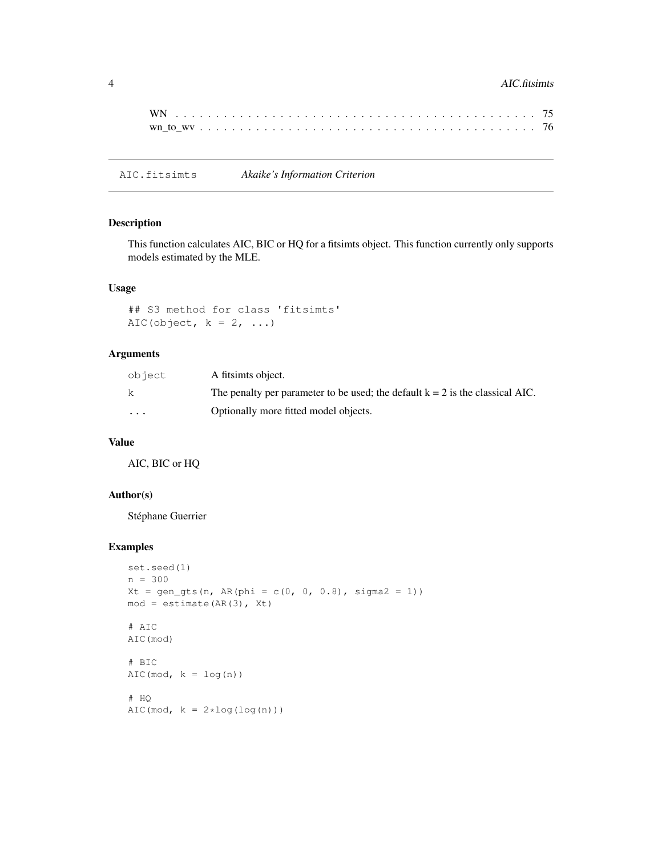### 4 AIC.fitsimts

AIC.fitsimts *Akaike's Information Criterion*

#### Description

This function calculates AIC, BIC or HQ for a fitsimts object. This function currently only supports models estimated by the MLE.

### Usage

```
## S3 method for class 'fitsimts'
AIC(object, k = 2, ...)
```
### Arguments

| object    | A fitsimts object.                                                              |
|-----------|---------------------------------------------------------------------------------|
| k.        | The penalty per parameter to be used; the default $k = 2$ is the classical AIC. |
| $\ddotsc$ | Optionally more fitted model objects.                                           |

# Value

AIC, BIC or HQ

# Author(s)

Stéphane Guerrier

```
set.seed(1)
n = 300
Xt = gen\_qts(n, AR(phi = c(0, 0, 0.8), sigma2 = 1))mod = estimate(AR(3), Xt)# AIC
AIC(mod)
# BIC
AIC(mod, k = log(n))# HQ
AIC(mod, k = 2 * log(log(n)))
```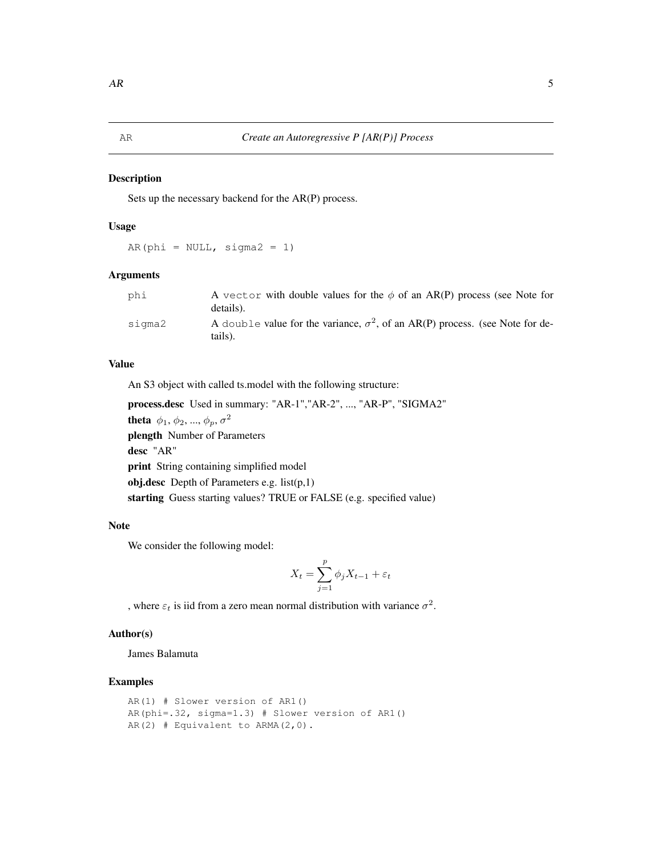Sets up the necessary backend for the AR(P) process.

# Usage

 $AR(phi = NULL, sigma2 = 1)$ 

### Arguments

| phi    | A vector with double values for the $\phi$ of an AR(P) process (see Note for<br>details).       |
|--------|-------------------------------------------------------------------------------------------------|
| siama2 | A double value for the variance, $\sigma^2$ , of an AR(P) process. (see Note for de-<br>tails). |

### Value

An S3 object with called ts.model with the following structure:

process.desc Used in summary: "AR-1","AR-2", ..., "AR-P", "SIGMA2" **theta**  $\phi_1, \phi_2, ..., \phi_p, \sigma^2$ plength Number of Parameters desc "AR" print String containing simplified model obj.desc Depth of Parameters e.g. list(p,1) starting Guess starting values? TRUE or FALSE (e.g. specified value)

#### Note

We consider the following model:

$$
X_t = \sum_{j=1}^p \phi_j X_{t-1} + \varepsilon_t
$$

, where  $\varepsilon_t$  is iid from a zero mean normal distribution with variance  $\sigma^2$ .

#### Author(s)

James Balamuta

```
AR(1) # Slower version of AR1()
AR(phi=.32, sigma=1.3) # Slower version of AR1()
AR(2) # Equivalent to ARMA(2,0).
```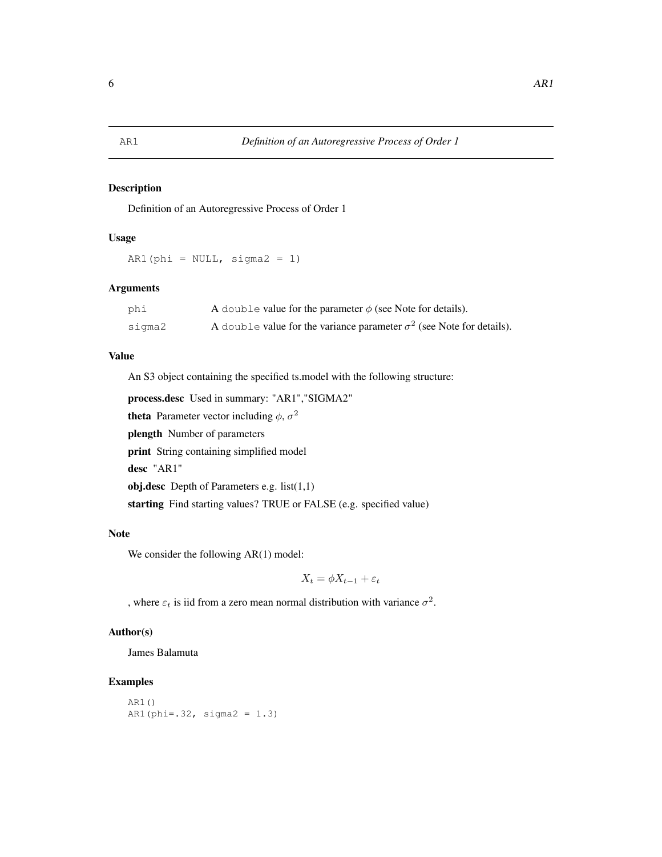Definition of an Autoregressive Process of Order 1

# Usage

AR1(phi =  $NULL, sigma2 = 1)$ 

### Arguments

| phi    | A double value for the parameter $\phi$ (see Note for details).              |
|--------|------------------------------------------------------------------------------|
| sigma2 | A double value for the variance parameter $\sigma^2$ (see Note for details). |

### Value

An S3 object containing the specified ts.model with the following structure:

```
process.desc Used in summary: "AR1","SIGMA2"
```
**theta** Parameter vector including  $\phi$ ,  $\sigma^2$ 

plength Number of parameters

print String containing simplified model

desc "AR1"

obj.desc Depth of Parameters e.g. list(1,1)

starting Find starting values? TRUE or FALSE (e.g. specified value)

#### Note

We consider the following AR(1) model:

 $X_t = \phi X_{t-1} + \varepsilon_t$ 

, where  $\varepsilon_t$  is iid from a zero mean normal distribution with variance  $\sigma^2$ .

# Author(s)

James Balamuta

```
AR1()
AR1(phi=.32, sigma2 = 1.3)
```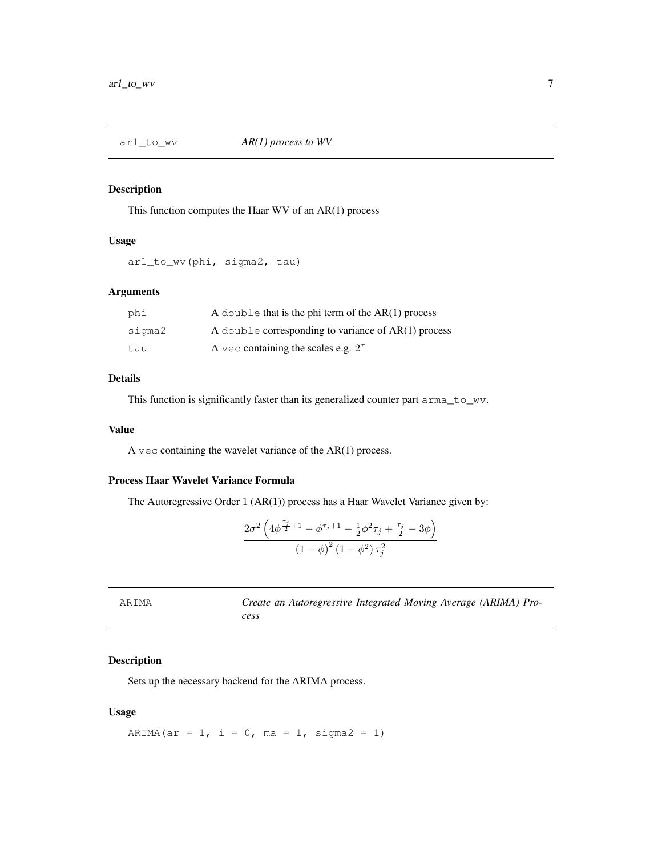This function computes the Haar WV of an AR(1) process

### Usage

```
ar1_to_wv(phi, sigma2, tau)
```
### Arguments

| phi    | A double that is the phi term of the $AR(1)$ process  |
|--------|-------------------------------------------------------|
| sigma2 | A double corresponding to variance of $AR(1)$ process |
| tau    | A vec containing the scales e.g. $2^{\tau}$           |

### Details

This function is significantly faster than its generalized counter part arma<sub>towv</sub>.

#### Value

A vec containing the wavelet variance of the  $AR(1)$  process.

### Process Haar Wavelet Variance Formula

The Autoregressive Order 1 (AR(1)) process has a Haar Wavelet Variance given by:

$$
\frac{2\sigma^2 \left(4\phi^{\frac{\tau_j}{2}+1}-\phi^{\tau_j+1}-\frac{1}{2}\phi^2 \tau_j+\frac{\tau_j}{2}-3\phi\right)}{\left(1-\phi\right)^2 \left(1-\phi^2\right) \tau_j^2}
$$

ARIMA *Create an Autoregressive Integrated Moving Average (ARIMA) Process*

### Description

Sets up the necessary backend for the ARIMA process.

#### Usage

ARIMA(ar = 1, i = 0, ma = 1, sigma2 = 1)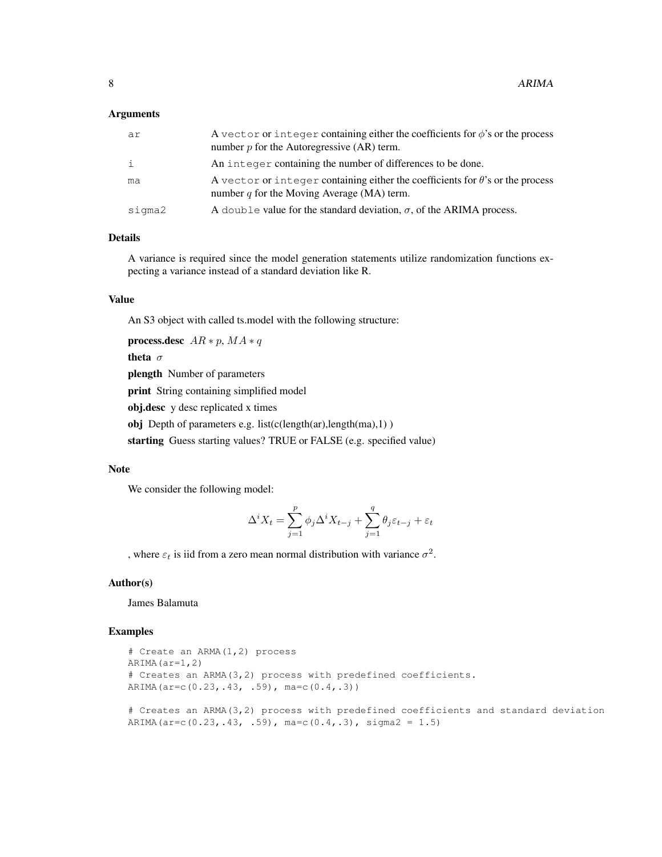#### Arguments

| ar           | A vector or integer containing either the coefficients for $\phi$ 's or the process<br>number $p$ for the Autoregressive (AR) term.   |
|--------------|---------------------------------------------------------------------------------------------------------------------------------------|
| $\mathbf{i}$ | An integer containing the number of differences to be done.                                                                           |
| ma           | A vector or integer containing either the coefficients for $\theta$ 's or the process<br>number $q$ for the Moving Average (MA) term. |
| sigma2       | A double value for the standard deviation, $\sigma$ , of the ARIMA process.                                                           |

# Details

A variance is required since the model generation statements utilize randomization functions expecting a variance instead of a standard deviation like R.

#### Value

An S3 object with called ts.model with the following structure:

```
process.desc AR * p, MA * q
```
theta σ

plength Number of parameters

print String containing simplified model

obj.desc y desc replicated x times

obj Depth of parameters e.g. list(c(length(ar),length(ma),1))

starting Guess starting values? TRUE or FALSE (e.g. specified value)

#### **Note**

We consider the following model:

$$
\Delta^i X_t = \sum_{j=1}^p \phi_j \Delta^i X_{t-j} + \sum_{j=1}^q \theta_j \varepsilon_{t-j} + \varepsilon_t
$$

, where  $\varepsilon_t$  is iid from a zero mean normal distribution with variance  $\sigma^2$ .

### Author(s)

James Balamuta

```
# Create an ARMA(1,2) process
ARIMA(ar=1,2)
# Creates an ARMA(3,2) process with predefined coefficients.
ARIMA(ar=c(0.23,.43, .59), ma=c(0.4,.3))
```

```
# Creates an ARMA(3,2) process with predefined coefficients and standard deviation
ARIMA(ar=c(0.23,.43, .59), ma=c(0.4,.3), sigma2 = 1.5)
```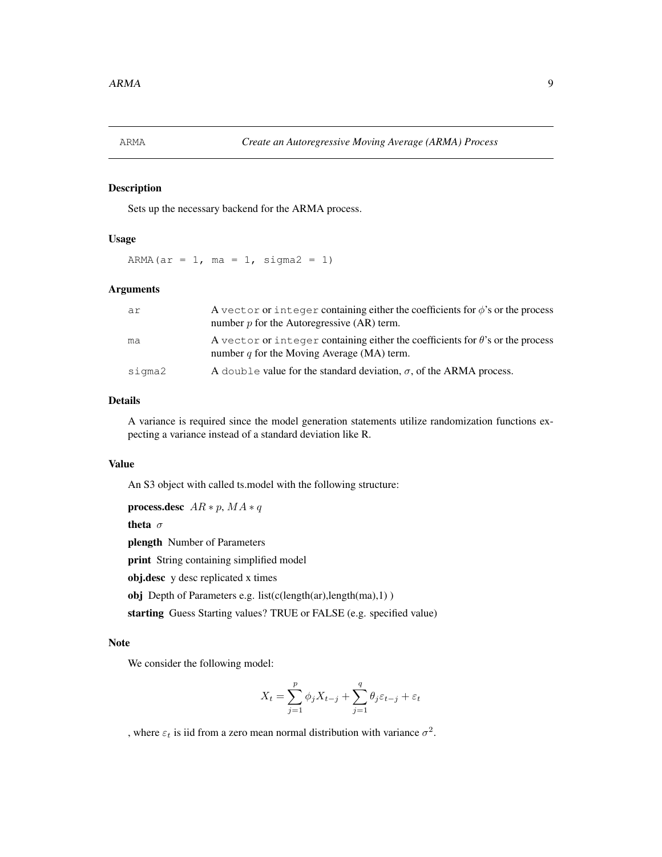Sets up the necessary backend for the ARMA process.

### Usage

ARMA(ar = 1, ma = 1, sigma2 = 1)

#### Arguments

| ar     | A vector or integer containing either the coefficients for $\phi$ 's or the process<br>number $p$ for the Autoregressive $(AR)$ term. |
|--------|---------------------------------------------------------------------------------------------------------------------------------------|
| ma     | A vector or integer containing either the coefficients for $\theta$ 's or the process<br>number q for the Moving Average (MA) term.   |
| siqma2 | A double value for the standard deviation, $\sigma$ , of the ARMA process.                                                            |

#### Details

A variance is required since the model generation statements utilize randomization functions expecting a variance instead of a standard deviation like R.

### Value

An S3 object with called ts.model with the following structure:

process.desc  $AR * p$ ,  $MA * q$ 

theta σ

plength Number of Parameters

print String containing simplified model

obj.desc y desc replicated x times

obj Depth of Parameters e.g. list(c(length(ar),length(ma),1) )

starting Guess Starting values? TRUE or FALSE (e.g. specified value)

#### Note

We consider the following model:

$$
X_t = \sum_{j=1}^p \phi_j X_{t-j} + \sum_{j=1}^q \theta_j \varepsilon_{t-j} + \varepsilon_t
$$

, where  $\varepsilon_t$  is iid from a zero mean normal distribution with variance  $\sigma^2$ .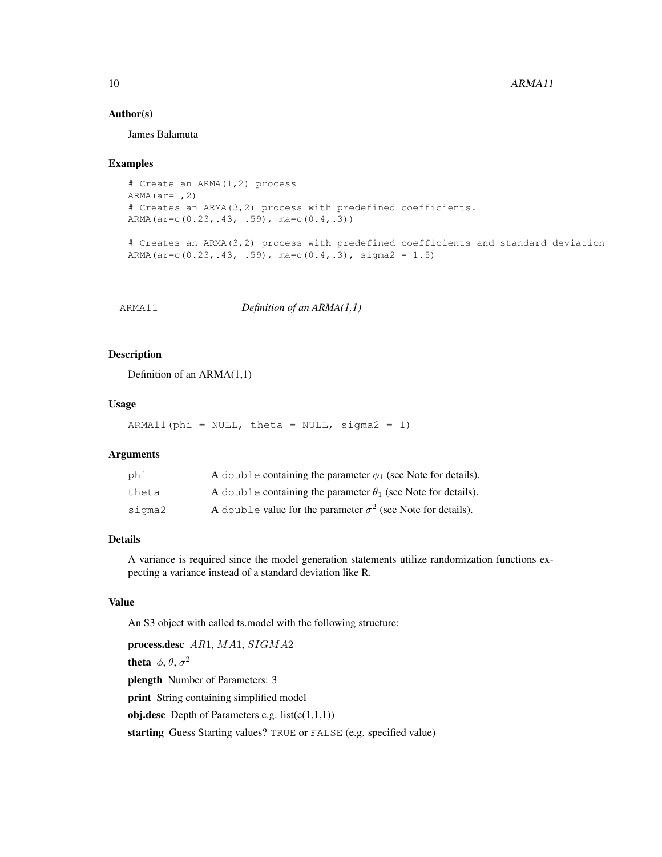#### Author(s)

James Balamuta

### Examples

```
# Create an ARMA(1,2) process
ARMA(ar=1,2)# Creates an ARMA(3,2) process with predefined coefficients.
ARMA(ar=c(0.23,.43, .59), ma=c(0.4,.3))
```

```
# Creates an ARMA(3,2) process with predefined coefficients and standard deviation
ARMA(ar=c(0.23,.43, .59), ma=c(0.4,.3), sigma2 = 1.5)
```
ARMA11 *Definition of an ARMA(1,1)*

#### Description

Definition of an ARMA(1,1)

### Usage

 $ARMA11$ (phi = NULL, theta = NULL, sigma2 = 1)

#### **Arguments**

| phi    | A double containing the parameter $\phi_1$ (see Note for details).   |
|--------|----------------------------------------------------------------------|
| theta  | A double containing the parameter $\theta_1$ (see Note for details). |
| sigma2 | A double value for the parameter $\sigma^2$ (see Note for details).  |

#### Details

A variance is required since the model generation statements utilize randomization functions expecting a variance instead of a standard deviation like R.

# Value

An S3 object with called ts.model with the following structure:

```
process.desc AR1, MA1, SIGMA2
theta \phi, \theta, \sigma^2plength Number of Parameters: 3
print String containing simplified model
obj.desc Depth of Parameters e.g. list(c(1,1,1))starting Guess Starting values? TRUE or FALSE (e.g. specified value)
```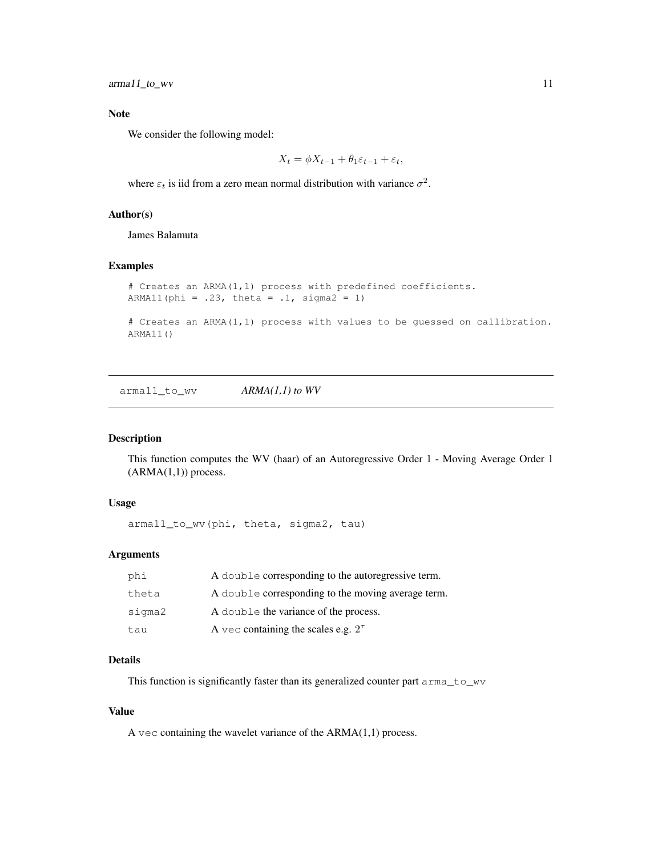arma11\_to\_wv 11

#### Note

We consider the following model:

$$
X_t = \phi X_{t-1} + \theta_1 \varepsilon_{t-1} + \varepsilon_t,
$$

where  $\varepsilon_t$  is iid from a zero mean normal distribution with variance  $\sigma^2$ .

# Author(s)

James Balamuta

#### Examples

```
# Creates an ARMA(1,1) process with predefined coefficients.
ARMA11(phi = .23, theta = .1, sigma2 = 1)
# Creates an ARMA(1,1) process with values to be guessed on callibration.
ARMA11()
```
arma11\_to\_wv *ARMA(1,1) to WV*

# Description

This function computes the WV (haar) of an Autoregressive Order 1 - Moving Average Order 1  $(ARMA(1,1))$  process.

#### Usage

arma11\_to\_wv(phi, theta, sigma2, tau)

#### Arguments

| phi    | A double corresponding to the autoregressive term. |
|--------|----------------------------------------------------|
| theta  | A double corresponding to the moving average term. |
| sigma2 | A double the variance of the process.              |
| tau    | A vec containing the scales e.g. $2^{\tau}$        |

### Details

This function is significantly faster than its generalized counter part arma\_to\_wv

#### Value

A vec containing the wavelet variance of the  $ARMA(1,1)$  process.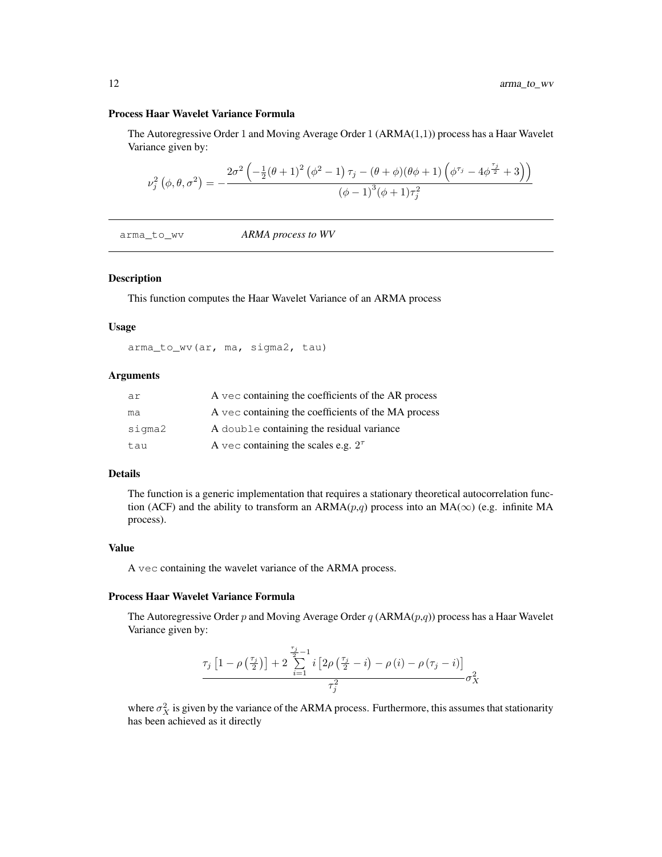#### Process Haar Wavelet Variance Formula

The Autoregressive Order 1 and Moving Average Order 1 (ARMA(1,1)) process has a Haar Wavelet Variance given by:

$$
\nu_j^2\left(\phi,\theta,\sigma^2\right)=-\frac{2\sigma^2\left(-\frac{1}{2}(\theta+1)^2\left(\phi^2-1\right)\tau_j-(\theta+\phi)(\theta\phi+1)\left(\phi^{\tau_j}-4\phi^{\frac{\tau_j}{2}}+3\right)\right)}{\left(\phi-1\right)^3(\phi+1)\tau_j^2}
$$

arma\_to\_wv *ARMA process to WV*

#### Description

This function computes the Haar Wavelet Variance of an ARMA process

#### Usage

arma\_to\_wv(ar, ma, sigma2, tau)

### Arguments

| ar     | A vec containing the coefficients of the AR process |
|--------|-----------------------------------------------------|
| ma     | A vec containing the coefficients of the MA process |
| sigma2 | A double containing the residual variance           |
| tau    | A vec containing the scales e.g. $2^{\tau}$         |

#### Details

The function is a generic implementation that requires a stationary theoretical autocorrelation function (ACF) and the ability to transform an ARMA $(p,q)$  process into an MA( $\infty$ ) (e.g. infinite MA process).

#### Value

A vec containing the wavelet variance of the ARMA process.

### Process Haar Wavelet Variance Formula

The Autoregressive Order p and Moving Average Order q (ARMA $(p,q)$ ) process has a Haar Wavelet Variance given by:

$$
\frac{\tau_{j}\left[1-\rho\left(\frac{\tau_{j}}{2}\right)\right]+2\sum\limits_{i=1}^{\frac{\tau_{j}}{2}-1}i\left[2\rho\left(\frac{\tau_{j}}{2}-i\right)-\rho\left(i\right)-\rho\left(\tau_{j}-i\right)\right]}{\tau_{j}^{2}}\sigma_{X}^{2}
$$

where  $\sigma_X^2$  is given by the variance of the ARMA process. Furthermore, this assumes that stationarity has been achieved as it directly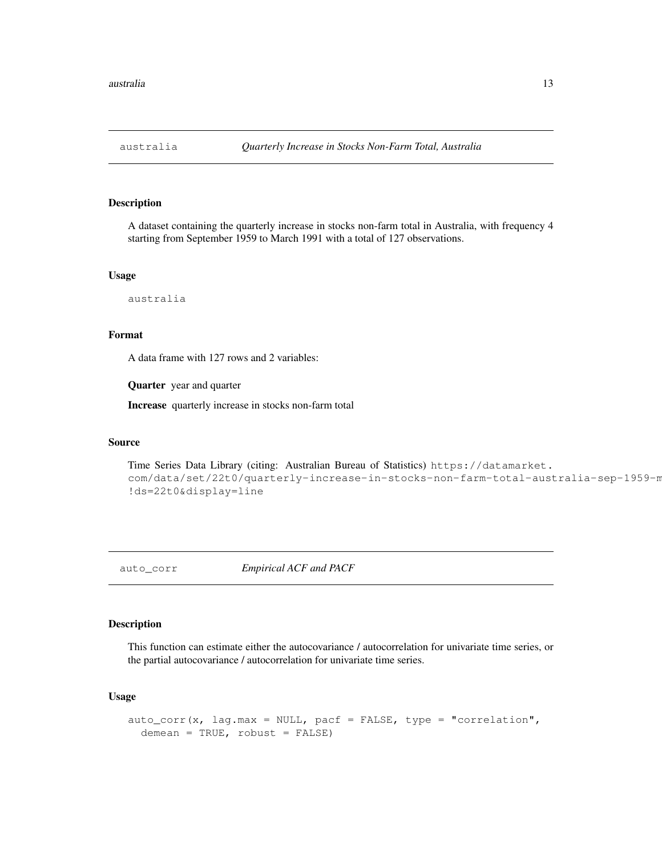A dataset containing the quarterly increase in stocks non-farm total in Australia, with frequency 4 starting from September 1959 to March 1991 with a total of 127 observations.

#### Usage

australia

### Format

A data frame with 127 rows and 2 variables:

Quarter year and quarter

Increase quarterly increase in stocks non-farm total

#### Source

```
Time Series Data Library (citing: Australian Bureau of Statistics) https://datamarket.
com/data/set/22t0/quarterly-increase-in-stocks-non-farm-total-australia-sep-1959-m
!ds=22t0&display=line
```
auto\_corr *Empirical ACF and PACF*

# Description

This function can estimate either the autocovariance / autocorrelation for univariate time series, or the partial autocovariance / autocorrelation for univariate time series.

#### Usage

```
auto_corr(x, lag.max = NULL, pacf = FALSE, type = "correlation",
 demean = TRUE, robust = FALSE)
```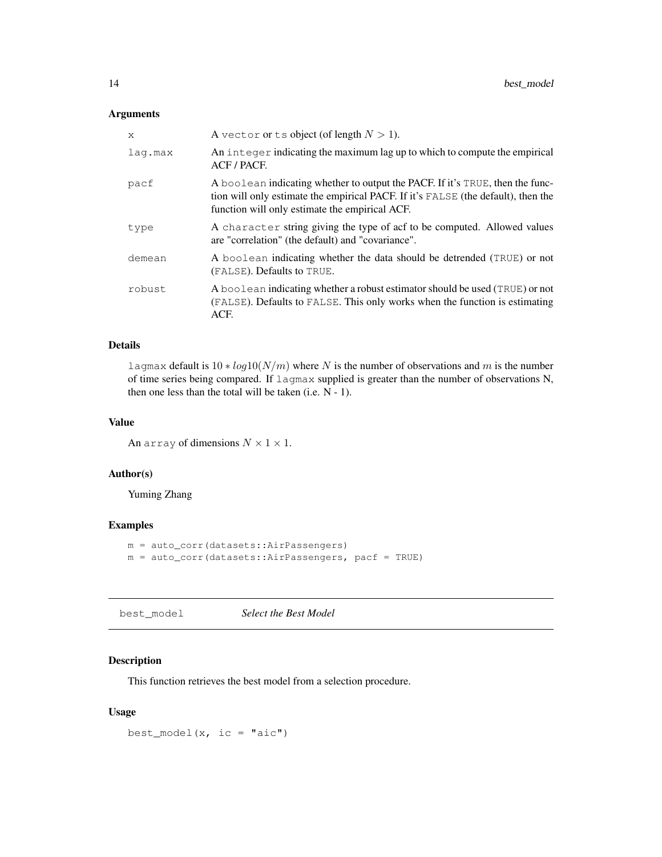### Arguments

| X       | A vector or ts object (of length $N > 1$ ).                                                                                                                                                                          |
|---------|----------------------------------------------------------------------------------------------------------------------------------------------------------------------------------------------------------------------|
| lag.max | An integer indicating the maximum lag up to which to compute the empirical<br>ACF/PACE.                                                                                                                              |
| pacf    | A boolean indicating whether to output the PACF. If it's TRUE, then the func-<br>tion will only estimate the empirical PACF. If it's FALSE (the default), then the<br>function will only estimate the empirical ACF. |
| type    | A character string giving the type of acf to be computed. Allowed values<br>are "correlation" (the default) and "covariance".                                                                                        |
| demean  | A boolean indicating whether the data should be detrended (TRUE) or not<br>(FALSE). Defaults to TRUE.                                                                                                                |
| robust  | A boolean indicating whether a robust estimator should be used (TRUE) or not<br>(FALSE). Defaults to FALSE. This only works when the function is estimating<br>ACF.                                                  |

#### Details

lagmax default is  $10 * log10(N/m)$  where N is the number of observations and m is the number of time series being compared. If lagmax supplied is greater than the number of observations N, then one less than the total will be taken (i.e. N - 1).

# Value

An array of dimensions  $N \times 1 \times 1$ .

#### Author(s)

Yuming Zhang

# Examples

```
m = auto_corr(datasets::AirPassengers)
m = auto\_corr(datasets::AirPassengers, pacf = TRUE)
```
best\_model *Select the Best Model*

### Description

This function retrieves the best model from a selection procedure.

#### Usage

best\_model(x, ic =  $"aic")$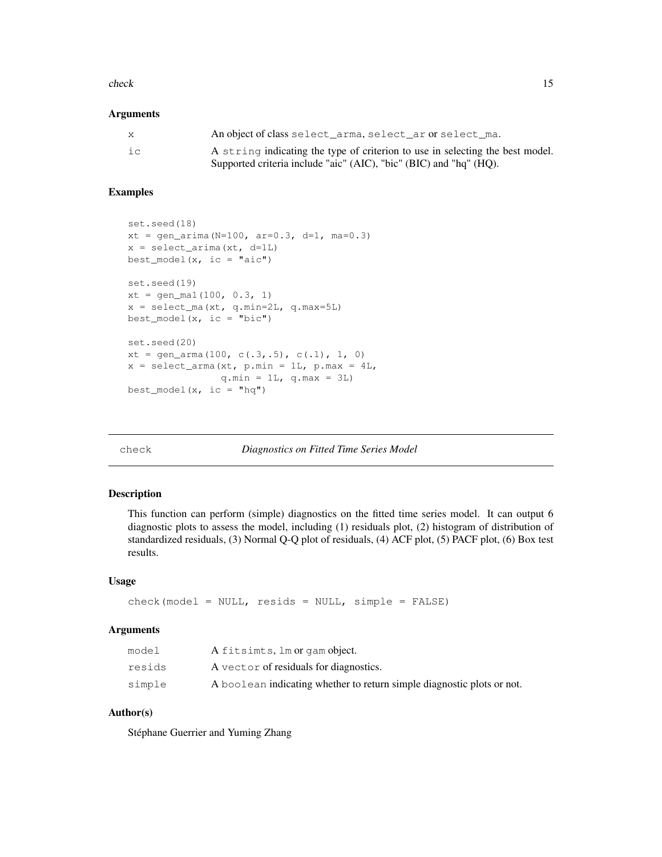#### check and the check that is not constant to the check in the check in the check in the check in the check in the check in the check in the check in the check in the check in the check in the check in the check in the check

#### **Arguments**

| X  | An object of class select_arma, select_ar or select_ma.                       |
|----|-------------------------------------------------------------------------------|
| iс | A string indicating the type of criterion to use in selecting the best model. |
|    | Supported criteria include "aic" (AIC), "bic" (BIC) and "hq" (HQ).            |

### Examples

```
set.seed(18)
xt = gen\_arima(N=100, ar=0.3, d=1, ma=0.3)x = select\_arima(xt, d=1L)best_model(x, ic = "aic")set.seed(19)
xt = gen\_mal(100, 0.3, 1)x = select_ma(xt, q.min=2L, q.max=5L)
best_model(x, ic = "bic")
set.seed(20)
xt = gen\_arma(100, c(.3,.5), c(.1), 1, 0)x = select\_arma(xt, p.min = 1L, p.max = 4L,q.min = 1L, q.max = 3L)best\_model(x, ic = "hq")
```
check *Diagnostics on Fitted Time Series Model*

### Description

This function can perform (simple) diagnostics on the fitted time series model. It can output 6 diagnostic plots to assess the model, including (1) residuals plot, (2) histogram of distribution of standardized residuals, (3) Normal Q-Q plot of residuals, (4) ACF plot, (5) PACF plot, (6) Box test results.

#### Usage

 $check(model = NULL, results = NULL, simple = FALSE)$ 

#### Arguments

| model  | A fitsimts, lm or gam object.                                          |
|--------|------------------------------------------------------------------------|
| resids | A vector of residuals for diagnostics.                                 |
| simple | A boolean indicating whether to return simple diagnostic plots or not. |

#### Author(s)

Stéphane Guerrier and Yuming Zhang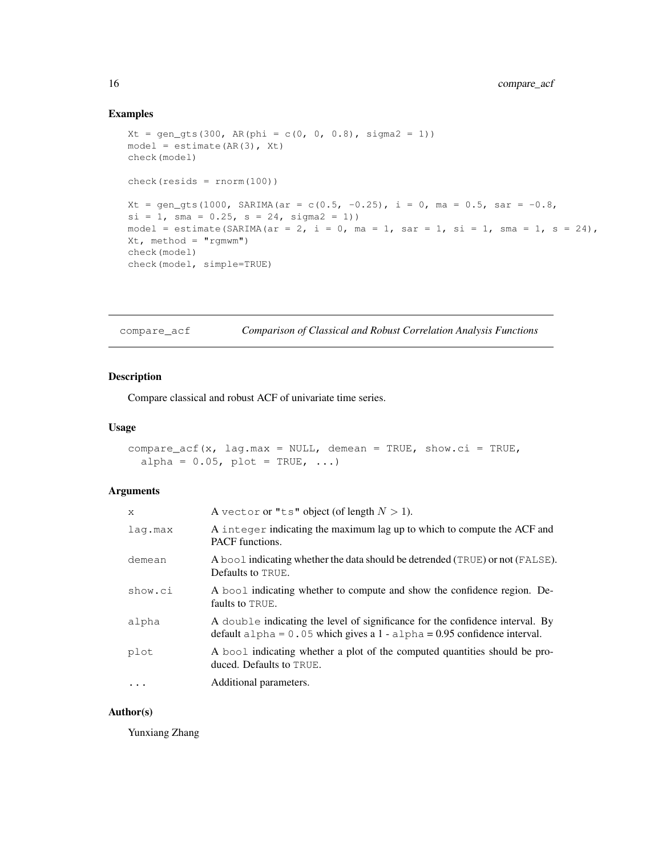### Examples

```
Xt = gen\_gts(300, AR(phi = c(0, 0, 0.8), sigma2 = 1))model = estimate(AR(3), Xt)check(model)
check(resids = rnorm(100))
Xt = gen_gts(1000, SARIMA(ar = c(0.5, -0.25), i = 0, ma = 0.5, sar = -0.8,
si = 1, sma = 0.25, s = 24, sigma2 = 1))
model = estimate(SARIMA(ar = 2, i = 0, ma = 1, sar = 1, si = 1, sma = 1, s = 24),
Xt, method = "rgmwm")
check(model)
check(model, simple=TRUE)
```

| compare_acf | Comparison of Classical and Robust Correlation Analysis Functions |  |
|-------------|-------------------------------------------------------------------|--|
|             |                                                                   |  |

### Description

Compare classical and robust ACF of univariate time series.

#### Usage

```
compare_acf(x, lag.max = NULL, demean = TRUE, show.ci = TRUE,
  alpha = 0.05, plot = TRUE, ...)
```
### Arguments

| X          | A vector or "ts" object (of length $N > 1$ ).                                                                                                               |
|------------|-------------------------------------------------------------------------------------------------------------------------------------------------------------|
| lag.max    | A integer indicating the maximum lag up to which to compute the ACF and<br><b>PACF</b> functions.                                                           |
| demean     | A bool indicating whether the data should be detrended (TRUE) or not (FALSE).<br>Defaults to TRUE.                                                          |
| show.ci    | A bool indicating whether to compute and show the confidence region. De-<br>faults to TRUE.                                                                 |
| alpha      | A double indicating the level of significance for the confidence interval. By<br>default alpha = $0.05$ which gives a 1 - alpha = 0.95 confidence interval. |
| plot       | A bool indicating whether a plot of the computed quantities should be pro-<br>duced. Defaults to TRUE.                                                      |
| $\ddots$ . | Additional parameters.                                                                                                                                      |

#### Author(s)

Yunxiang Zhang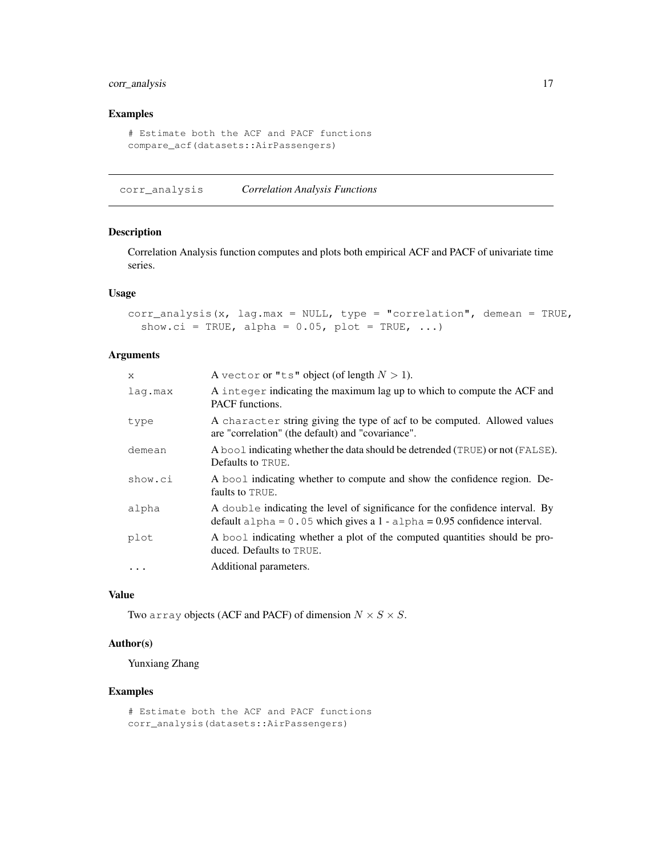### corr\_analysis 17

### Examples

```
# Estimate both the ACF and PACF functions
compare_acf(datasets::AirPassengers)
```
corr\_analysis *Correlation Analysis Functions*

### Description

Correlation Analysis function computes and plots both empirical ACF and PACF of univariate time series.

#### Usage

```
corr_analysis(x, lag.max = NULL, type = "correlation", demean = TRUE,
  show.ci = TRUE, alpha = 0.05, plot = TRUE, ...)
```
#### Arguments

| X         | A vector or "ts" object (of length $N > 1$ ).                                                                                                                 |
|-----------|---------------------------------------------------------------------------------------------------------------------------------------------------------------|
| lag.max   | A integer indicating the maximum lag up to which to compute the ACF and<br><b>PACF</b> functions.                                                             |
| type      | A character string giving the type of acf to be computed. Allowed values<br>are "correlation" (the default) and "covariance".                                 |
| demean    | A bool indicating whether the data should be detrended (TRUE) or not (FALSE).<br>Defaults to TRUE.                                                            |
| show.ci   | A bool indicating whether to compute and show the confidence region. De-<br>faults to TRUE.                                                                   |
| alpha     | A double indicating the level of significance for the confidence interval. By<br>default $a1pha = 0.05$ which gives a 1 - $a1pha = 0.95$ confidence interval. |
| plot      | A bool indicating whether a plot of the computed quantities should be pro-<br>duced. Defaults to TRUE.                                                        |
| $\ddotsc$ | Additional parameters.                                                                                                                                        |
|           |                                                                                                                                                               |

### Value

Two array objects (ACF and PACF) of dimension  $N \times S \times S$ .

# Author(s)

Yunxiang Zhang

```
# Estimate both the ACF and PACF functions
corr_analysis(datasets::AirPassengers)
```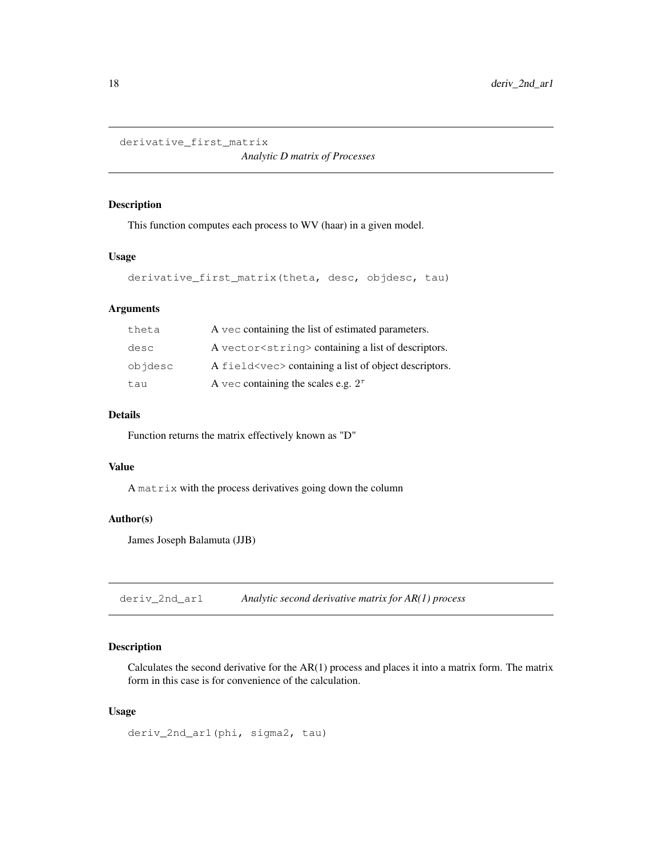```
derivative_first_matrix
```
*Analytic D matrix of Processes*

### Description

This function computes each process to WV (haar) in a given model.

### Usage

```
derivative_first_matrix(theta, desc, objdesc, tau)
```
### Arguments

| theta   | A vec containing the list of estimated parameters.       |
|---------|----------------------------------------------------------|
| desc    | A vector string > containing a list of descriptors.      |
| objdesc | A field < vec > containing a list of object descriptors. |
| tau     | A vec containing the scales e.g. $2^{\tau}$              |

#### Details

Function returns the matrix effectively known as "D"

#### Value

A matrix with the process derivatives going down the column

#### Author(s)

James Joseph Balamuta (JJB)

deriv\_2nd\_ar1 *Analytic second derivative matrix for AR(1) process*

### Description

Calculates the second derivative for the AR(1) process and places it into a matrix form. The matrix form in this case is for convenience of the calculation.

#### Usage

deriv\_2nd\_ar1(phi, sigma2, tau)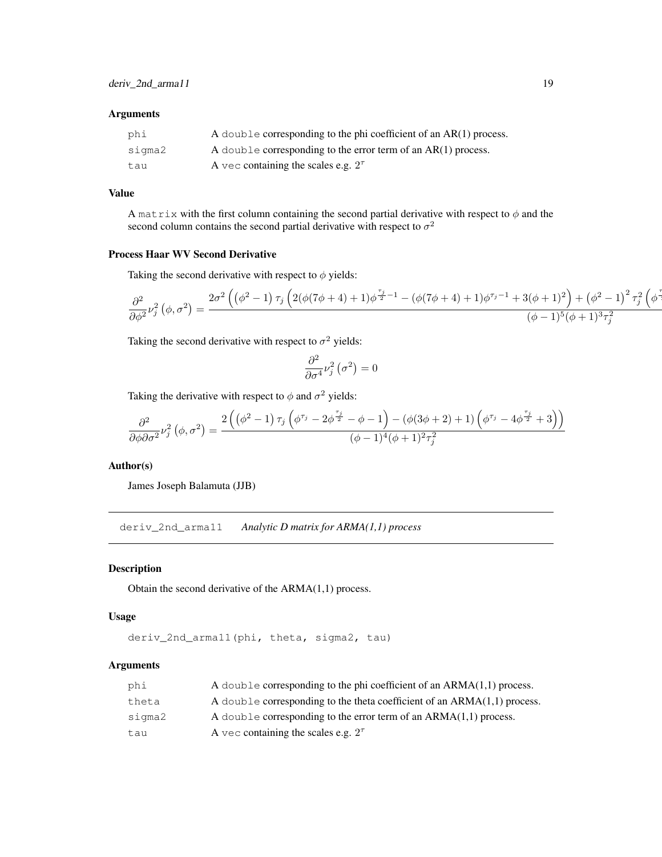#### Arguments

| phi    | A double corresponding to the phi coefficient of an $AR(1)$ process. |
|--------|----------------------------------------------------------------------|
| sigma2 | A double corresponding to the error term of an $AR(1)$ process.      |
| tau    | A vec containing the scales e.g. $2^{\tau}$                          |

### Value

A matrix with the first column containing the second partial derivative with respect to  $\phi$  and the second column contains the second partial derivative with respect to  $\sigma^2$ 

#### Process Haar WV Second Derivative

Taking the second derivative with respect to  $\phi$  yields:

$$
\frac{\partial^2}{\partial \phi^2}\nu_j^2\left(\phi, \sigma^2\right) = \frac{2\sigma^2\left(\left(\phi^2-1\right)\tau_j\left(2(\phi(7\phi+4)+1)\phi^{\frac{\tau_j}{2}-1}-(\phi(7\phi+4)+1)\phi^{\tau_j-1}+3(\phi+1)^2\right)+\left(\phi^2-1\right)^2\tau_j^2\left(\phi^{\frac{\tau_j}{2}-1}-(\phi(7\phi+4)+1)\phi^{\frac{\tau_j}{2}-1}-(\phi(7\phi+4)+1)\phi^{\frac{\tau_j}{2}-1}-(\phi(7\phi+4)+1)^2\right)}{(\phi-1)^5(\phi+1)^3\tau_j^2}.
$$

Taking the second derivative with respect to  $\sigma^2$  yields:

$$
\frac{\partial^2}{\partial \sigma^4} \nu_j^2 (\sigma^2) = 0
$$

Taking the derivative with respect to  $\phi$  and  $\sigma^2$  yields:

$$
\frac{\partial^2}{\partial\phi\partial\sigma^2}\nu_j^2\left(\phi,\sigma^2\right)=\frac{2\left(\left(\phi^2-1\right)\tau_j\left(\phi^{\tau_j}-2\phi^{\frac{\tau_j}{2}}-\phi-1\right)-\left(\phi(3\phi+2)+1\right)\left(\phi^{\tau_j}-4\phi^{\frac{\tau_j}{2}}+3\right)\right)}{(\phi-1)^4(\phi+1)^2\tau_j^2}
$$

#### Author(s)

James Joseph Balamuta (JJB)

deriv\_2nd\_arma11 *Analytic D matrix for ARMA(1,1) process*

#### Description

Obtain the second derivative of the ARMA(1,1) process.

#### Usage

deriv\_2nd\_arma11(phi, theta, sigma2, tau)

#### Arguments

| phi    | A double corresponding to the phi coefficient of an $ARMA(1,1)$ process.   |
|--------|----------------------------------------------------------------------------|
| theta  | A double corresponding to the theta coefficient of an $ARMA(1,1)$ process. |
| siqma2 | A double corresponding to the error term of an $ARMA(1,1)$ process.        |
| tau    | A vec containing the scales e.g. $2^{\tau}$                                |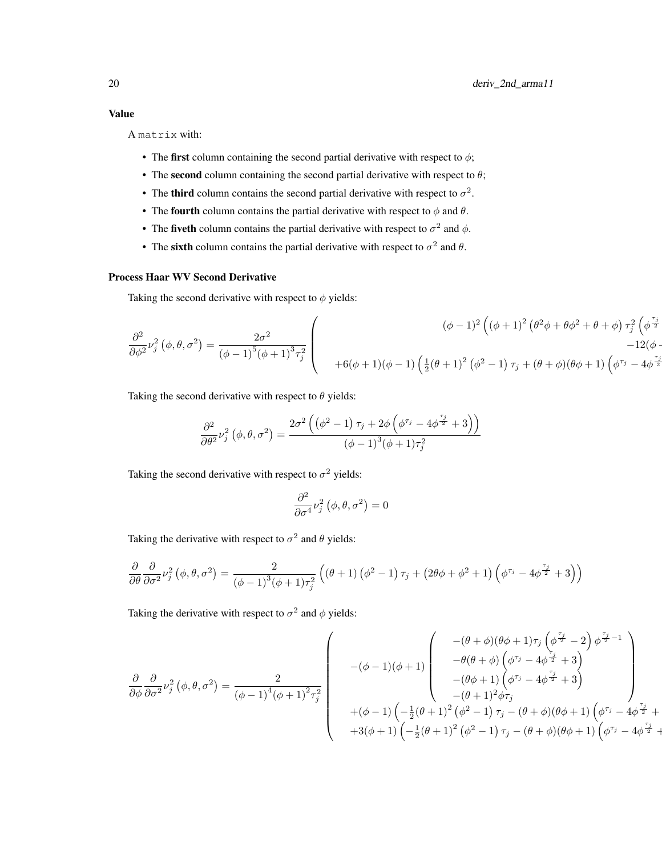A matrix with:

- The first column containing the second partial derivative with respect to  $\phi$ ;
- The second column containing the second partial derivative with respect to  $\theta$ ;
- The third column contains the second partial derivative with respect to  $\sigma^2$ .
- The fourth column contains the partial derivative with respect to  $\phi$  and  $\theta$ .
- The fiveth column contains the partial derivative with respect to  $\sigma^2$  and  $\phi$ .
- The sixth column contains the partial derivative with respect to  $\sigma^2$  and  $\theta$ .

#### Process Haar WV Second Derivative

Taking the second derivative with respect to  $\phi$  yields:

$$
\frac{\partial^2}{\partial \phi^2} \nu_j^2 (\phi, \theta, \sigma^2) = \frac{2\sigma^2}{(\phi - 1)^5 (\phi + 1)^3 \tau_j^2} \begin{pmatrix} (\phi - 1)^2 ((\phi + 1)^2 (\theta^2 \phi + \theta \phi^2 + \theta + \phi) \tau_j^2 (\phi^{\frac{\tau_j}{2}}) -12(\phi - 1) (\phi - 1) (\frac{1}{2} (\theta + 1)^2 (\phi^2 - 1) \tau_j + (\theta + \phi) (\theta \phi + 1) (\phi^{\frac{\tau_j}{2}} - 4 \phi^{\frac{\tau_j}{2}}) \end{pmatrix}
$$

Taking the second derivative with respect to  $\theta$  yields:

$$
\frac{\partial^2}{\partial \theta^2}\nu_j^2\left(\phi,\theta,\sigma^2\right)=\frac{2\sigma^2\left(\left(\phi^2-1\right)\tau_j+2\phi\left(\phi^{\tau_j}-4\phi^{\frac{\tau_j}{2}}+3\right)\right)}{\left(\phi-1\right)^3\left(\phi+1\right)\tau_j^2}
$$

Taking the second derivative with respect to  $\sigma^2$  yields:

$$
\frac{\partial^2}{\partial \sigma^4} \nu_j^2\left(\phi, \theta, \sigma^2\right) = 0
$$

Taking the derivative with respect to  $\sigma^2$  and  $\theta$  yields:

$$
\frac{\partial}{\partial \theta} \frac{\partial}{\partial \sigma^2} \nu_j^2 (\phi, \theta, \sigma^2) = \frac{2}{(\phi - 1)^3 (\phi + 1) \tau_j^2} ((\theta + 1) (\phi^2 - 1) \tau_j + (2\theta \phi + \phi^2 + 1) (\phi^{\tau_j} - 4\phi^{\frac{\tau_j}{2}} + 3))
$$

Taking the derivative with respect to  $\sigma^2$  and  $\phi$  yields:

$$
\frac{\partial}{\partial \phi} \frac{\partial}{\partial \sigma^2} \nu_j^2 (\phi, \theta, \sigma^2) = \frac{2}{(\phi - 1)^4 (\phi + 1)^2 \tau_j^2} \begin{pmatrix} -(\phi - 1)(\phi + 1) \begin{pmatrix} -(\theta + \phi)(\theta + 1) \tau_j (\phi^{\frac{\tau_j}{2}} - 2) \phi^{\frac{\tau_j}{2} - 1} \\ -\theta(\theta + \phi) (\phi^{\tau_j} - 4\phi^{\frac{\tau_j}{2}} + 3) \\ -(\theta + 1) (\phi^{\tau_j} - 4\phi^{\frac{\tau_j}{2}} + 3) \end{pmatrix} \\ + (\phi - 1) (-\frac{1}{2}(\theta + 1)^2 (\phi^2 - 1) \tau_j - (\theta + \phi)(\theta + 1) (\phi^{\tau_j} - 4\phi^{\frac{\tau_j}{2}} + 3\phi^{\frac{\tau_j}{2}} + 3\phi^{\frac{\tau_j}{2}} + 3\phi^{\frac{\tau_j}{2}} + 3\phi^{\frac{\tau_j}{2}} + 3\phi^{\frac{\tau_j}{2}} + 3\phi^{\frac{\tau_j}{2}} + 3\phi^{\frac{\tau_j}{2}} + 3\phi^{\frac{\tau_j}{2}} + 3\phi^{\frac{\tau_j}{2}} + 3\phi^{\frac{\tau_j}{2}} + 3\phi^{\frac{\tau_j}{2}} + 3\phi^{\frac{\tau_j}{2}} + 3\phi^{\frac{\tau_j}{2}} + 3\phi^{\frac{\tau_j}{2}} + 3\phi^{\frac{\tau_j}{2}} + 3\phi^{\frac{\tau_j}{2}} + 3\phi^{\frac{\tau_j}{2}} + 3\phi^{\frac{\tau_j}{2}} + 3\phi^{\frac{\tau_j}{2}} + 3\phi^{\frac{\tau_j}{2}} + 3\phi^{\frac{\tau_j}{2}} + 3\phi^{\frac{\tau_j}{2}} + 3\phi^{\frac{\tau_j}{2}} + 3\phi^{\frac{\tau_j}{2}} + 3\phi^{\frac{\tau_j}{2}} + 3\phi^{\frac{\tau_j}{2}} + 3\phi^{\frac{\tau_j}{2}} + 3\phi^{\frac{\tau_j}{2}} + 3\phi^{\frac{\tau_j}{2}} + 3\phi^{\frac{\tau_j}{2}} + 3\phi^{\frac{\tau_j}{2}} + 3\phi^{\frac{\tau_j}{2}} + 3\phi^{\frac{\tau_j}{2}} + 3\phi^{\frac{\tau_j}{2}} + 3\phi^{\
$$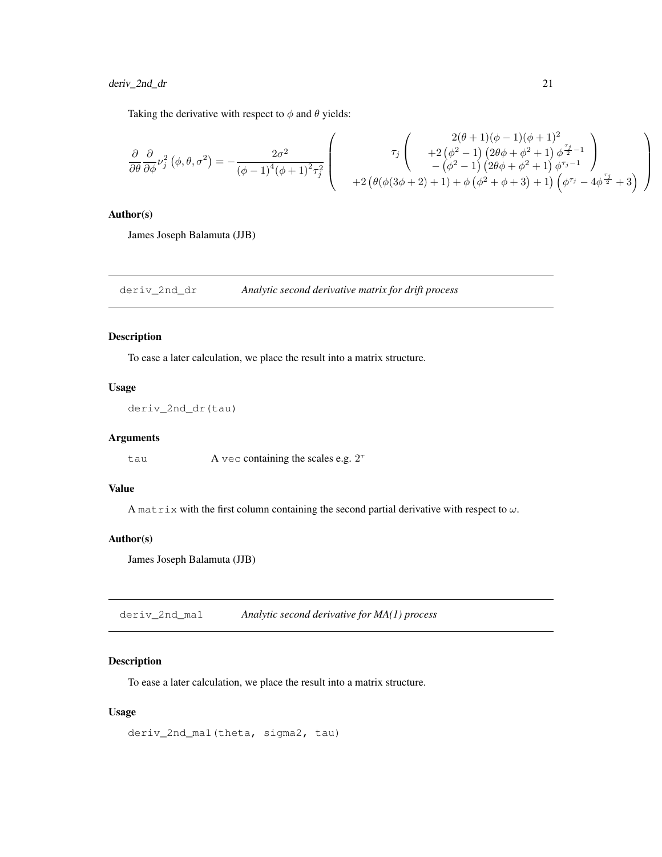Taking the derivative with respect to  $\phi$  and  $\theta$  yields:

$$
\frac{\partial}{\partial \theta} \frac{\partial}{\partial \phi} \nu_j^2 \left( \phi, \theta, \sigma^2 \right) = -\frac{2\sigma^2}{\left( \phi - 1 \right)^4 \left( \phi + 1 \right)^2 \tau_j^2} \left( \begin{array}{c} 2(\theta + 1)(\phi - 1)(\phi + 1)^2 \\ + 2\left( \phi^2 - 1 \right) \left( 2\theta \phi + \phi^2 + 1 \right) \phi^{\frac{\tau_j}{2} - 1} \\ - \left( \phi^2 - 1 \right) \left( 2\theta \phi + \phi^2 + 1 \right) \phi^{\frac{\tau_j}{2} - 1} \end{array} \right) + 2 \left( \theta(\phi(3\phi + 2) + 1) + \phi\left( \phi^2 + \phi + 3 \right) + 1 \right) \left( \phi^{\tau_j} - 4\phi^{\frac{\tau_j}{2}} + 3 \right) \end{array} \right)
$$

### Author(s)

James Joseph Balamuta (JJB)

deriv\_2nd\_dr *Analytic second derivative matrix for drift process*

#### Description

To ease a later calculation, we place the result into a matrix structure.

#### Usage

```
deriv_2nd_dr(tau)
```
### Arguments

tau  $A$  vec containing the scales e.g.  $2^{\tau}$ 

#### Value

A matrix with the first column containing the second partial derivative with respect to  $\omega$ .

#### Author(s)

James Joseph Balamuta (JJB)

deriv\_2nd\_ma1 *Analytic second derivative for MA(1) process*

#### Description

To ease a later calculation, we place the result into a matrix structure.

### Usage

deriv\_2nd\_ma1(theta, sigma2, tau)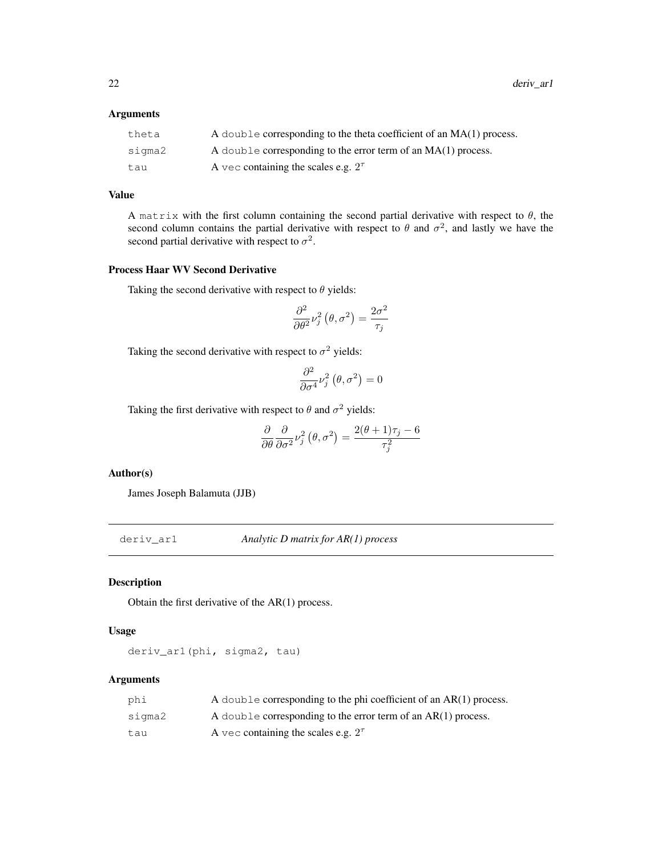### Arguments

| theta  | A double corresponding to the theta coefficient of an $MA(1)$ process. |
|--------|------------------------------------------------------------------------|
| sigma2 | A double corresponding to the error term of an $MA(1)$ process.        |
| tau    | A vec containing the scales e.g. $2^{\tau}$                            |

### Value

A matrix with the first column containing the second partial derivative with respect to  $\theta$ , the second column contains the partial derivative with respect to  $\theta$  and  $\sigma^2$ , and lastly we have the second partial derivative with respect to  $\sigma^2$ .

#### Process Haar WV Second Derivative

Taking the second derivative with respect to  $\theta$  yields:

$$
\frac{\partial^2}{\partial \theta^2} \nu_j^2 \left( \theta, \sigma^2 \right) = \frac{2\sigma^2}{\tau_j}
$$

Taking the second derivative with respect to  $\sigma^2$  yields:

$$
\frac{\partial^2}{\partial \sigma^4} \nu_j^2 \left( \theta, \sigma^2 \right) = 0
$$

Taking the first derivative with respect to  $\theta$  and  $\sigma^2$  yields:

$$
\frac{\partial}{\partial \theta} \frac{\partial}{\partial \sigma^2} \nu_j^2 (\theta, \sigma^2) = \frac{2(\theta + 1)\tau_j - 6}{\tau_j^2}
$$

#### Author(s)

James Joseph Balamuta (JJB)

deriv\_ar1 *Analytic D matrix for AR(1) process*

### Description

Obtain the first derivative of the AR(1) process.

#### Usage

deriv\_ar1(phi, sigma2, tau)

### Arguments

| phi    | A double corresponding to the phi coefficient of an $AR(1)$ process. |
|--------|----------------------------------------------------------------------|
| sigma2 | A double corresponding to the error term of an $AR(1)$ process.      |
| tau    | A vec containing the scales e.g. $2^{\tau}$                          |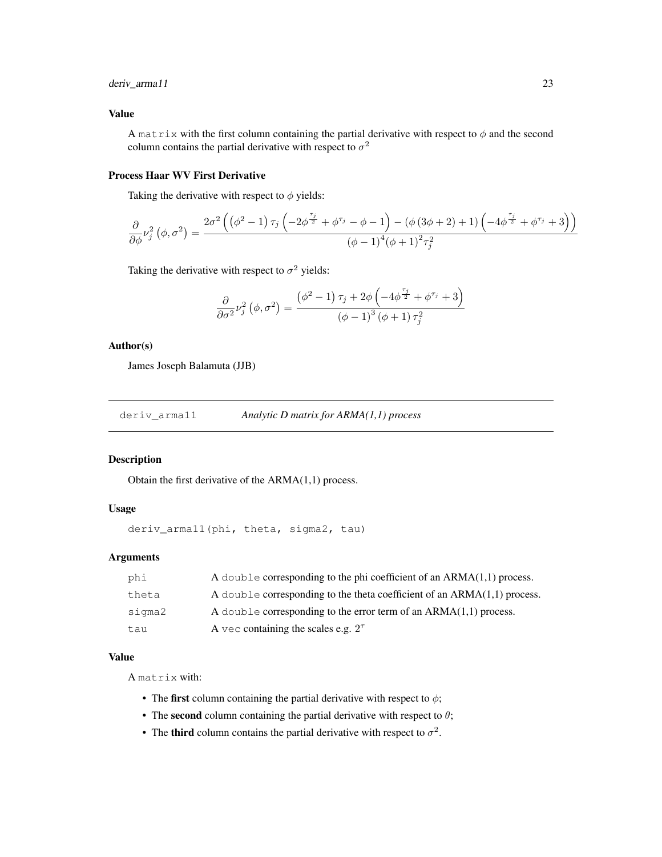### deriv\_arma11 23

### Value

A matrix with the first column containing the partial derivative with respect to  $\phi$  and the second column contains the partial derivative with respect to  $\sigma^2$ 

### Process Haar WV First Derivative

Taking the derivative with respect to  $\phi$  yields:

$$
\frac{\partial}{\partial \phi} \nu_j^2 \left( \phi, \sigma^2 \right) = \frac{2\sigma^2 \left( \left( \phi^2 - 1 \right) \tau_j \left( -2\phi^{\frac{\tau_j}{2}} + \phi^{\tau_j} - \phi - 1 \right) - \left( \phi \left( 3\phi + 2 \right) + 1 \right) \left( -4\phi^{\frac{\tau_j}{2}} + \phi^{\tau_j} + 3 \right) \right)}{\left( \phi - 1 \right)^4 \left( \phi + 1 \right)^2 \tau_j^2}
$$

Taking the derivative with respect to  $\sigma^2$  yields:

$$
\frac{\partial}{\partial \sigma^2} \nu_j^2 (\phi, \sigma^2) = \frac{(\phi^2 - 1) \tau_j + 2\phi \left(-4\phi^{\frac{\tau_j}{2}} + \phi^{\tau_j} + 3\right)}{(\phi - 1)^3 (\phi + 1) \tau_j^2}
$$

### Author(s)

James Joseph Balamuta (JJB)

deriv\_arma11 *Analytic D matrix for ARMA(1,1) process*

#### Description

Obtain the first derivative of the ARMA(1,1) process.

#### Usage

```
deriv_arma11(phi, theta, sigma2, tau)
```
#### Arguments

| phi    | A double corresponding to the phi coefficient of an $ARMA(1,1)$ process.   |
|--------|----------------------------------------------------------------------------|
| theta  | A double corresponding to the theta coefficient of an $ARMA(1,1)$ process. |
| sigma2 | A double corresponding to the error term of an $ARMA(1,1)$ process.        |
| tau    | A vec containing the scales e.g. $2^{\tau}$                                |

#### Value

A matrix with:

- The first column containing the partial derivative with respect to  $\phi$ ;
- The second column containing the partial derivative with respect to  $\theta$ ;
- The third column contains the partial derivative with respect to  $\sigma^2$ .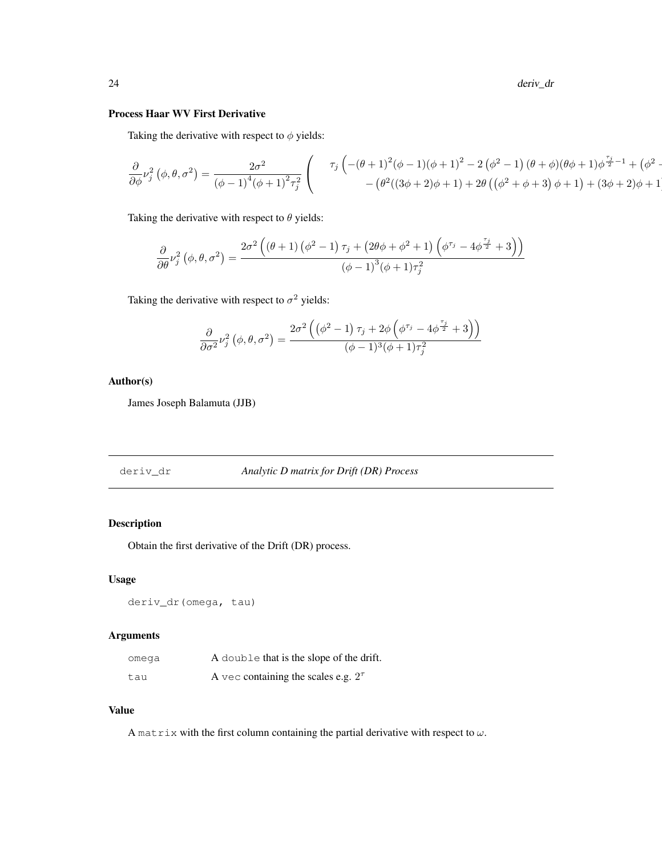24 deriv\_dr

# Process Haar WV First Derivative

Taking the derivative with respect to  $\phi$  yields:

$$
\frac{\partial}{\partial \phi} \nu_j^2 (\phi, \theta, \sigma^2) = \frac{2\sigma^2}{(\phi - 1)^4 (\phi + 1)^2 \tau_j^2} \left( \begin{array}{c} \tau_j \left( -(\theta + 1)^2 (\phi - 1)(\phi + 1)^2 - 2 (\phi^2 - 1) (\theta + \phi)(\theta + \phi + 1) \phi^{\frac{\tau_j}{2} - 1} + (\phi^2 - (\phi^2)(3\phi + 2)\phi + 1) + 2\theta (\phi^2 + \phi + 3) \phi + 1 \right) + (3\phi + 2)\phi + 1 \end{array} \right)
$$

Taking the derivative with respect to  $\theta$  yields:

$$
\frac{\partial}{\partial \theta} \nu_j^2 \left( \phi, \theta, \sigma^2 \right) = \frac{2\sigma^2 \left( \left( \theta + 1 \right) \left( \phi^2 - 1 \right) \tau_j + \left( 2\theta \phi + \phi^2 + 1 \right) \left( \phi^{\tau_j} - 4\phi^{\frac{\tau_j}{2}} + 3 \right) \right)}{\left( \phi - 1 \right)^3 \left( \phi + 1 \right) \tau_j^2}
$$

Taking the derivative with respect to  $\sigma^2$  yields:

$$
\frac{\partial}{\partial \sigma^2} \nu_j^2 \left( \phi, \theta, \sigma^2 \right) = \frac{2\sigma^2 \left( \left( \phi^2 - 1 \right) \tau_j + 2\phi \left( \phi^{\tau_j} - 4\phi^{\frac{\tau_j}{2}} + 3 \right) \right)}{(\phi - 1)^3 (\phi + 1) \tau_j^2}
$$

Author(s)

James Joseph Balamuta (JJB)

| Analytic D matrix for Drift (DR) Process |
|------------------------------------------|
|------------------------------------------|

# Description

Obtain the first derivative of the Drift (DR) process.

#### Usage

deriv\_dr(omega, tau)

### Arguments

| omega | A double that is the slope of the drift.    |
|-------|---------------------------------------------|
| tau   | A vec containing the scales e.g. $2^{\tau}$ |

#### Value

A matrix with the first column containing the partial derivative with respect to  $\omega$ .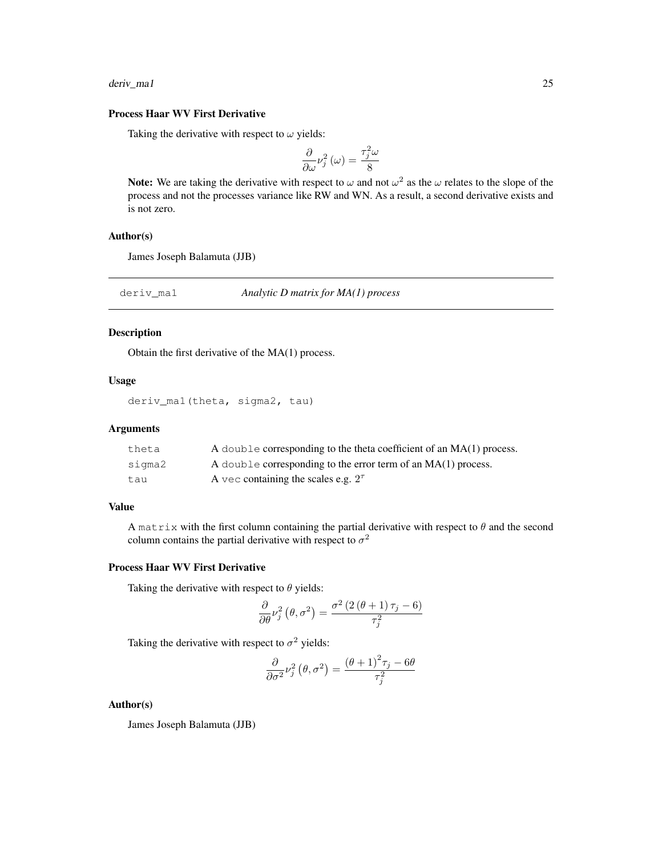deriv\_ma1 25

### Process Haar WV First Derivative

Taking the derivative with respect to  $\omega$  yields:

$$
\frac{\partial}{\partial \omega} \nu_j^2(\omega) = \frac{\tau_j^2 \omega}{8}
$$

Note: We are taking the derivative with respect to  $\omega$  and not  $\omega^2$  as the  $\omega$  relates to the slope of the process and not the processes variance like RW and WN. As a result, a second derivative exists and is not zero.

#### Author(s)

James Joseph Balamuta (JJB)

deriv\_ma1 *Analytic D matrix for MA(1) process*

### Description

Obtain the first derivative of the MA(1) process.

## Usage

```
deriv_ma1(theta, sigma2, tau)
```
### Arguments

| theta  | A double corresponding to the theta coefficient of an $MA(1)$ process. |
|--------|------------------------------------------------------------------------|
| sigma2 | A double corresponding to the error term of an $MA(1)$ process.        |
| tau    | A vec containing the scales e.g. $2^{\tau}$                            |

### Value

A matrix with the first column containing the partial derivative with respect to  $\theta$  and the second column contains the partial derivative with respect to  $\sigma^2$ 

#### Process Haar WV First Derivative

Taking the derivative with respect to  $\theta$  yields:

$$
\frac{\partial}{\partial \theta} \nu_j^2 (\theta, \sigma^2) = \frac{\sigma^2 (2 (\theta + 1) \tau_j - 6)}{\tau_j^2}
$$

Taking the derivative with respect to  $\sigma^2$  yields:

$$
\frac{\partial}{\partial \sigma^2} \nu_j^2 (\theta, \sigma^2) = \frac{(\theta + 1)^2 \tau_j - 6\theta}{\tau_j^2}
$$

#### Author(s)

James Joseph Balamuta (JJB)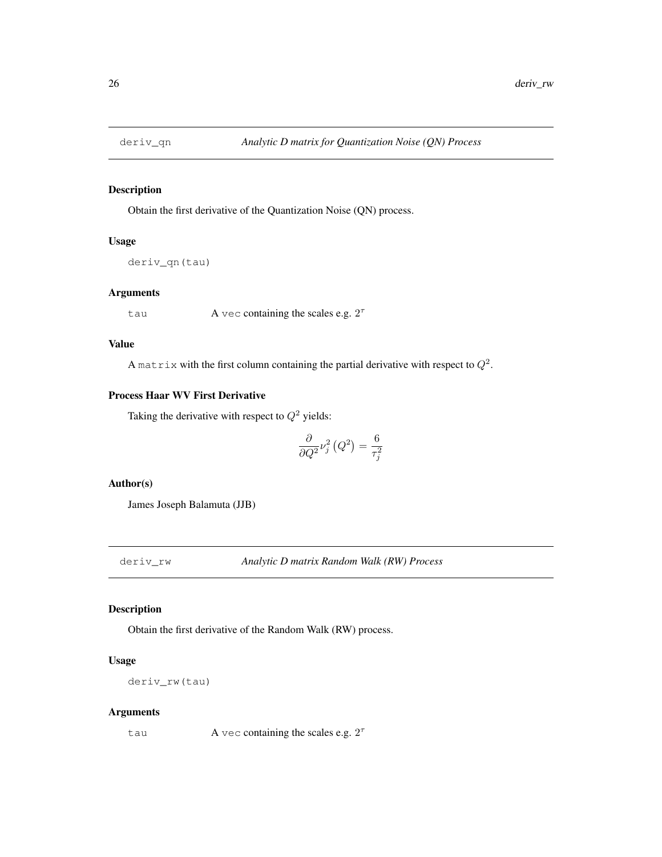Obtain the first derivative of the Quantization Noise (QN) process.

### Usage

deriv\_qn(tau)

### Arguments

tau  $A$  vec containing the scales e.g.  $2^{\tau}$ 

### Value

A matrix with the first column containing the partial derivative with respect to  $Q^2$ .

### Process Haar WV First Derivative

Taking the derivative with respect to  $Q^2$  yields:

$$
\frac{\partial}{\partial Q^2}\nu_j^2\left(Q^2\right)=\frac{6}{\tau_j^2}
$$

#### Author(s)

James Joseph Balamuta (JJB)

deriv\_rw *Analytic D matrix Random Walk (RW) Process*

### Description

Obtain the first derivative of the Random Walk (RW) process.

### Usage

deriv\_rw(tau)

#### Arguments

tau  $A$  vec containing the scales e.g.  $2^{\tau}$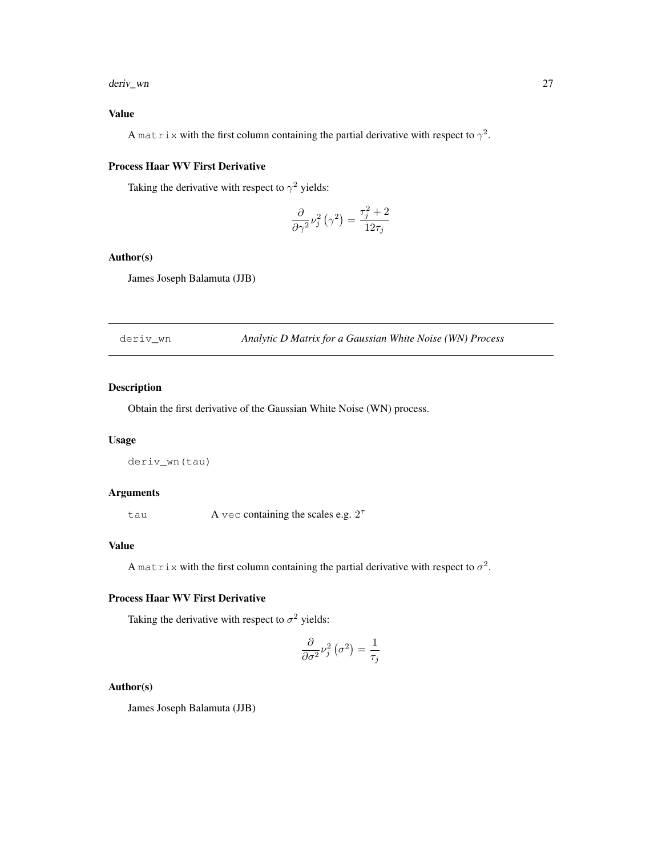#### deriv\_wn 27

# Value

A matrix with the first column containing the partial derivative with respect to  $\gamma^2$ .

#### Process Haar WV First Derivative

Taking the derivative with respect to  $\gamma^2$  yields:

$$
\frac{\partial}{\partial \gamma^2} \nu_j^2 \left( \gamma^2 \right) = \frac{\tau_j^2 + 2}{12\tau_j}
$$

### Author(s)

James Joseph Balamuta (JJB)

deriv\_wn *Analytic D Matrix for a Gaussian White Noise (WN) Process*

### Description

Obtain the first derivative of the Gaussian White Noise (WN) process.

### Usage

deriv\_wn(tau)

### Arguments

tau  $A$  vec containing the scales e.g.  $2^{\tau}$ 

#### Value

A matrix with the first column containing the partial derivative with respect to  $\sigma^2$ .

# Process Haar WV First Derivative

Taking the derivative with respect to  $\sigma^2$  yields:

$$
\frac{\partial}{\partial \sigma^2} \nu_j^2 (\sigma^2) = \frac{1}{\tau_j}
$$

#### Author(s)

James Joseph Balamuta (JJB)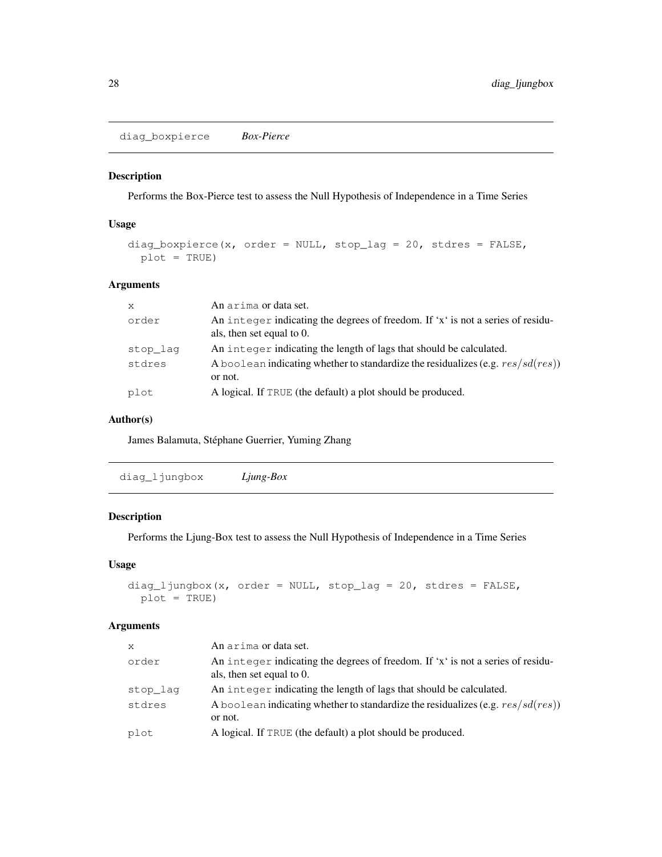diag\_boxpierce *Box-Pierce*

### Description

Performs the Box-Pierce test to assess the Null Hypothesis of Independence in a Time Series

### Usage

```
diag_boxpierce(x, order = NULL, stop_lag = 20, stdres = FALSE,
 plot = TRUE)
```
### Arguments

| $\mathsf{x}$ | An arima or data set.                                                                                        |
|--------------|--------------------------------------------------------------------------------------------------------------|
| order        | An integer indicating the degrees of freedom. If 'x' is not a series of residu-<br>als, then set equal to 0. |
| stop_lag     | An integer indicating the length of lags that should be calculated.                                          |
| stdres       | A boolean indicating whether to standardize the residualizes (e.g. $res/sd(res)$ )<br>or not.                |
| plot         | A logical. If TRUE (the default) a plot should be produced.                                                  |

### Author(s)

James Balamuta, Stéphane Guerrier, Yuming Zhang

diag\_ljungbox *Ljung-Box*

### Description

Performs the Ljung-Box test to assess the Null Hypothesis of Independence in a Time Series

#### Usage

```
diag_ljungbox(x, order = NULL, stop_lag = 20, stdres = FALSE,
 plot = TRUE)
```
### Arguments

| $\mathsf{x}$ | An arima or data set.                                                                                        |
|--------------|--------------------------------------------------------------------------------------------------------------|
| order        | An integer indicating the degrees of freedom. If 'x' is not a series of residu-<br>als, then set equal to 0. |
| stop lag     | An integer indicating the length of lags that should be calculated.                                          |
| stdres       | A boolean indicating whether to standardize the residualizes (e.g. $res/sd(res)$ )<br>or not.                |
| plot         | A logical. If TRUE (the default) a plot should be produced.                                                  |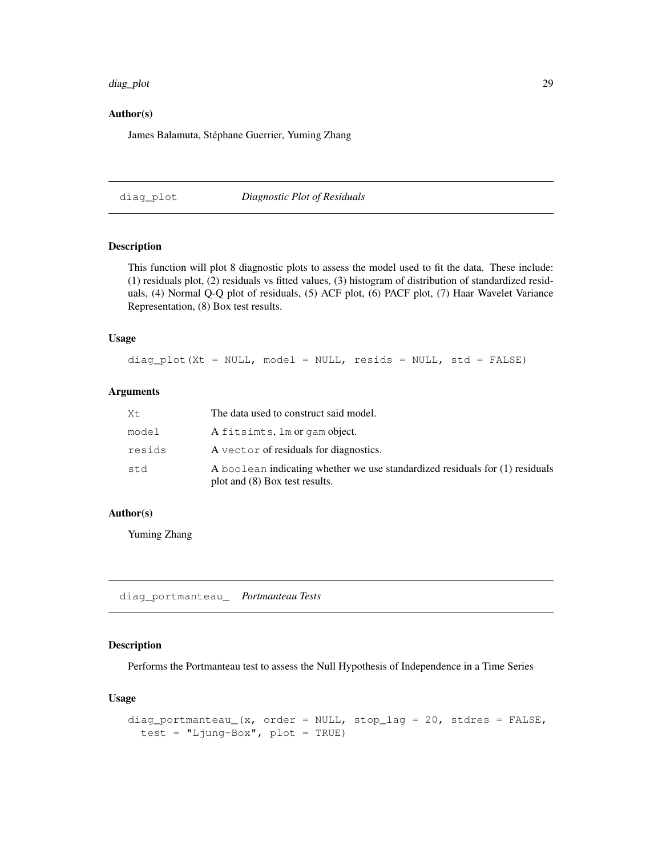#### diag\_plot 29

#### Author(s)

James Balamuta, Stéphane Guerrier, Yuming Zhang

diag\_plot *Diagnostic Plot of Residuals*

### Description

This function will plot 8 diagnostic plots to assess the model used to fit the data. These include: (1) residuals plot, (2) residuals vs fitted values, (3) histogram of distribution of standardized residuals, (4) Normal Q-Q plot of residuals, (5) ACF plot, (6) PACF plot, (7) Haar Wavelet Variance Representation, (8) Box test results.

### Usage

diag\_plot(Xt = NULL, model = NULL, resids = NULL, std = FALSE)

### Arguments

| Χt     | The data used to construct said model.                                                                         |
|--------|----------------------------------------------------------------------------------------------------------------|
| model  | A fitsimts, lm or gam object.                                                                                  |
| resids | A vector of residuals for diagnostics.                                                                         |
| std    | A boolean indicating whether we use standardized residuals for (1) residuals<br>plot and (8) Box test results. |

#### Author(s)

Yuming Zhang

diag\_portmanteau\_ *Portmanteau Tests*

#### Description

Performs the Portmanteau test to assess the Null Hypothesis of Independence in a Time Series

#### Usage

```
diag_portmanteau_(x, order = NULL, stop_lag = 20, stdres = FALSE,
  test = "Ljung-Box", plot = TRUE)
```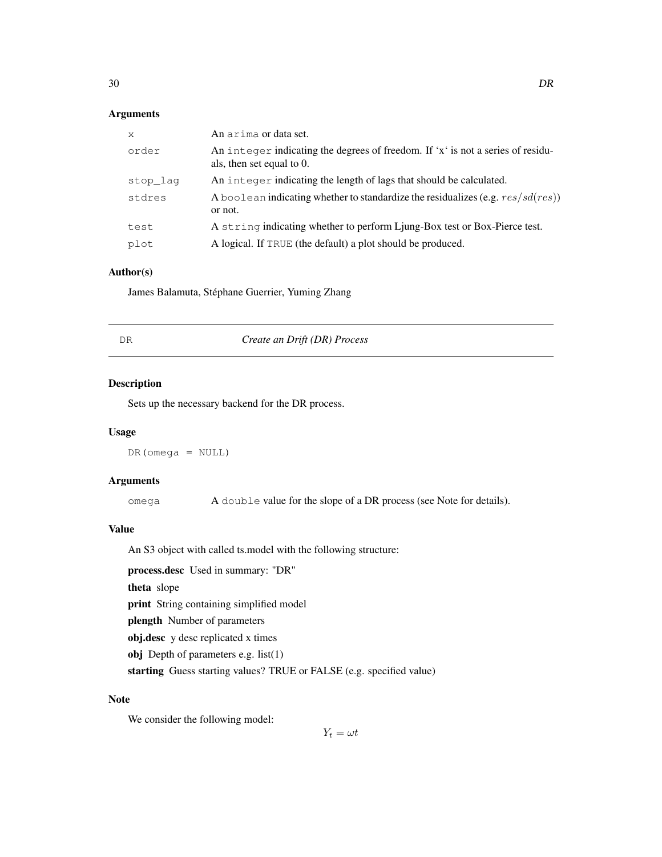# Arguments

| $\mathsf{x}$ | An arima or data set.                                                                                        |
|--------------|--------------------------------------------------------------------------------------------------------------|
| order        | An integer indicating the degrees of freedom. If 'x' is not a series of residu-<br>als, then set equal to 0. |
| stop lag     | An integer indicating the length of lags that should be calculated.                                          |
| stdres       | A boolean indicating whether to standardize the residualizes (e.g. $res/sd(res)$ )<br>or not.                |
| test         | A string indicating whether to perform Ljung-Box test or Box-Pierce test.                                    |
| plot         | A logical. If TRUE (the default) a plot should be produced.                                                  |

### Author(s)

James Balamuta, Stéphane Guerrier, Yuming Zhang

DR *Create an Drift (DR) Process*

### Description

Sets up the necessary backend for the DR process.

#### Usage

DR(omega = NULL)

### Arguments

omega A double value for the slope of a DR process (see Note for details).

# Value

An S3 object with called ts.model with the following structure:

process.desc Used in summary: "DR" theta slope print String containing simplified model plength Number of parameters obj.desc y desc replicated x times obj Depth of parameters e.g. list(1) starting Guess starting values? TRUE or FALSE (e.g. specified value)

#### Note

We consider the following model:

 $Y_t = \omega t$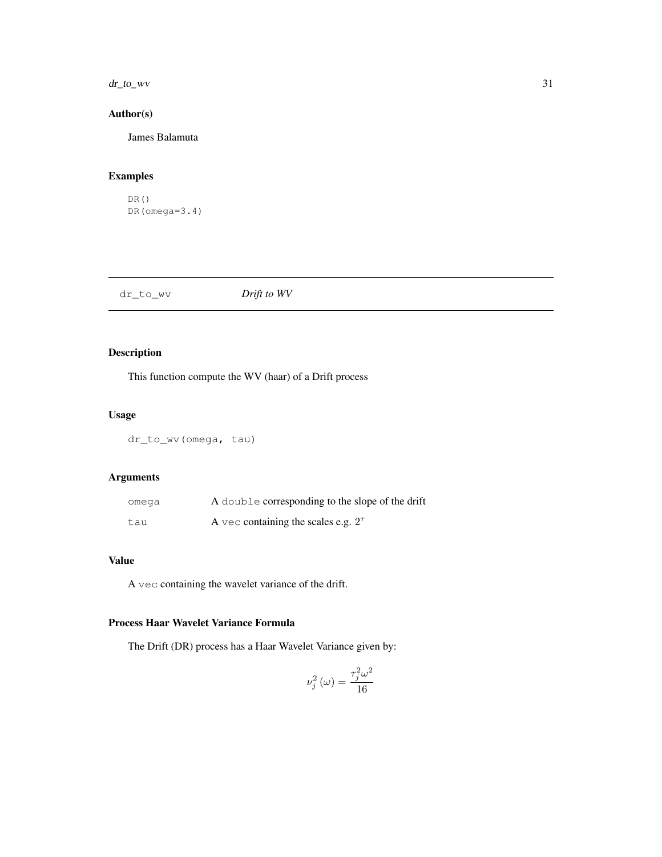#### $dr_{\perp}$  to  $\perp$  wv  $\frac{31}{2}$

# Author(s)

James Balamuta

# Examples

```
DR()
DR(omega=3.4)
```

| dr_to_wv | Drift to WV |
|----------|-------------|
|          |             |

# Description

This function compute the WV (haar) of a Drift process

### Usage

dr\_to\_wv(omega, tau)

# Arguments

| omega | A double corresponding to the slope of the drift |
|-------|--------------------------------------------------|
| tau   | A vec containing the scales e.g. $2^{\tau}$      |

# Value

A vec containing the wavelet variance of the drift.

# Process Haar Wavelet Variance Formula

The Drift (DR) process has a Haar Wavelet Variance given by:

$$
\nu_j^2\left(\omega\right) = \frac{\tau_j^2\omega^2}{16}
$$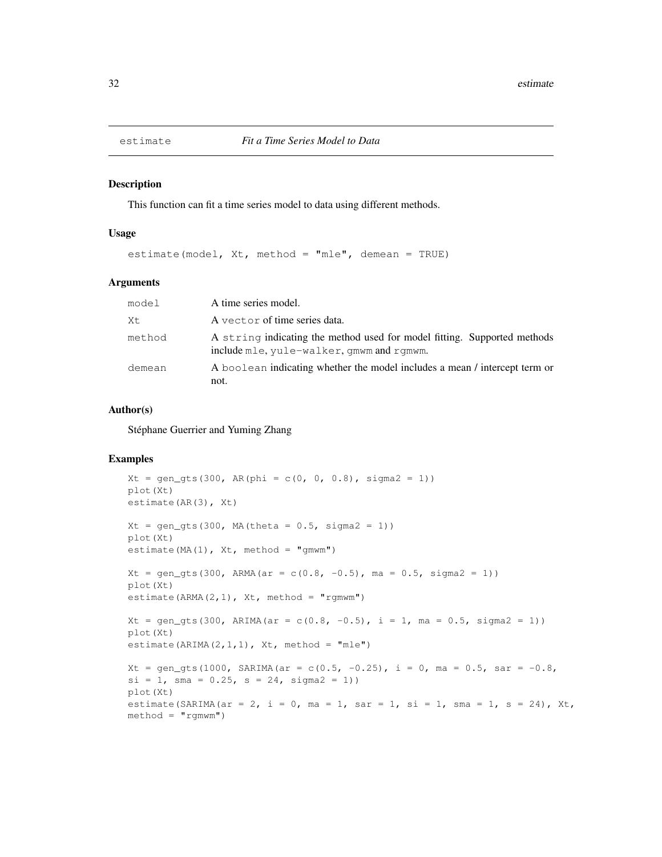This function can fit a time series model to data using different methods.

#### Usage

estimate(model, Xt, method = "mle", demean = TRUE)

#### Arguments

| model  | A time series model.                                                                                                  |
|--------|-----------------------------------------------------------------------------------------------------------------------|
| Xt     | A vector of time series data.                                                                                         |
| method | A string indicating the method used for model fitting. Supported methods<br>include mle, yule-walker, gmwm and rgmwm. |
| demean | A boolean indicating whether the model includes a mean / intercept term or<br>not.                                    |

### Author(s)

Stéphane Guerrier and Yuming Zhang

```
Xt = gen\_qts(300, AR(phi = c(0, 0, 0.8), sigma2 = 1))plot(Xt)
estimate(AR(3), Xt)
Xt = gen\_gts(300, MA(theta = 0.5, sigma2 = 1))plot(Xt)
estimate(MA(1), Xt, method = "gmwm")
Xt = gen\_gts(300, ARMA(ar = c(0.8, -0.5), ma = 0.5, sigma2 = 1))plot(Xt)
estimate(ARMA(2,1), Xt, method = "rgmwm")
Xt = gen\_gts(300, ARIMA(ar = c(0.8, -0.5), i = 1, ma = 0.5, sigma2 = 1))plot(Xt)
estimate(ARIMA(2,1,1), Xt, method = "mle")
Xt = gen_gts(1000, SARIMA(ar = c(0.5, -0.25), i = 0, ma = 0.5, sar = -0.8,
si = 1, sma = 0.25, s = 24, sigma2 = 1))
plot(Xt)
estimate(SARIMA(ar = 2, i = 0, ma = 1, sar = 1, si = 1, sma = 1, s = 24), Xt,
method = "rgmwm")
```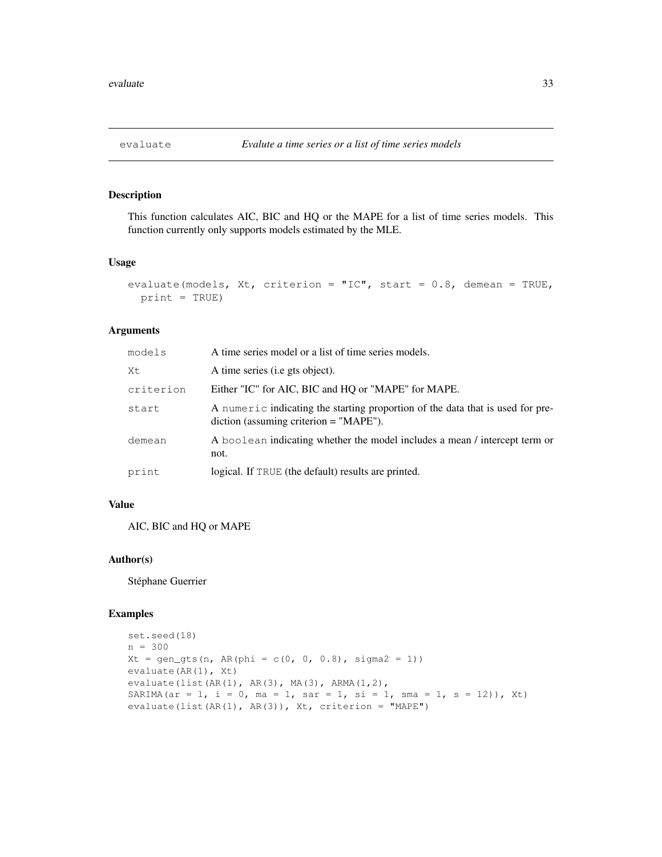This function calculates AIC, BIC and HQ or the MAPE for a list of time series models. This function currently only supports models estimated by the MLE.

### Usage

```
evaluate(models, Xt, criterion = "IC", start = 0.8, demean = TRUE,
 print = TRUE)
```
### Arguments

| models    | A time series model or a list of time series models.                                                                         |
|-----------|------------------------------------------------------------------------------------------------------------------------------|
| Χt        | A time series (i.e gts object).                                                                                              |
| criterion | Either "IC" for AIC, BIC and HQ or "MAPE" for MAPE.                                                                          |
| start     | A numeric indicating the starting proportion of the data that is used for pre-<br>$diction$ (assuming criterion $=$ "MAPE"). |
| demean    | A boolean indicating whether the model includes a mean / intercept term or<br>not.                                           |
| print     | logical. If TRUE (the default) results are printed.                                                                          |

#### Value

AIC, BIC and HQ or MAPE

#### Author(s)

Stéphane Guerrier

```
set.seed(18)
n = 300
Xt = gen\_gts(n, AR(phi = c(0, 0, 0.8), sigma2 = 1))evaluate(AR(1), Xt)
evaluate(list(AR(1), AR(3), MA(3), ARMA(1,2),
SARIMA(ar = 1, i = 0, ma = 1, sar = 1, si = 1, sma = 1, s = 12)), Xt)
evaluate(list(AR(1), AR(3)), Xt, criterion = "MAPE")
```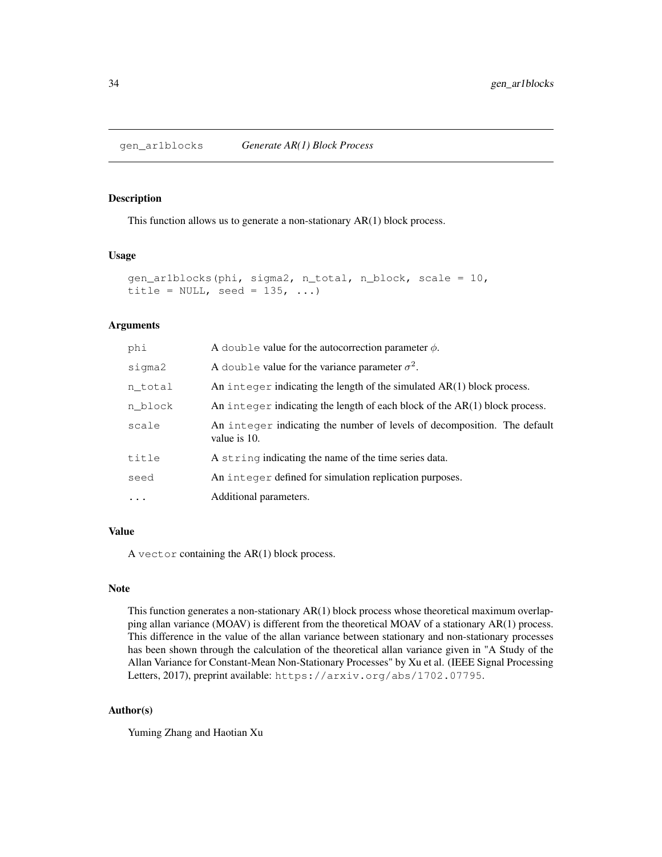This function allows us to generate a non-stationary AR(1) block process.

### Usage

```
gen_ar1blocks(phi, sigma2, n_total, n_block, scale = 10,
title = NULL, seed = 135, ...
```
#### Arguments

| phi      | A double value for the autocorrection parameter $\phi$ .                                 |
|----------|------------------------------------------------------------------------------------------|
| sigma2   | A double value for the variance parameter $\sigma^2$ .                                   |
| n_total  | An integer indicating the length of the simulated $AR(1)$ block process.                 |
| n block  | An integer indicating the length of each block of the $AR(1)$ block process.             |
| scale    | An integer indicating the number of levels of decomposition. The default<br>value is 10. |
| title    | A string indicating the name of the time series data.                                    |
| seed     | An integer defined for simulation replication purposes.                                  |
| $\ddots$ | Additional parameters.                                                                   |
|          |                                                                                          |

#### Value

A vector containing the AR(1) block process.

#### Note

This function generates a non-stationary AR(1) block process whose theoretical maximum overlapping allan variance (MOAV) is different from the theoretical MOAV of a stationary AR(1) process. This difference in the value of the allan variance between stationary and non-stationary processes has been shown through the calculation of the theoretical allan variance given in "A Study of the Allan Variance for Constant-Mean Non-Stationary Processes" by Xu et al. (IEEE Signal Processing Letters, 2017), preprint available: https://arxiv.org/abs/1702.07795.

#### Author(s)

Yuming Zhang and Haotian Xu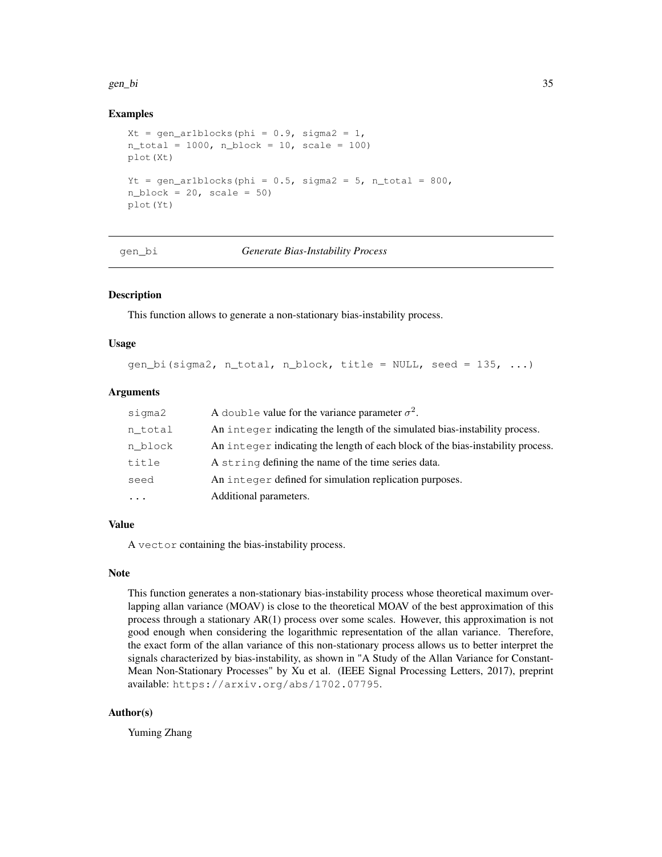#### gen\_bi 35

#### Examples

```
Xt = gen\_ar1blocks(phi = 0.9, sigma2 = 1,n_{total} = 1000, n_{block} = 10, scale = 100plot(Xt)
Yt = gen_ar1blocks(phi = 0.5, sigma2 = 5, n_total = 800,
n\_block = 20, scale = 50)
plot(Yt)
```
#### gen\_bi *Generate Bias-Instability Process*

### Description

This function allows to generate a non-stationary bias-instability process.

#### Usage

gen\_bi(sigma2, n\_total, n\_block, title = NULL, seed = 135, ...)

### Arguments

| sigma2     | A double value for the variance parameter $\sigma^2$ .                          |
|------------|---------------------------------------------------------------------------------|
| n total    | An integer indicating the length of the simulated bias-instability process.     |
| n block    | An integer indicating the length of each block of the bias-instability process. |
| title      | A string defining the name of the time series data.                             |
| seed       | An integer defined for simulation replication purposes.                         |
| $\ddots$ . | Additional parameters.                                                          |

### Value

A vector containing the bias-instability process.

#### Note

This function generates a non-stationary bias-instability process whose theoretical maximum overlapping allan variance (MOAV) is close to the theoretical MOAV of the best approximation of this process through a stationary AR(1) process over some scales. However, this approximation is not good enough when considering the logarithmic representation of the allan variance. Therefore, the exact form of the allan variance of this non-stationary process allows us to better interpret the signals characterized by bias-instability, as shown in "A Study of the Allan Variance for Constant-Mean Non-Stationary Processes" by Xu et al. (IEEE Signal Processing Letters, 2017), preprint available: https://arxiv.org/abs/1702.07795.

#### Author(s)

Yuming Zhang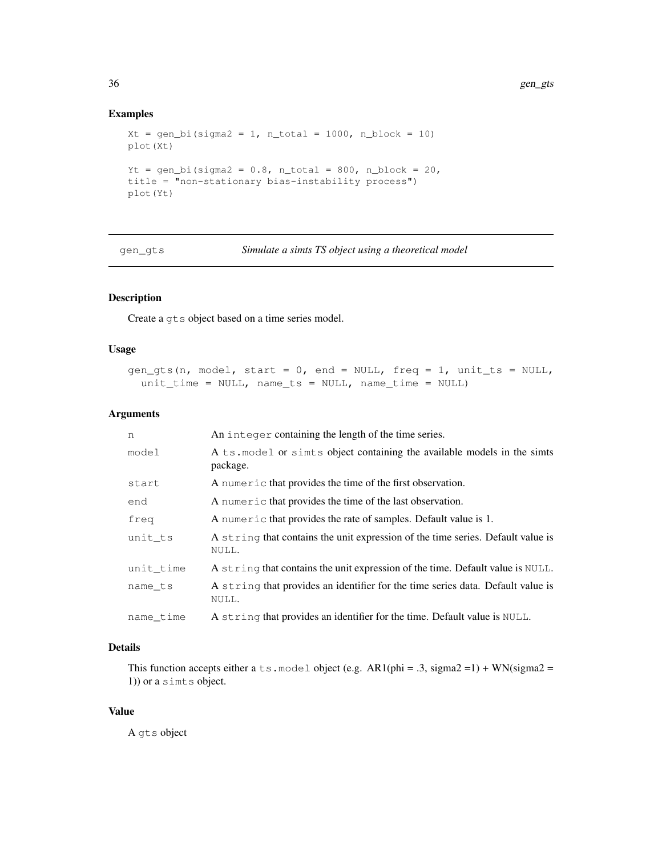### Examples

```
Xt = gen\_bi(sigma2 = 1, n\_total = 1000, n\_block = 10)plot(Xt)
Yt = gen_bi(sigma2 = 0.8, n_total = 800, n_block = 20,
title = "non-stationary bias-instability process")
plot(Yt)
```
gen\_gts *Simulate a simts TS object using a theoretical model*

# Description

Create a gts object based on a time series model.

#### Usage

```
gen_gts(n, model, start = 0, end = NULL, freq = 1, unit_ts = NULL,
 unit_time = NULL, name_ts = NULL, name_time = NULL)
```
#### Arguments

| n         | An integer containing the length of the time series.                                     |
|-----------|------------------------------------------------------------------------------------------|
| model     | A ts. model or simis object containing the available models in the simis<br>package.     |
| start     | A numeric that provides the time of the first observation.                               |
| end       | A numeric that provides the time of the last observation.                                |
| freq      | A numeric that provides the rate of samples. Default value is 1.                         |
| unit ts   | A string that contains the unit expression of the time series. Default value is<br>NULL. |
| unit time | A string that contains the unit expression of the time. Default value is NULL.           |
| name ts   | A string that provides an identifier for the time series data. Default value is<br>NULL. |
| name_time | A string that provides an identifier for the time. Default value is NULL.                |

### Details

This function accepts either a ts.model object (e.g. AR1(phi = .3, sigma2 =1) + WN(sigma2 = 1)) or a simts object.

#### Value

A gts object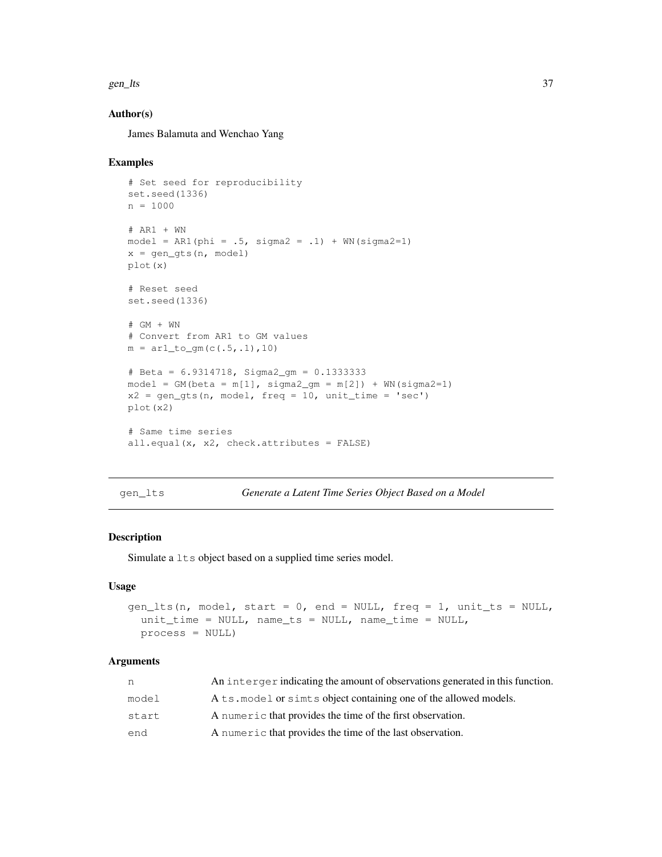#### gen\_lts 37

### Author(s)

James Balamuta and Wenchao Yang

#### Examples

```
# Set seed for reproducibility
set.seed(1336)
n = 1000# AR1 + WN
model = AR1(phi = .5, sigma2 = .1) + WN(sigma2=1)x = gen\_gts(n, model)plot(x)
# Reset seed
set.seed(1336)
# GM + WN
# Convert from AR1 to GM values
m = ar1_to_gm(c(.5,.1),10)# Beta = 6.9314718, Sigma2_gm = 0.1333333
model = GM(beta = m[1], sigma2_gm = m[2]) + WN(sigma2=1)x2 = gen\_gts(n, model, freq = 10, unit_time = 'sec')plot(x2)
# Same time series
all.equal(x, x2, check.attributes = FALSE)
```
gen\_lts *Generate a Latent Time Series Object Based on a Model*

### Description

Simulate a  $l$ ts object based on a supplied time series model.

### Usage

```
gen_lts(n, model, start = 0, end = NULL, freq = 1, unit_ts = NULL,
 unit_time = NULL, name_ts = NULL, name_time = NULL,
 process = NULL)
```
# Arguments

| n     | An interger indicating the amount of observations generated in this function. |
|-------|-------------------------------------------------------------------------------|
| model | A ts model or simis object containing one of the allowed models.              |
| start | A numeric that provides the time of the first observation.                    |
| end   | A numeric that provides the time of the last observation.                     |
|       |                                                                               |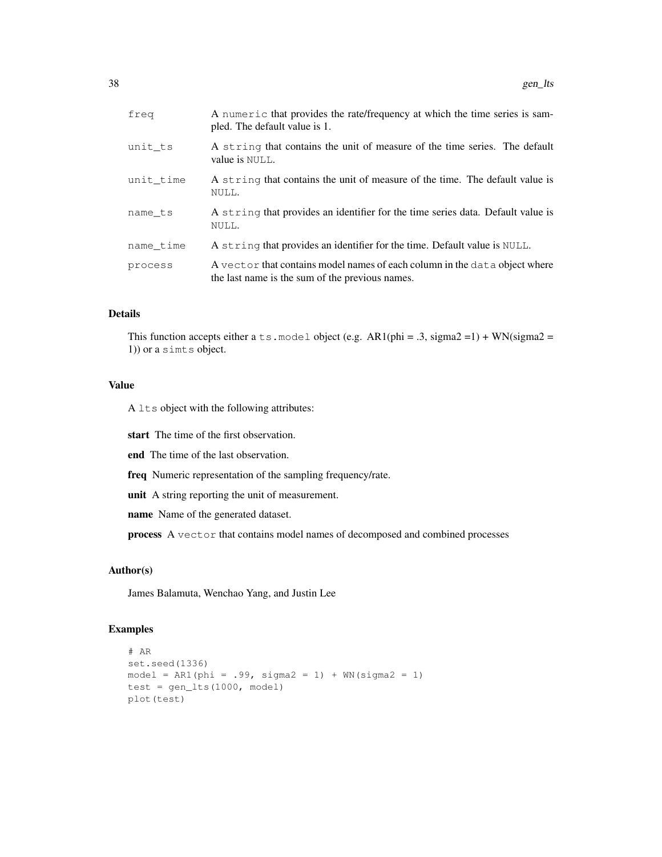| freq      | A numeric that provides the rate/frequency at which the time series is sam-<br>pled. The default value is 1.                  |
|-----------|-------------------------------------------------------------------------------------------------------------------------------|
| unit_ts   | A string that contains the unit of measure of the time series. The default<br>value is NULL.                                  |
| unit time | A string that contains the unit of measure of the time. The default value is<br>NULL.                                         |
| name ts   | A string that provides an identifier for the time series data. Default value is<br>NULL.                                      |
| name time | A string that provides an identifier for the time. Default value is NULL.                                                     |
| process   | A vector that contains model names of each column in the data object where<br>the last name is the sum of the previous names. |
|           |                                                                                                                               |

#### Details

This function accepts either a ts.model object (e.g.  $AR1(\text{phi} = .3, \text{sigma2} = 1) + \text{WN}(\text{sigma2} = 1)$ 1)) or a simts object.

#### Value

A lts object with the following attributes:

start The time of the first observation.

end The time of the last observation.

freq Numeric representation of the sampling frequency/rate.

unit A string reporting the unit of measurement.

name Name of the generated dataset.

process A vector that contains model names of decomposed and combined processes

# Author(s)

James Balamuta, Wenchao Yang, and Justin Lee

```
# AR
set.seed(1336)
model = ARI(phi = .99, sigma2 = 1) + WN(sigma2 = 1)test = gen_lts(1000, model)
plot(test)
```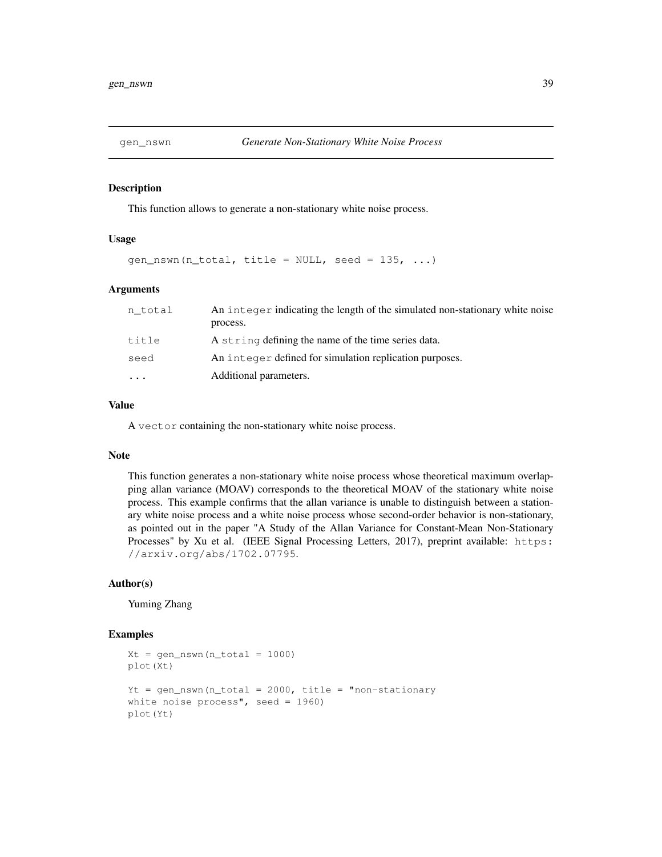This function allows to generate a non-stationary white noise process.

#### Usage

gen\_nswn(n\_total, title = NULL, seed =  $135$ , ...)

#### Arguments

| n total  | An integer indicating the length of the simulated non-stationary white noise |
|----------|------------------------------------------------------------------------------|
|          | process.                                                                     |
| title    | A string defining the name of the time series data.                          |
| seed     | An integer defined for simulation replication purposes.                      |
| $\cdots$ | Additional parameters.                                                       |

#### Value

A vector containing the non-stationary white noise process.

#### Note

This function generates a non-stationary white noise process whose theoretical maximum overlapping allan variance (MOAV) corresponds to the theoretical MOAV of the stationary white noise process. This example confirms that the allan variance is unable to distinguish between a stationary white noise process and a white noise process whose second-order behavior is non-stationary, as pointed out in the paper "A Study of the Allan Variance for Constant-Mean Non-Stationary Processes" by Xu et al. (IEEE Signal Processing Letters, 2017), preprint available: https: //arxiv.org/abs/1702.07795.

# Author(s)

Yuming Zhang

```
Xt = gen_nswn(n_{total} = 1000)plot(Xt)
Yt = gen_nswn(n_total = 2000, title = "non-stationary
white noise process", seed = 1960)
plot(Yt)
```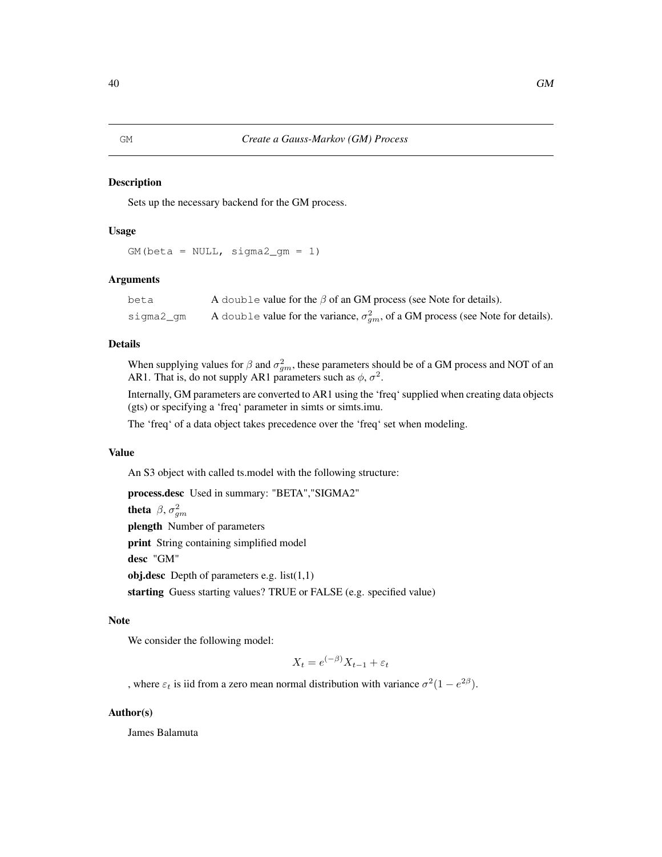Sets up the necessary backend for the GM process.

#### Usage

```
GM(beta = NULL, sigma2_{gm} = 1)
```
#### Arguments

| beta      | A double value for the $\beta$ of an GM process (see Note for details).                    |
|-----------|--------------------------------------------------------------------------------------------|
| siqma2 qm | A double value for the variance, $\sigma_{qm}^2$ , of a GM process (see Note for details). |

### Details

When supplying values for  $\beta$  and  $\sigma_{gm}^2$ , these parameters should be of a GM process and NOT of an AR1. That is, do not supply AR1 parameters such as  $\phi$ ,  $\sigma^2$ .

Internally, GM parameters are converted to AR1 using the 'freq' supplied when creating data objects (gts) or specifying a 'freq' parameter in simts or simts.imu.

The 'freq' of a data object takes precedence over the 'freq' set when modeling.

### Value

An S3 object with called ts.model with the following structure:

process.desc Used in summary: "BETA","SIGMA2"

theta  $\beta$ ,  $\sigma_{gm}^2$ 

plength Number of parameters

print String containing simplified model

desc "GM"

obj.desc Depth of parameters e.g.  $list(1,1)$ 

starting Guess starting values? TRUE or FALSE (e.g. specified value)

### Note

We consider the following model:

$$
X_t = e^{(-\beta)} X_{t-1} + \varepsilon_t
$$

, where  $\varepsilon_t$  is iid from a zero mean normal distribution with variance  $\sigma^2(1 - e^{2\beta})$ .

### Author(s)

James Balamuta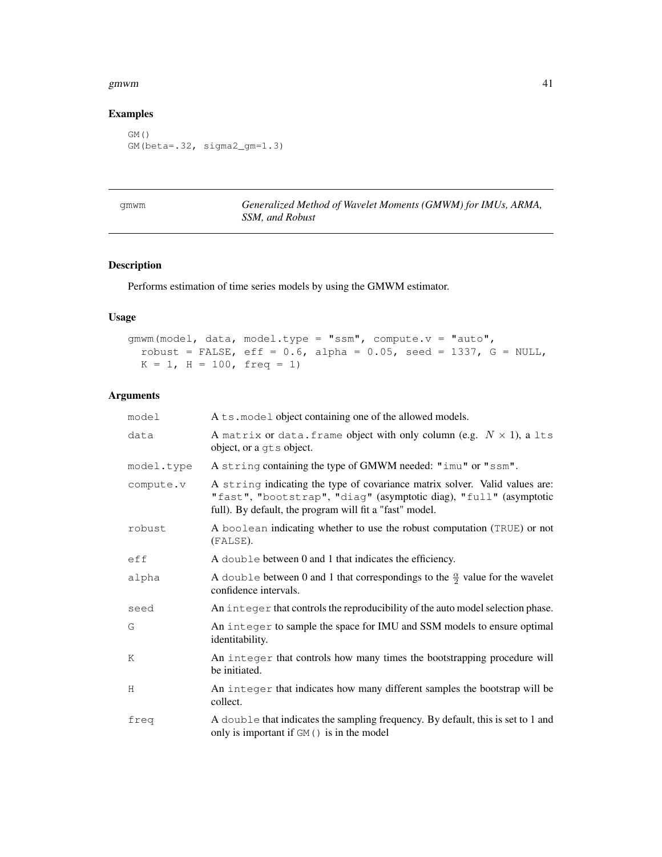#### gmwm  $41$

# Examples

```
GM()
GM(beta=.32, sigma2_gm=1.3)
```
gmwm *Generalized Method of Wavelet Moments (GMWM) for IMUs, ARMA, SSM, and Robust*

# Description

Performs estimation of time series models by using the GMWM estimator.

# Usage

```
gmwm(model, data, model.type = "ssm", compute.v = "auto",
 robust = FALSE, eff = 0.6, alpha = 0.05, seed = 1337, G = NULL,
 K = 1, H = 100, freq = 1)
```
# Arguments

| model      | A ts. model object containing one of the allowed models.                                                                                                                                                    |
|------------|-------------------------------------------------------------------------------------------------------------------------------------------------------------------------------------------------------------|
| data       | A matrix or data. frame object with only column (e.g. $N \times 1$ ), a lts<br>object, or a gts object.                                                                                                     |
| model.type | A string containing the type of GMWM needed: "imu" or "ssm".                                                                                                                                                |
| compute.v  | A string indicating the type of covariance matrix solver. Valid values are:<br>"fast", "bootstrap", "diag" (asymptotic diag), "full" (asymptotic<br>full). By default, the program will fit a "fast" model. |
| robust     | A boolean indicating whether to use the robust computation (TRUE) or not<br>(FALSE).                                                                                                                        |
| eff        | A double between 0 and 1 that indicates the efficiency.                                                                                                                                                     |
| alpha      | A double between 0 and 1 that correspondings to the $\frac{\alpha}{2}$ value for the wavelet<br>confidence intervals.                                                                                       |
| seed       | An integer that controls the reproducibility of the auto model selection phase.                                                                                                                             |
| G          | An integer to sample the space for IMU and SSM models to ensure optimal<br>identitability.                                                                                                                  |
| K          | An integer that controls how many times the bootstrapping procedure will<br>be initiated.                                                                                                                   |
| H          | An integer that indicates how many different samples the bootstrap will be<br>collect.                                                                                                                      |
| freq       | A double that indicates the sampling frequency. By default, this is set to 1 and<br>only is important if GM () is in the model                                                                              |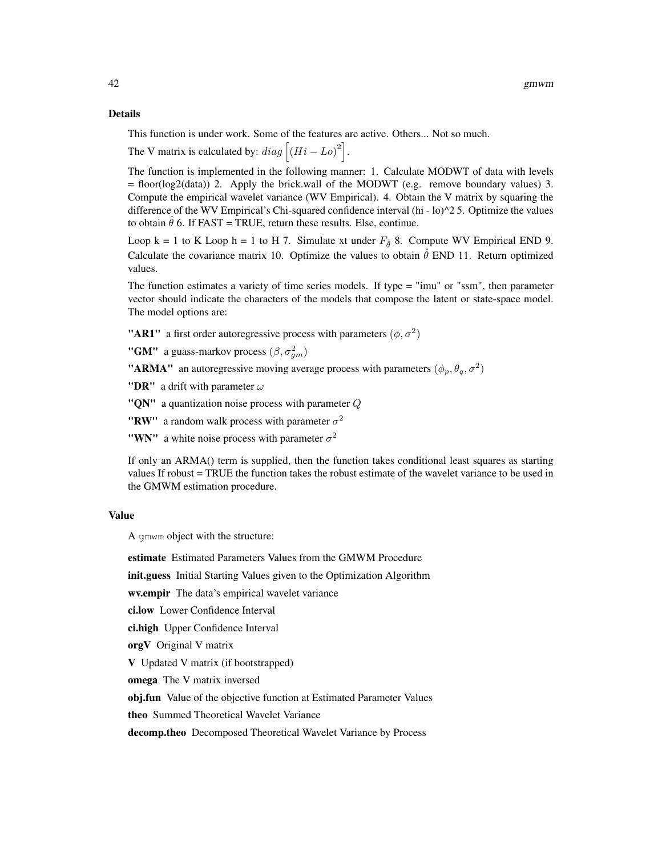#### Details

This function is under work. Some of the features are active. Others... Not so much.

The V matrix is calculated by:  $diag [(Hi - Lo)^2]$ .

The function is implemented in the following manner: 1. Calculate MODWT of data with levels = floor(log2(data)) 2. Apply the brick.wall of the MODWT (e.g. remove boundary values) 3. Compute the empirical wavelet variance (WV Empirical). 4. Obtain the V matrix by squaring the difference of the WV Empirical's Chi-squared confidence interval (hi - lo)^2 5. Optimize the values to obtain  $\hat{\theta}$  6. If FAST = TRUE, return these results. Else, continue.

Loop k = 1 to K Loop h = 1 to H 7. Simulate xt under  $F_{\hat{\theta}}$  8. Compute WV Empirical END 9. Calculate the covariance matrix 10. Optimize the values to obtain  $\hat{\theta}$  END 11. Return optimized values.

The function estimates a variety of time series models. If type = "imu" or "ssm", then parameter vector should indicate the characters of the models that compose the latent or state-space model. The model options are:

"AR1" a first order autoregressive process with parameters  $(\phi, \sigma^2)$ 

**"GM"** a guass-markov process  $(\beta, \sigma_{gm}^2)$ 

"ARMA" an autoregressive moving average process with parameters  $(\phi_p, \theta_q, \sigma^2)$ 

"DR" a drift with parameter  $\omega$ 

" $\bf QN$ " a quantization noise process with parameter  $\bf Q$ 

"RW" a random walk process with parameter  $\sigma^2$ 

"WN" a white noise process with parameter  $\sigma^2$ 

If only an ARMA() term is supplied, then the function takes conditional least squares as starting values If robust = TRUE the function takes the robust estimate of the wavelet variance to be used in the GMWM estimation procedure.

#### Value

A gmwm object with the structure:

estimate Estimated Parameters Values from the GMWM Procedure

init.guess Initial Starting Values given to the Optimization Algorithm

wv.empir The data's empirical wavelet variance

ci.low Lower Confidence Interval

ci.high Upper Confidence Interval

orgV Original V matrix

V Updated V matrix (if bootstrapped)

omega The V matrix inversed

obj.fun Value of the objective function at Estimated Parameter Values

theo Summed Theoretical Wavelet Variance

decomp.theo Decomposed Theoretical Wavelet Variance by Process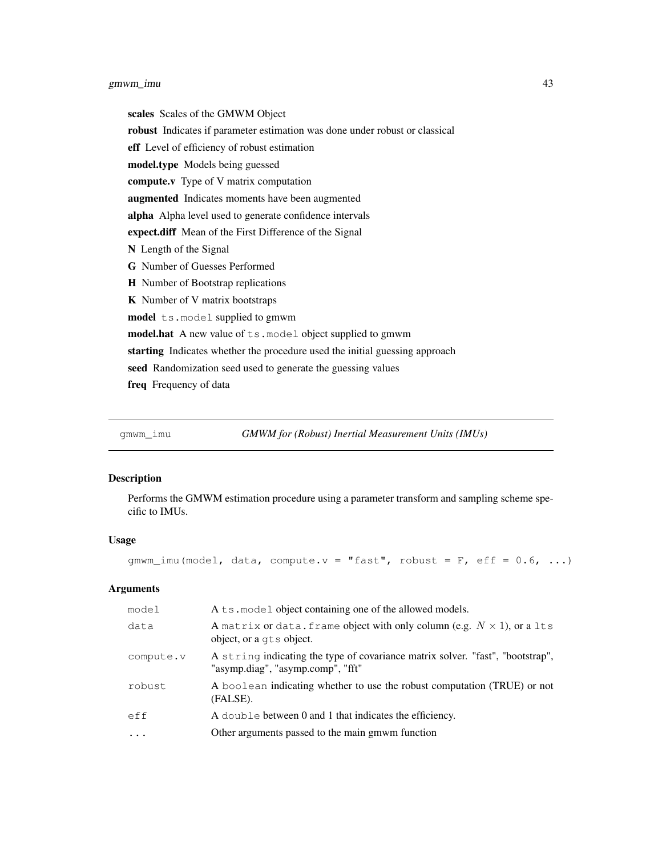# gmwm\_imu 43

scales Scales of the GMWM Object robust Indicates if parameter estimation was done under robust or classical eff Level of efficiency of robust estimation model.type Models being guessed compute.v Type of V matrix computation augmented Indicates moments have been augmented alpha Alpha level used to generate confidence intervals expect.diff Mean of the First Difference of the Signal N Length of the Signal G Number of Guesses Performed H Number of Bootstrap replications K Number of V matrix bootstraps model ts.model supplied to gmwm model.hat A new value of ts.model object supplied to gmwm starting Indicates whether the procedure used the initial guessing approach seed Randomization seed used to generate the guessing values freq Frequency of data

gmwm\_imu *GMWM for (Robust) Inertial Measurement Units (IMUs)*

#### Description

Performs the GMWM estimation procedure using a parameter transform and sampling scheme specific to IMUs.

#### Usage

gmwm\_imu(model, data, compute.v = "fast", robust = F, eff =  $0.6$ , ...)

# Arguments

| model     | A ts. model object containing one of the allowed models.                                                            |
|-----------|---------------------------------------------------------------------------------------------------------------------|
| data      | A matrix or data. frame object with only column (e.g. $N \times 1$ ), or a 1ts<br>object, or a qts object.          |
| compute.v | A string indicating the type of covariance matrix solver. "fast", "bootstrap",<br>"asymp.diag", "asymp.comp", "fft" |
| robust    | A boolean indicating whether to use the robust computation (TRUE) or not<br>(FALSE).                                |
| eff       | A double between 0 and 1 that indicates the efficiency.                                                             |
| $\cdots$  | Other arguments passed to the main gmwm function                                                                    |
|           |                                                                                                                     |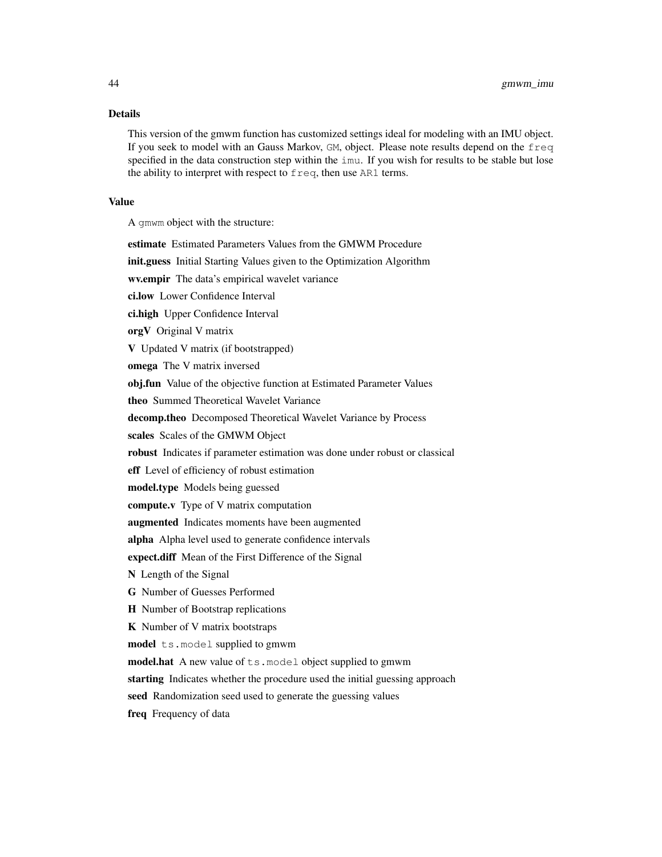# Details

This version of the gmwm function has customized settings ideal for modeling with an IMU object. If you seek to model with an Gauss Markov, GM, object. Please note results depend on the freq specified in the data construction step within the imu. If you wish for results to be stable but lose the ability to interpret with respect to freq, then use AR1 terms.

### Value

A gmwm object with the structure:

| estimate Estimated Parameters Values from the GMWM Procedure                |
|-----------------------------------------------------------------------------|
| init.guess Initial Starting Values given to the Optimization Algorithm      |
| wv.empir The data's empirical wavelet variance                              |
| ci.low Lower Confidence Interval                                            |
| ci.high Upper Confidence Interval                                           |
| orgV Original V matrix                                                      |
| V Updated V matrix (if bootstrapped)                                        |
| omega The V matrix inversed                                                 |
| obj.fun Value of the objective function at Estimated Parameter Values       |
| theo Summed Theoretical Wavelet Variance                                    |
| decomp.theo Decomposed Theoretical Wavelet Variance by Process              |
| scales Scales of the GMWM Object                                            |
| robust Indicates if parameter estimation was done under robust or classical |
| eff Level of efficiency of robust estimation                                |
| model.type Models being guessed                                             |
| compute.v Type of V matrix computation                                      |
| augmented Indicates moments have been augmented                             |
| alpha Alpha level used to generate confidence intervals                     |
| expect.diff Mean of the First Difference of the Signal                      |
| N Length of the Signal                                                      |
| G Number of Guesses Performed                                               |
| H Number of Bootstrap replications                                          |
| <b>K</b> Number of V matrix bootstraps                                      |
| model ts.model supplied to gmwm                                             |
| model.hat A new value of ts. model object supplied to gmwm                  |
| starting Indicates whether the procedure used the initial guessing approach |
| seed Randomization seed used to generate the guessing values                |
|                                                                             |

freq Frequency of data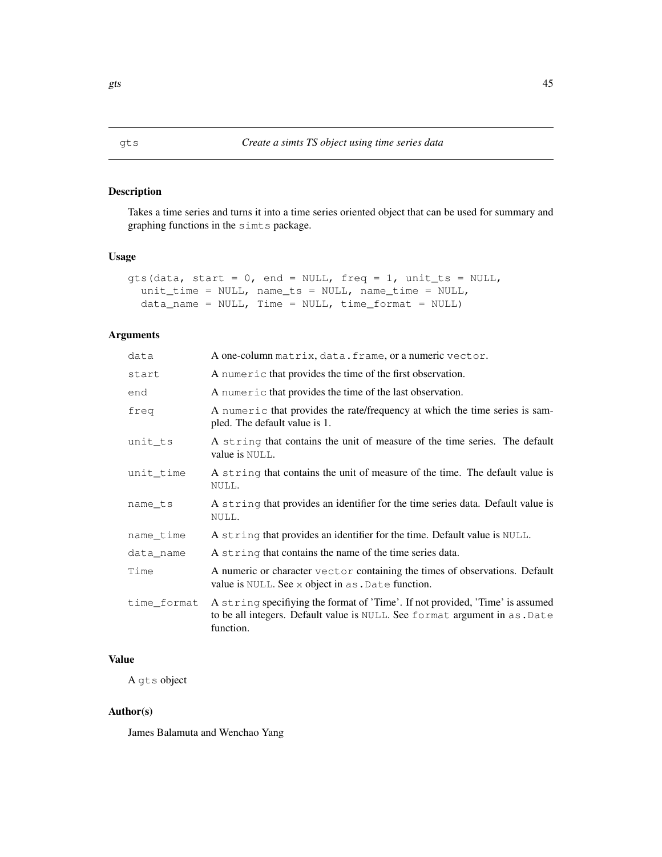Takes a time series and turns it into a time series oriented object that can be used for summary and graphing functions in the simts package.

### Usage

```
gts(data, start = 0, end = NULL, freq = 1, unit_ts = NULL,
  unit_time = NULL, name_ts = NULL, name_time = NULL,
 data_name = NULL, Time = NULL, time_function = NULL)
```
### Arguments

| data        | A one-column matrix, data. frame, or a numeric vector.                                                                                                                   |
|-------------|--------------------------------------------------------------------------------------------------------------------------------------------------------------------------|
| start       | A numeric that provides the time of the first observation.                                                                                                               |
| end         | A numeric that provides the time of the last observation.                                                                                                                |
| freq        | A numeric that provides the rate/frequency at which the time series is sam-<br>pled. The default value is 1.                                                             |
| unit ts     | A string that contains the unit of measure of the time series. The default<br>value is NULL.                                                                             |
| unit time   | A string that contains the unit of measure of the time. The default value is<br>NULL.                                                                                    |
| name ts     | A string that provides an identifier for the time series data. Default value is<br>NULL.                                                                                 |
| name time   | A string that provides an identifier for the time. Default value is NULL.                                                                                                |
| data name   | A string that contains the name of the time series data.                                                                                                                 |
| Time        | A numeric or character vector containing the times of observations. Default<br>value is NULL. See x object in as . Date function.                                        |
| time_format | A string specifiying the format of 'Time'. If not provided, 'Time' is assumed<br>to be all integers. Default value is NULL. See format argument in as. Date<br>function. |

# Value

A gts object

#### Author(s)

James Balamuta and Wenchao Yang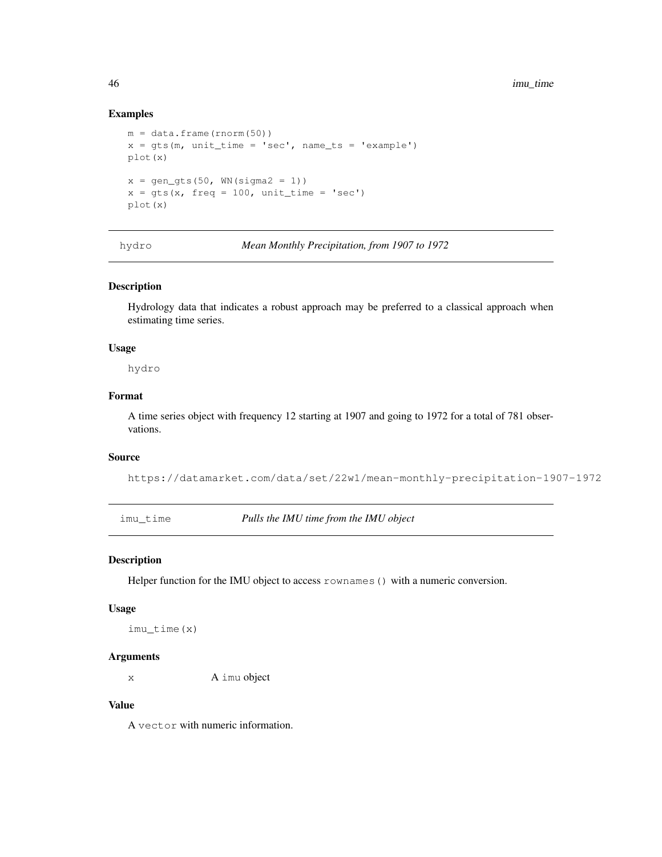### Examples

```
m = data . frame (rnorm(50))x = gts(m, unit_time = 'sec', name_ts = 'example')plot(x)
x = \text{gen\_qts}(50, \text{WN}( \text{sigma2} = 1))x = gts(x, freq = 100, unit_time = 'sec')plot(x)
```
hydro *Mean Monthly Precipitation, from 1907 to 1972*

### Description

Hydrology data that indicates a robust approach may be preferred to a classical approach when estimating time series.

#### Usage

hydro

#### Format

A time series object with frequency 12 starting at 1907 and going to 1972 for a total of 781 observations.

### Source

```
https://datamarket.com/data/set/22w1/mean-monthly-precipitation-1907-1972
```
imu\_time *Pulls the IMU time from the IMU object*

### Description

Helper function for the IMU object to access rownames () with a numeric conversion.

#### Usage

imu\_time(x)

#### Arguments

x A imu object

#### Value

A vector with numeric information.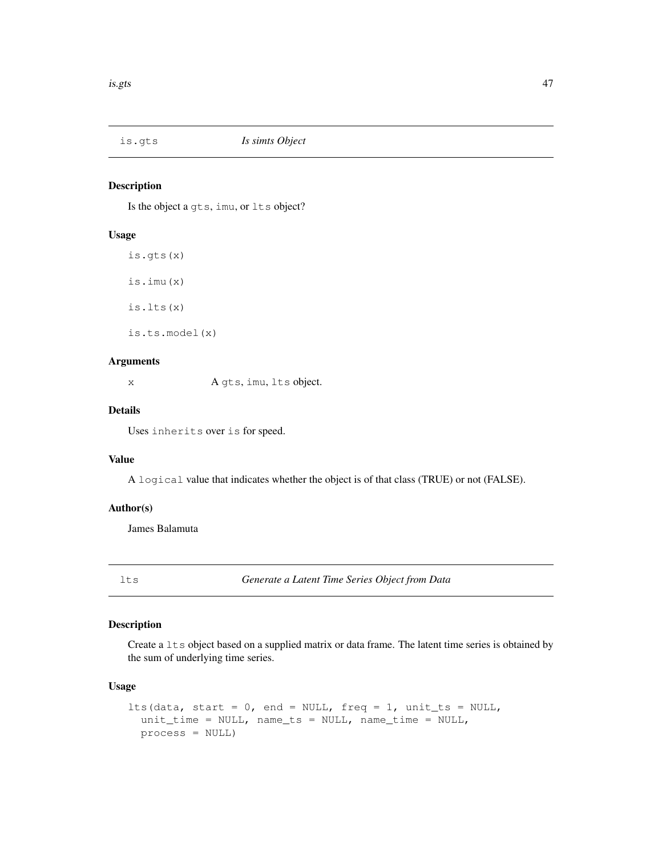Is the object a gts, imu, or lts object?

#### Usage

is.gts(x) is.imu(x) is.lts(x) is.ts.model(x)

#### Arguments

x A gts, imu, lts object.

# Details

Uses inherits over is for speed.

# Value

A logical value that indicates whether the object is of that class (TRUE) or not (FALSE).

#### Author(s)

James Balamuta

lts *Generate a Latent Time Series Object from Data*

# Description

Create a  $l$ ts object based on a supplied matrix or data frame. The latent time series is obtained by the sum of underlying time series.

### Usage

```
lts(data, start = 0, end = NULL, freq = 1, unit_ts = NULL,
 unit_time = NULL, name_ts = NULL, name_time = NULL,
 process = NULL)
```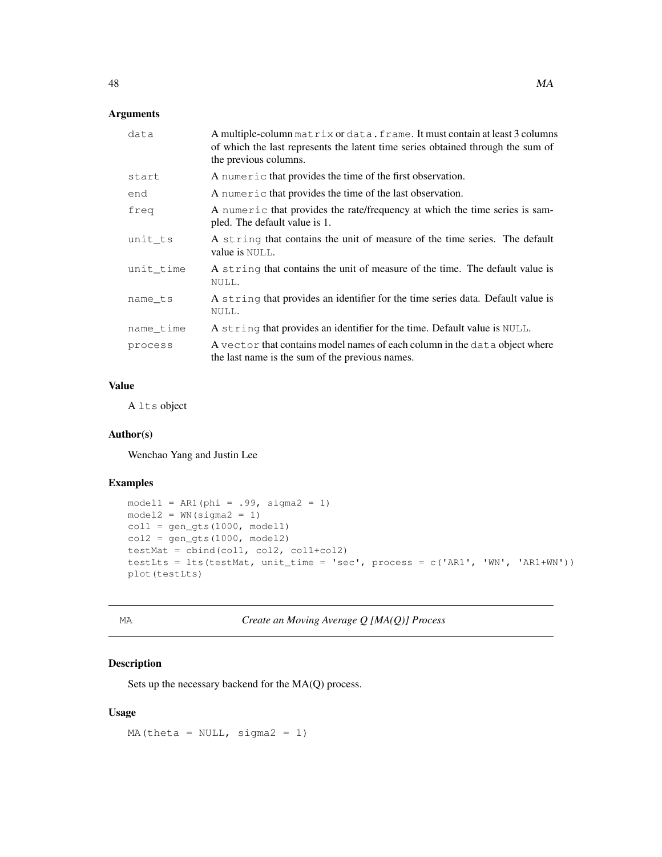# Arguments

| data      | A multiple-column matrix or data. frame. It must contain at least 3 columns<br>of which the last represents the latent time series obtained through the sum of<br>the previous columns. |
|-----------|-----------------------------------------------------------------------------------------------------------------------------------------------------------------------------------------|
| start     | A numeric that provides the time of the first observation.                                                                                                                              |
| end       | A numeric that provides the time of the last observation.                                                                                                                               |
| freq      | A numeric that provides the rate/frequency at which the time series is sam-<br>pled. The default value is 1.                                                                            |
| unit ts   | A string that contains the unit of measure of the time series. The default<br>value is NULL.                                                                                            |
| unit time | A string that contains the unit of measure of the time. The default value is<br>NULL.                                                                                                   |
| name ts   | A string that provides an identifier for the time series data. Default value is<br>NULL.                                                                                                |
| name time | A string that provides an identifier for the time. Default value is NULL.                                                                                                               |
| process   | A vector that contains model names of each column in the data object where<br>the last name is the sum of the previous names.                                                           |

### Value

A lts object

# Author(s)

Wenchao Yang and Justin Lee

# Examples

```
model1 = ARI(phi = .99, sigma2 = 1)model2 = WN(sigma2 = 1)coll = gen\_gts(1000, model1)col2 = gen\_gts(1000, model2)testMat = cbind(coll, col2, col1+col2)testLts = lts(testMat, unit_time = 'sec', process = c('AR1', 'WN', 'AR1+WN'))
plot(testLts)
```
MA *Create an Moving Average Q [MA(Q)] Process*

# Description

Sets up the necessary backend for the MA(Q) process.

### Usage

MA(theta =  $NULL, sigma2 = 1)$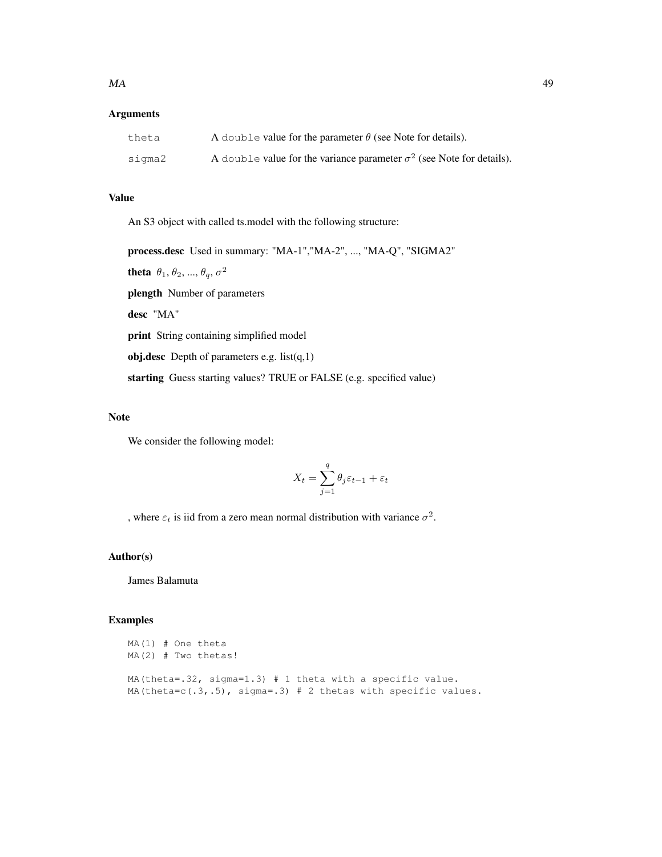# Arguments

| theta  | A double value for the parameter $\theta$ (see Note for details).            |
|--------|------------------------------------------------------------------------------|
| siqma2 | A double value for the variance parameter $\sigma^2$ (see Note for details). |

# Value

An S3 object with called ts.model with the following structure:

process.desc Used in summary: "MA-1","MA-2", ..., "MA-Q", "SIGMA2" theta  $\theta_1$ ,  $\theta_2$ , ...,  $\theta_q$ ,  $\sigma^2$ plength Number of parameters desc "MA" print String containing simplified model obj.desc Depth of parameters e.g.  $list(q,1)$ starting Guess starting values? TRUE or FALSE (e.g. specified value)

# Note

We consider the following model:

$$
X_t = \sum_{j=1}^q \theta_j \varepsilon_{t-1} + \varepsilon_t
$$

, where  $\varepsilon_t$  is iid from a zero mean normal distribution with variance  $\sigma^2$ .

# Author(s)

James Balamuta

```
MA(1) # One theta
MA(2) # Two thetas!
MA(theta=.32, sigma=1.3) # 1 theta with a specific value.
MA(theta=c(.3,.5), sigma=.3) # 2 thetas with specific values.
```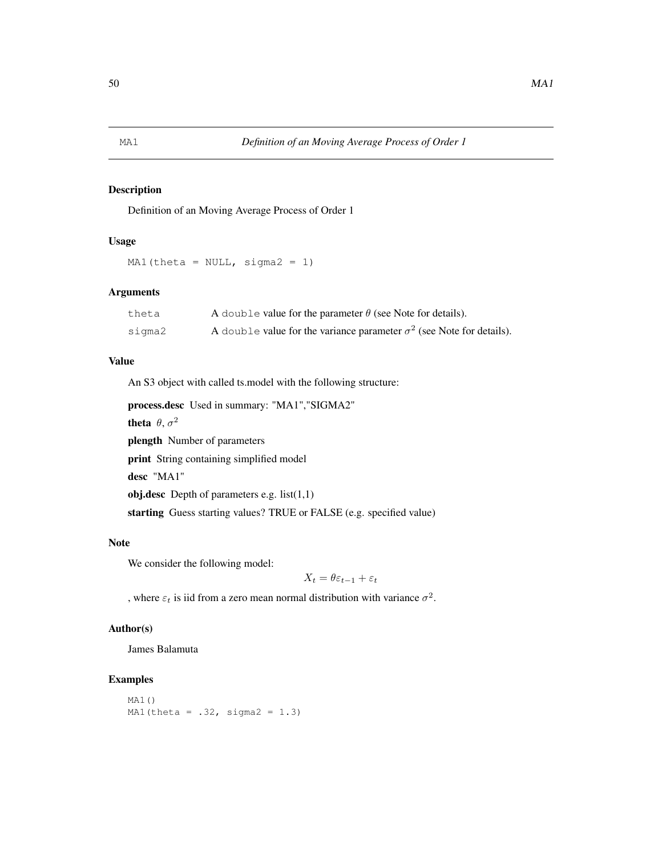Definition of an Moving Average Process of Order 1

# Usage

MA1(theta =  $NULL, sigma2 = 1)$ 

# Arguments

| theta  | A double value for the parameter $\theta$ (see Note for details).            |
|--------|------------------------------------------------------------------------------|
| sigma2 | A double value for the variance parameter $\sigma^2$ (see Note for details). |

# Value

An S3 object with called ts.model with the following structure:

process.desc Used in summary: "MA1","SIGMA2"

theta  $\theta$ ,  $\sigma^2$ 

plength Number of parameters

print String containing simplified model

desc "MA1"

obj.desc Depth of parameters e.g.  $list(1,1)$ 

starting Guess starting values? TRUE or FALSE (e.g. specified value)

### Note

We consider the following model:

$$
X_t = \theta \varepsilon_{t-1} + \varepsilon_t
$$

, where  $\varepsilon_t$  is iid from a zero mean normal distribution with variance  $\sigma^2$ .

#### Author(s)

James Balamuta

```
MA1()
MA1(theta = .32, sigma2 = 1.3)
```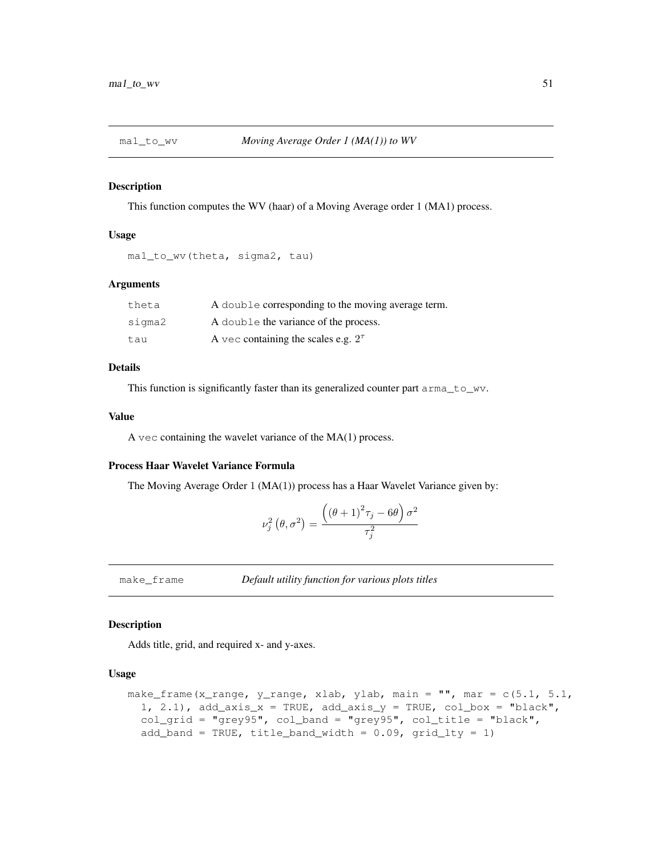This function computes the WV (haar) of a Moving Average order 1 (MA1) process.

#### Usage

```
ma1_to_wv(theta, sigma2, tau)
```
# Arguments

| theta  | A double corresponding to the moving average term. |
|--------|----------------------------------------------------|
| sigma2 | A double the variance of the process.              |
| tau    | A vec containing the scales e.g. $2^{\tau}$        |

### Details

This function is significantly faster than its generalized counter part arma\_to\_wv.

### Value

A vec containing the wavelet variance of the MA(1) process.

### Process Haar Wavelet Variance Formula

The Moving Average Order 1 (MA(1)) process has a Haar Wavelet Variance given by:

$$
\nu_j^2(\theta, \sigma^2) = \frac{\left((\theta + 1)^2 \tau_j - 6\theta\right)\sigma^2}{\tau_j^2}
$$

make\_frame *Default utility function for various plots titles*

# Description

Adds title, grid, and required x- and y-axes.

#### Usage

```
make_frame(x_range, y_range, xlab, ylab, main = "'', mar = c(5.1, 5.1, 5.1)1, 2.1), add_axis_x = TRUE, add_axis_y = TRUE, col_box = "black",
  col\_grid = "grey95", col\_band = "grey95", col\_title = "black",add_band = TRUE, title_band_width = 0.09, grid_lty = 1)
```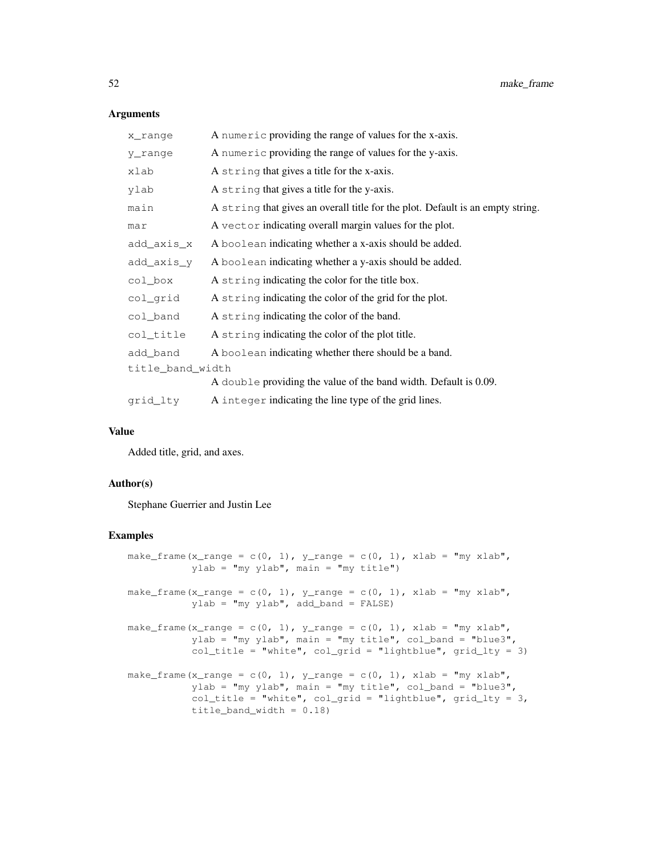#### Arguments

| x range          | A numeric providing the range of values for the x-axis.                        |  |
|------------------|--------------------------------------------------------------------------------|--|
| y_range          | A numeric providing the range of values for the y-axis.                        |  |
| xlab             | A string that gives a title for the x-axis.                                    |  |
| ylab             | A string that gives a title for the y-axis.                                    |  |
| main             | A string that gives an overall title for the plot. Default is an empty string. |  |
| mar              | A vector indicating overall margin values for the plot.                        |  |
| add_axis_x       | A boolean indicating whether a x-axis should be added.                         |  |
| add_axis_y       | A boolean indicating whether a y-axis should be added.                         |  |
| col_box          | A string indicating the color for the title box.                               |  |
| col_grid         | A string indicating the color of the grid for the plot.                        |  |
| col_band         | A string indicating the color of the band.                                     |  |
| col_title        | A string indicating the color of the plot title.                               |  |
| add_band         | A boolean indicating whether there should be a band.                           |  |
| title_band_width |                                                                                |  |
|                  | A double providing the value of the band width. Default is 0.09.               |  |
| grid lty         | A integer indicating the line type of the grid lines.                          |  |
|                  |                                                                                |  |

#### Value

Added title, grid, and axes.

# Author(s)

Stephane Guerrier and Justin Lee

```
make_frame(x_range = c(0, 1), y_range = c(0, 1), xlab = "my xlab",
           ylab = "my ylab", main = "my title")
make_frame(x_range = c(0, 1), y_range = c(0, 1), xlab = "my xlab",
           ylab = "my ylab", add_band = FALSE)
make_frame(x_range = c(0, 1), y_range = c(0, 1), xlab = "my xlab",
           ylab = "my ylab", main = "my title", col_band = "blue3",
           col\_title = "white", col\_grid = "lightblue", grid\_lty = 3)make_frame(x_range = c(0, 1), y_range = c(0, 1), xlab = "my xlab",
           ylab = "my ylab", main = "my title", col_band = "blue3",
           col\_title = "white", col\_grid = "lightblue", grid\_lty = 3,title_band_width = 0.18)
```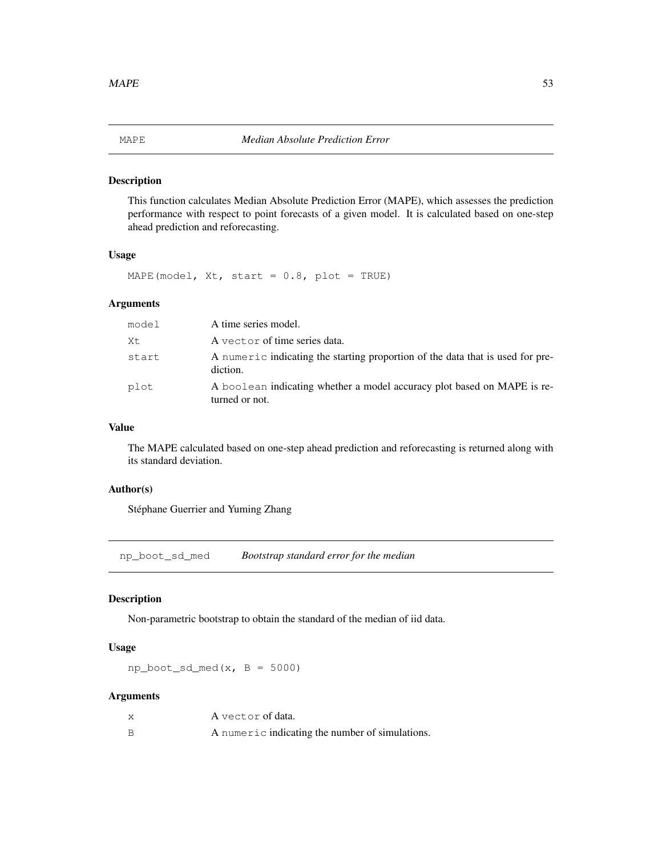This function calculates Median Absolute Prediction Error (MAPE), which assesses the prediction performance with respect to point forecasts of a given model. It is calculated based on one-step ahead prediction and reforecasting.

# Usage

MAPE(model,  $Xt$ , start =  $0.8$ , plot = TRUE)

# Arguments

| model | A time series model.                                                                       |
|-------|--------------------------------------------------------------------------------------------|
| Xt    | A vector of time series data.                                                              |
| start | A numeric indicating the starting proportion of the data that is used for pre-<br>diction. |
| plot  | A boolean indicating whether a model accuracy plot based on MAPE is re-<br>turned or not.  |

### Value

The MAPE calculated based on one-step ahead prediction and reforecasting is returned along with its standard deviation.

# Author(s)

Stéphane Guerrier and Yuming Zhang

np\_boot\_sd\_med *Bootstrap standard error for the median*

# Description

Non-parametric bootstrap to obtain the standard of the median of iid data.

### Usage

 $np\_boot\_sd\_med(x, B = 5000)$ 

# Arguments

| A vector of data.                               |
|-------------------------------------------------|
| A numeric indicating the number of simulations. |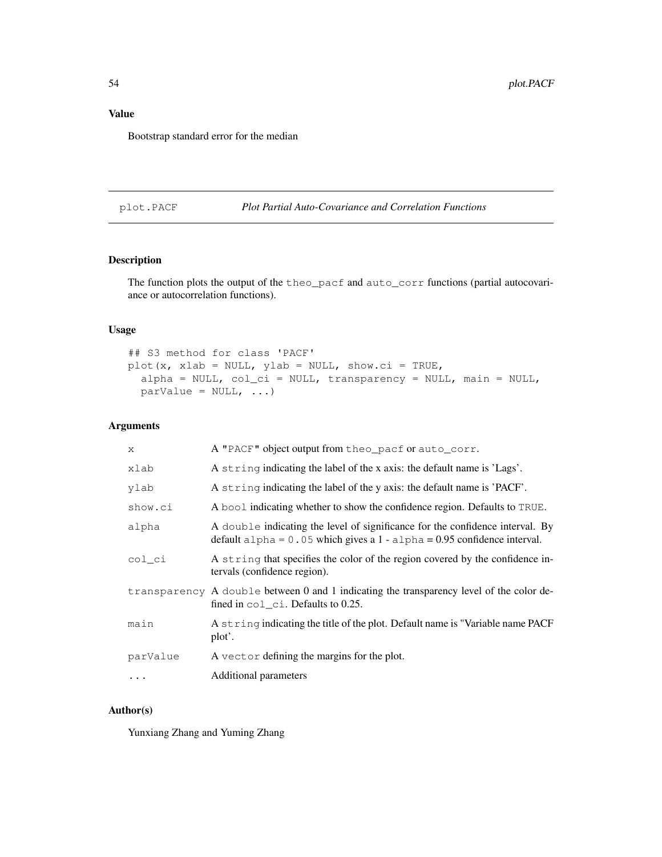# Value

Bootstrap standard error for the median

# plot.PACF *Plot Partial Auto-Covariance and Correlation Functions*

# Description

The function plots the output of the theo\_pacf and auto\_corr functions (partial autocovariance or autocorrelation functions).

### Usage

```
## S3 method for class 'PACF'
plot(x, xlab = NULL, ylab = NULL, show.ci = TRUE,
 alpha = NULL, col_ci = NULL, transparency = NULL, main = NULL,
 parValue = NULL, ...
```
### Arguments

| X        | A "PACF" object output from theo_pacf or auto_corr.                                                                                                         |
|----------|-------------------------------------------------------------------------------------------------------------------------------------------------------------|
| xlab     | A string indicating the label of the x axis: the default name is 'Lags'.                                                                                    |
| ylab     | A string indicating the label of the y axis: the default name is 'PACF'.                                                                                    |
| show.ci  | A bool indicating whether to show the confidence region. Defaults to TRUE.                                                                                  |
| alpha    | A double indicating the level of significance for the confidence interval. By<br>default alpha = $0.05$ which gives a 1 - alpha = 0.95 confidence interval. |
| col ci   | A string that specifies the color of the region covered by the confidence in-<br>tervals (confidence region).                                               |
|          | transparency A double between 0 and 1 indicating the transparency level of the color de-<br>fined in $col_c$ i. Defaults to 0.25.                           |
| main     | A string indicating the title of the plot. Default name is "Variable name PACF<br>plot'.                                                                    |
| parValue | A vector defining the margins for the plot.                                                                                                                 |
| $\cdots$ | Additional parameters                                                                                                                                       |

#### Author(s)

Yunxiang Zhang and Yuming Zhang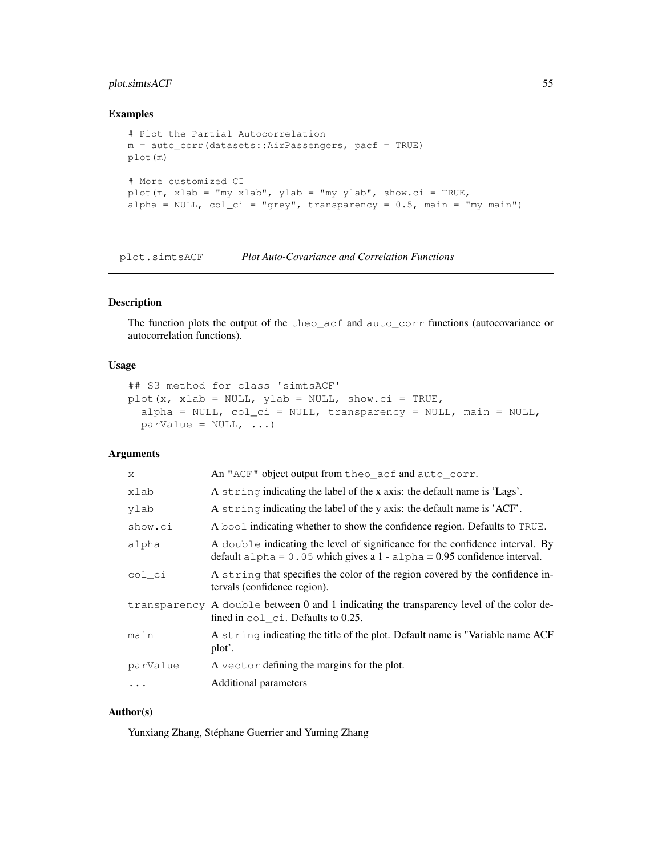# plot.simtsACF 55

#### Examples

```
# Plot the Partial Autocorrelation
m = auto_corr(datasets::AirPassengers, pacf = TRUE)
plot(m)
# More customized CI
plot(m, xlab = "my xlab", ylab = "my ylab", show.ci = TRUE,
alpha = NULL, col\_ci = "grey", transparency = 0.5, main = "my main")
```
plot.simtsACF *Plot Auto-Covariance and Correlation Functions*

# Description

The function plots the output of the theo\_acf and auto\_corr functions (autocovariance or autocorrelation functions).

#### Usage

```
## S3 method for class 'simtsACF'
plot(x, xlab = NULL, ylab = NULL, show.ci = TRUE,
  alpha = NULL, col_ci = NULL, transparency = NULL, main = NULL,\text{parValue} = \text{NULL}, \ldots
```
### Arguments

| X          | An "ACF" object output from theo_acf and auto_corr.                                                                                                         |
|------------|-------------------------------------------------------------------------------------------------------------------------------------------------------------|
| xlab       | A string indicating the label of the x axis: the default name is 'Lags'.                                                                                    |
| ylab       | A string indicating the label of the y axis: the default name is 'ACF'.                                                                                     |
| show.ci    | A bool indicating whether to show the confidence region. Defaults to TRUE.                                                                                  |
| alpha      | A double indicating the level of significance for the confidence interval. By<br>default alpha = $0.05$ which gives a 1 - alpha = 0.95 confidence interval. |
| col ci     | A string that specifies the color of the region covered by the confidence in-<br>tervals (confidence region).                                               |
|            | transparency A double between 0 and 1 indicating the transparency level of the color de-<br>fined in $col_c$ i. Defaults to 0.25.                           |
| main       | A string indicating the title of the plot. Default name is "Variable name ACF<br>plot'.                                                                     |
| parValue   | A vector defining the margins for the plot.                                                                                                                 |
| $\ddots$ . | Additional parameters                                                                                                                                       |

# Author(s)

Yunxiang Zhang, Stéphane Guerrier and Yuming Zhang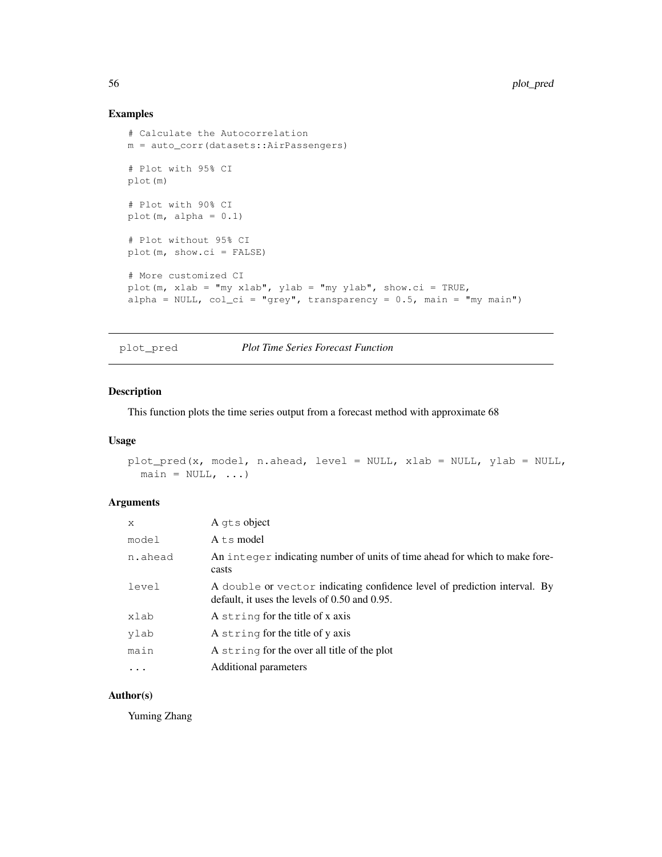# Examples

```
# Calculate the Autocorrelation
m = auto_corr(datasets::AirPassengers)
# Plot with 95% CI
plot(m)
# Plot with 90% CI
plot(m, alpha = 0.1)# Plot without 95% CI
plot(m, show.ci = FALSE)
# More customized CI
plot(m, xlab = "my xlab", ylab = "my ylab", show.ci = TRUE,
alpha = NULL, col\_ci = "grey", transparency = 0.5, main = "my main")
```
plot\_pred *Plot Time Series Forecast Function*

# Description

This function plots the time series output from a forecast method with approximate 68

### Usage

```
plot_pred(x, model, n.ahead, level = NULL, xlab = NULL, ylab = NULL,
 main = NULL, ...
```
#### Arguments

| $\mathsf{x}$ | A qts object                                                                                                                    |
|--------------|---------------------------------------------------------------------------------------------------------------------------------|
| model        | A ts model                                                                                                                      |
| n.ahead      | An integer indicating number of units of time ahead for which to make fore-<br>casts                                            |
| level        | A double or vector indicating confidence level of prediction interval. By<br>default, it uses the levels of $0.50$ and $0.95$ . |
| xlab         | A string for the title of x axis                                                                                                |
| ylab         | A string for the title of y axis                                                                                                |
| main         | A string for the over all title of the plot                                                                                     |
| $\cdots$     | Additional parameters                                                                                                           |

# Author(s)

Yuming Zhang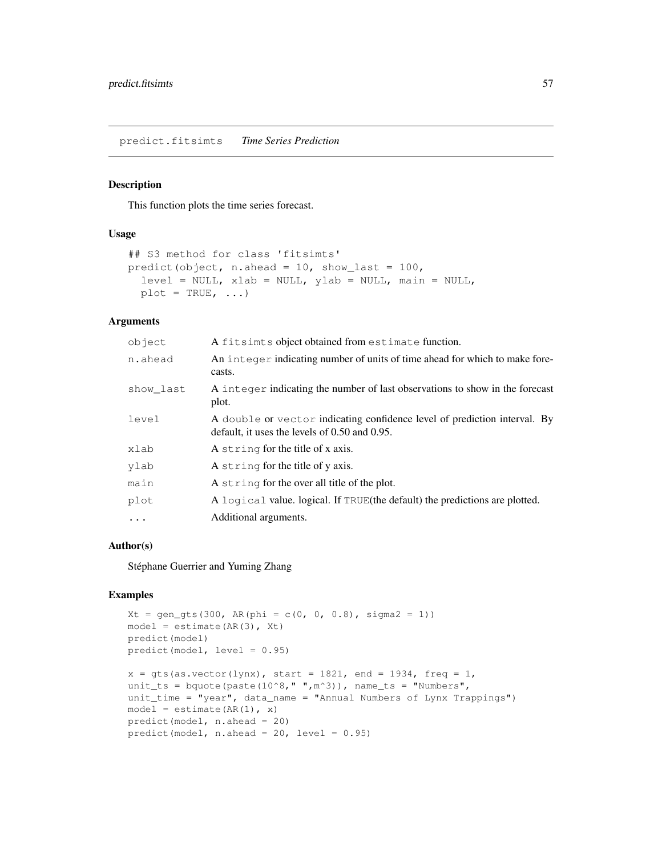This function plots the time series forecast.

#### Usage

```
## S3 method for class 'fitsimts'
predict(object, n.ahead = 10, show_last = 100,
  level = NULL, xlab = NULL, ylab = NULL, main = NULL,plot = TRUE, ...
```
# Arguments

| object    | A fitsimts object obtained from estimate function.                                                                              |
|-----------|---------------------------------------------------------------------------------------------------------------------------------|
| n.ahead   | An integer indicating number of units of time ahead for which to make fore-<br>casts.                                           |
| show last | A integer indicating the number of last observations to show in the forecast<br>plot.                                           |
| level     | A double or vector indicating confidence level of prediction interval. By<br>default, it uses the levels of $0.50$ and $0.95$ . |
| xlab      | A string for the title of x axis.                                                                                               |
| ylab      | A string for the title of y axis.                                                                                               |
| main      | A string for the over all title of the plot.                                                                                    |
| plot      | A logical value. logical. If TRUE (the default) the predictions are plotted.                                                    |
| $\ddotsc$ | Additional arguments.                                                                                                           |

### Author(s)

Stéphane Guerrier and Yuming Zhang

```
Xt = gen\_gts(300, AR(phi = c(0, 0, 0.8), sigma2 = 1))model = estimate(AR(3), Xt)predict(model)
predict(model, level = 0.95)
x = gts(as.vector(lynx), start = 1821, end = 1934, freq = 1,unit_ts = bquote(paste(10^8," ",m^3)), name_ts = "Numbers",
unit_time = "year", data_name = "Annual Numbers of Lynx Trappings")
model = estimate(AR(1), x)predict(model, n.ahead = 20)
predict(model, n.ahead = 20, level = 0.95)
```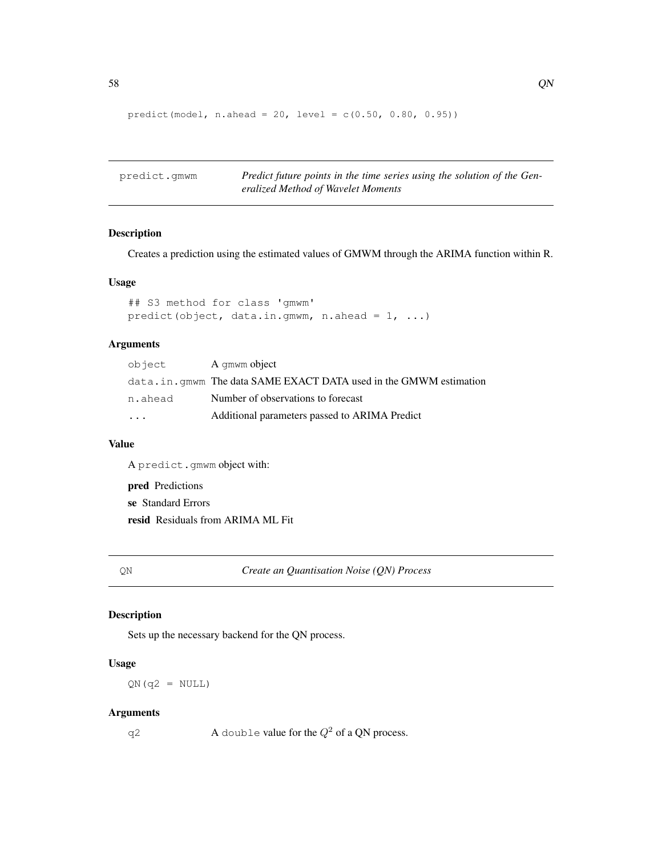```
predict(model, n.ahead = 20, level = c(0.50, 0.80, 0.95))
```

| predict.qmwm | Predict future points in the time series using the solution of the Gen- |
|--------------|-------------------------------------------------------------------------|
|              | eralized Method of Wavelet Moments                                      |

Creates a prediction using the estimated values of GMWM through the ARIMA function within R.

### Usage

```
## S3 method for class 'gmwm'
predict(object, data.in.gmwm, n.ahead = 1, ...)
```
# Arguments

| object   | A qmwm object                                                     |
|----------|-------------------------------------------------------------------|
|          | data.in.gmwm The data SAME EXACT DATA used in the GMWM estimation |
| n.ahead  | Number of observations to forecast                                |
| $\ddots$ | Additional parameters passed to ARIMA Predict                     |

# Value

A predict.gmwm object with:

pred Predictions se Standard Errors resid Residuals from ARIMA ML Fit

QN *Create an Quantisation Noise (QN) Process*

# Description

Sets up the necessary backend for the QN process.

# Usage

 $QN(q2 = NULL)$ 

#### Arguments

q2  $\Delta$  double value for the  $Q^2$  of a QN process.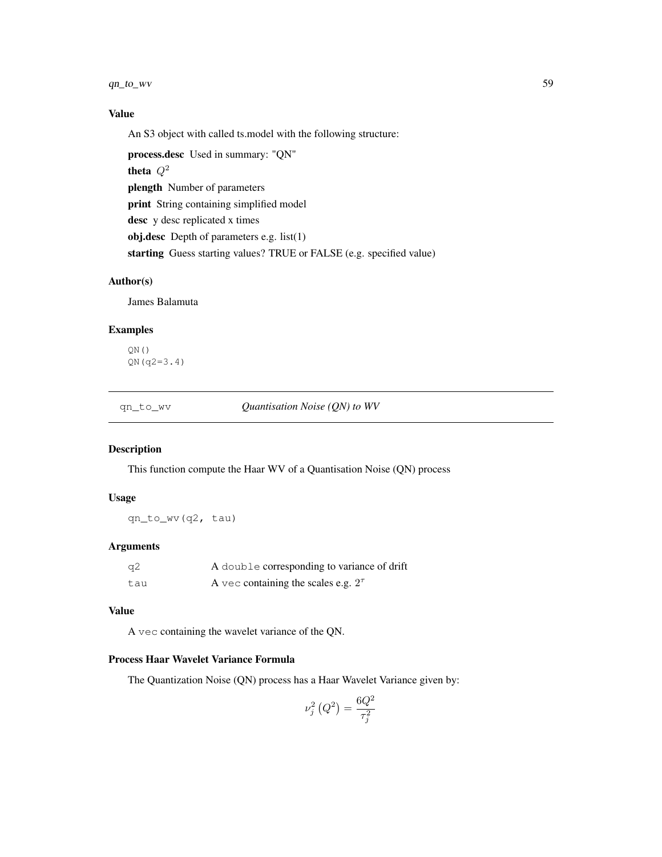$qn_{\text{cov}}$  59

# Value

An S3 object with called ts.model with the following structure:

process.desc Used in summary: "QN" theta  $Q^2$ plength Number of parameters print String containing simplified model desc y desc replicated x times obj.desc Depth of parameters e.g. list(1) starting Guess starting values? TRUE or FALSE (e.g. specified value)

# Author(s)

James Balamuta

# Examples

 $\mathbb{QN}% ^{2}\left( \mathbb{Z}^{\otimes n}\right)$  ( ) QN(q2=3.4)

qn\_to\_wv *Quantisation Noise (QN) to WV*

### Description

This function compute the Haar WV of a Quantisation Noise (QN) process

#### Usage

qn\_to\_wv(q2, tau)

#### Arguments

| -a2 | A double corresponding to variance of drift |
|-----|---------------------------------------------|
| tau | A vec containing the scales e.g. $2^{\tau}$ |

#### Value

A vec containing the wavelet variance of the QN.

### Process Haar Wavelet Variance Formula

The Quantization Noise (QN) process has a Haar Wavelet Variance given by:

$$
\nu_j^2\left(Q^2\right) = \frac{6Q^2}{\tau_j^2}
$$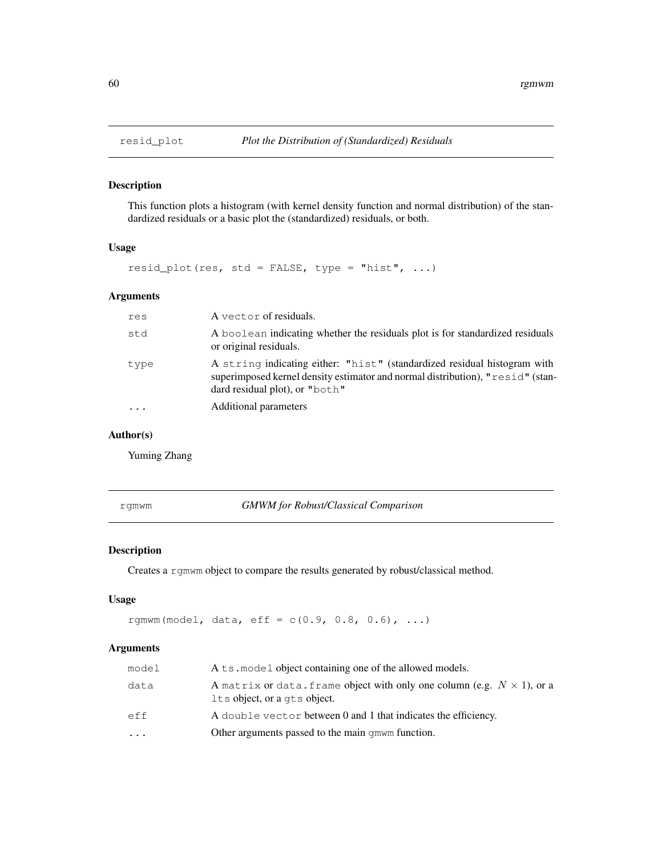This function plots a histogram (with kernel density function and normal distribution) of the standardized residuals or a basic plot the (standardized) residuals, or both.

#### Usage

resid\_plot(res, std = FALSE, type = "hist",  $\ldots$ )

# Arguments

| res  | A vector of residuals.                                                                                                                                                                       |
|------|----------------------------------------------------------------------------------------------------------------------------------------------------------------------------------------------|
| std  | A boolean indicating whether the residuals plot is for standardized residuals<br>or original residuals.                                                                                      |
| type | A string indicating either: "hist" (standardized residual histogram with<br>superimposed kernel density estimator and normal distribution), "resid" (stan-<br>dard residual plot), or "both" |
|      | Additional parameters                                                                                                                                                                        |

# Author(s)

Yuming Zhang

rgmwm *GMWM for Robust/Classical Comparison*

#### Description

Creates a rgmwm object to compare the results generated by robust/classical method.

#### Usage

rgmwm(model, data, eff =  $c(0.9, 0.8, 0.6)$ , ...)

# Arguments

| model                   | A ts. model object containing one of the allowed models.                                                       |
|-------------------------|----------------------------------------------------------------------------------------------------------------|
| data                    | A matrix or data. frame object with only one column (e.g. $N \times 1$ ), or a<br>Its object, or a qts object. |
| eff                     | A double vector between 0 and 1 that indicates the efficiency.                                                 |
| $\cdot$ $\cdot$ $\cdot$ | Other arguments passed to the main g mwm function.                                                             |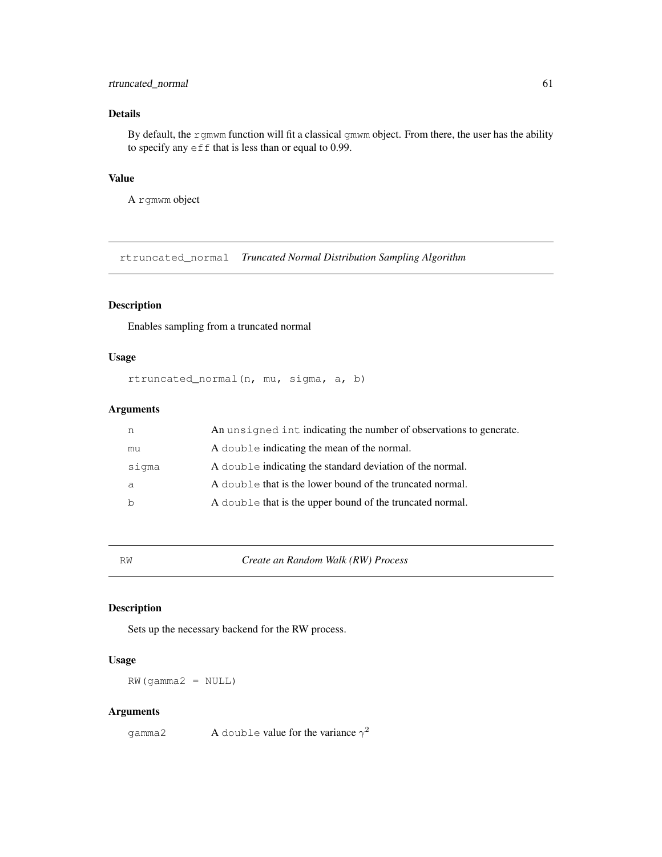# rtruncated\_normal 61

# Details

By default, the rgmwm function will fit a classical gmwm object. From there, the user has the ability to specify any  $\epsilon$  f f that is less than or equal to 0.99.

# Value

A rgmwm object

rtruncated\_normal *Truncated Normal Distribution Sampling Algorithm*

# Description

Enables sampling from a truncated normal

# Usage

```
rtruncated_normal(n, mu, sigma, a, b)
```
#### Arguments

| n     | An unsigned intimal indicating the number of observations to generate. |
|-------|------------------------------------------------------------------------|
| mu    | A double indicating the mean of the normal.                            |
| siqma | A double indicating the standard deviation of the normal.              |
| a     | A double that is the lower bound of the truncated normal.              |
| b     | A double that is the upper bound of the truncated normal.              |

RW *Create an Random Walk (RW) Process*

### Description

Sets up the necessary backend for the RW process.

### Usage

RW(gamma2 = NULL)

#### Arguments

gamma2 A double value for the variance  $\gamma^2$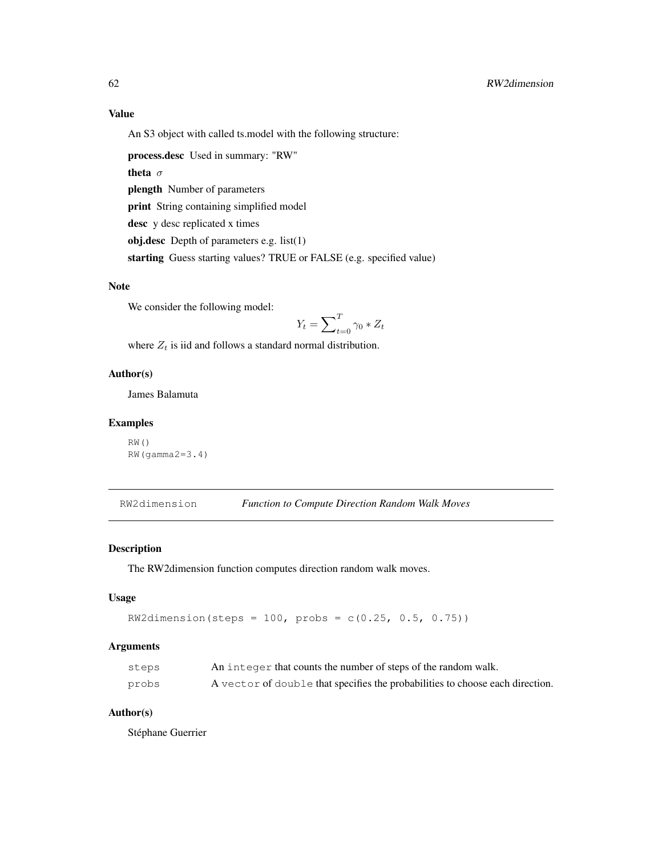An S3 object with called ts.model with the following structure:

process.desc Used in summary: "RW"

theta  $\sigma$ 

plength Number of parameters

print String containing simplified model

desc y desc replicated x times

obj.desc Depth of parameters e.g. list(1)

starting Guess starting values? TRUE or FALSE (e.g. specified value)

# Note

We consider the following model:

$$
Y_t = \sum_{t=0}^{T} \gamma_0 * Z_t
$$

where  $Z_t$  is iid and follows a standard normal distribution.

### Author(s)

James Balamuta

### Examples

```
RW()
RW(gamma2=3.4)
```
RW2dimension *Function to Compute Direction Random Walk Moves*

# Description

The RW2dimension function computes direction random walk moves.

### Usage

```
RW2dimension (steps = 100, probes = c(0.25, 0.5, 0.75))
```
# Arguments

| steps | An integer that counts the number of steps of the random walk.                |
|-------|-------------------------------------------------------------------------------|
| probs | A vector of double that specifies the probabilities to choose each direction. |

### Author(s)

Stéphane Guerrier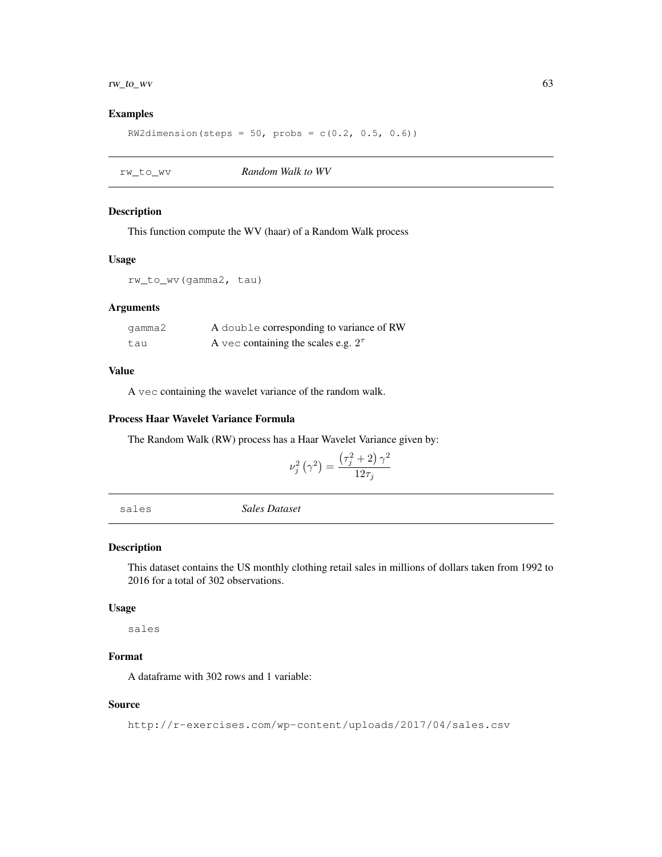# $rw\_to\_wv$  63

### Examples

RW2dimension(steps =  $50$ , probs =  $c(0.2, 0.5, 0.6)$ )

| Random Walk to WV<br>rw to wv |  |
|-------------------------------|--|
|-------------------------------|--|

# Description

This function compute the WV (haar) of a Random Walk process

### Usage

rw\_to\_wv(gamma2, tau)

# Arguments

| qamma2 | A double corresponding to variance of RW    |
|--------|---------------------------------------------|
| tau    | A vec containing the scales e.g. $2^{\tau}$ |

#### Value

A vec containing the wavelet variance of the random walk.

#### Process Haar Wavelet Variance Formula

The Random Walk (RW) process has a Haar Wavelet Variance given by:

$$
\nu_j^2\left(\gamma^2\right) = \frac{\left(\tau_j^2 + 2\right)\gamma^2}{12\tau_j}
$$

sales *Sales Dataset*

# Description

This dataset contains the US monthly clothing retail sales in millions of dollars taken from 1992 to 2016 for a total of 302 observations.

#### Usage

sales

# Format

A dataframe with 302 rows and 1 variable:

### Source

http://r-exercises.com/wp-content/uploads/2017/04/sales.csv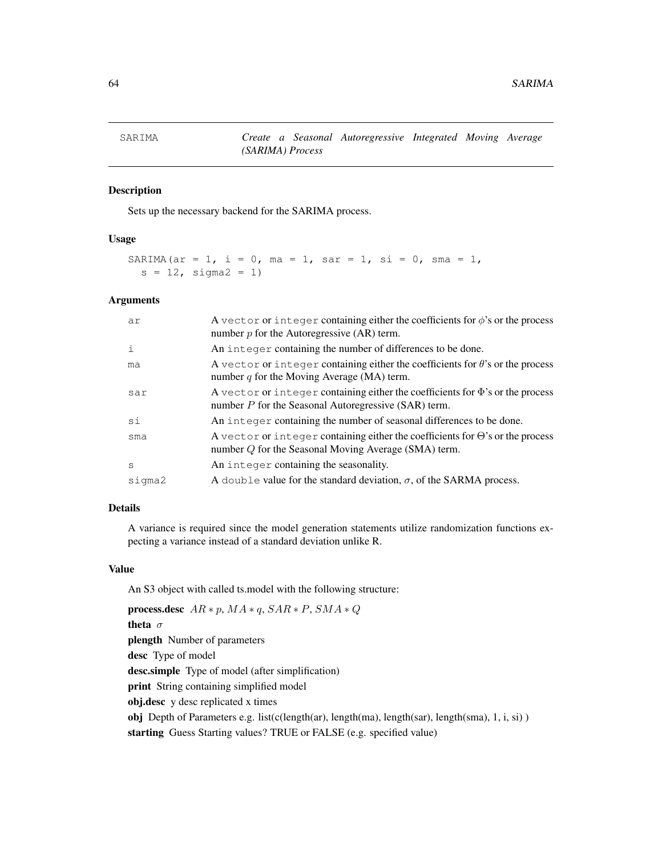Sets up the necessary backend for the SARIMA process.

### Usage

```
SARIMA(ar = 1, i = 0, ma = 1, sar = 1, si = 0, sma = 1,
  s = 12, sigma2 = 1)
```
#### Arguments

| ar          | A vector or integer containing either the coefficients for $\phi$ 's or the process<br>number $p$ for the Autoregressive (AR) term.             |
|-------------|-------------------------------------------------------------------------------------------------------------------------------------------------|
| $\mathbf i$ | An integer containing the number of differences to be done.                                                                                     |
| ma          | A vector or integer containing either the coefficients for $\theta$ 's or the process<br>number $q$ for the Moving Average (MA) term.           |
| sar         | A vector or integer containing either the coefficients for $\Phi$ 's or the process<br>number $P$ for the Seasonal Autoregressive (SAR) term.   |
| si          | An integer containing the number of seasonal differences to be done.                                                                            |
| sma         | A vector or integer containing either the coefficients for $\Theta$ 's or the process<br>number $Q$ for the Seasonal Moving Average (SMA) term. |
| S           | An integer containing the seasonality.                                                                                                          |
| sigma2      | A double value for the standard deviation, $\sigma$ , of the SARMA process.                                                                     |

### Details

A variance is required since the model generation statements utilize randomization functions expecting a variance instead of a standard deviation unlike R.

#### Value

An S3 object with called ts.model with the following structure:

```
process.desc AR * p, MA * q, SAR * P, SMA * Qtheta σ
plength Number of parameters
desc Type of model
desc.simple Type of model (after simplification)
print String containing simplified model
obj.desc y desc replicated x times
obj Depth of Parameters e.g. list(c(length(ar), length(ma), length(sar), length(sma), 1, i, si) )
starting Guess Starting values? TRUE or FALSE (e.g. specified value)
```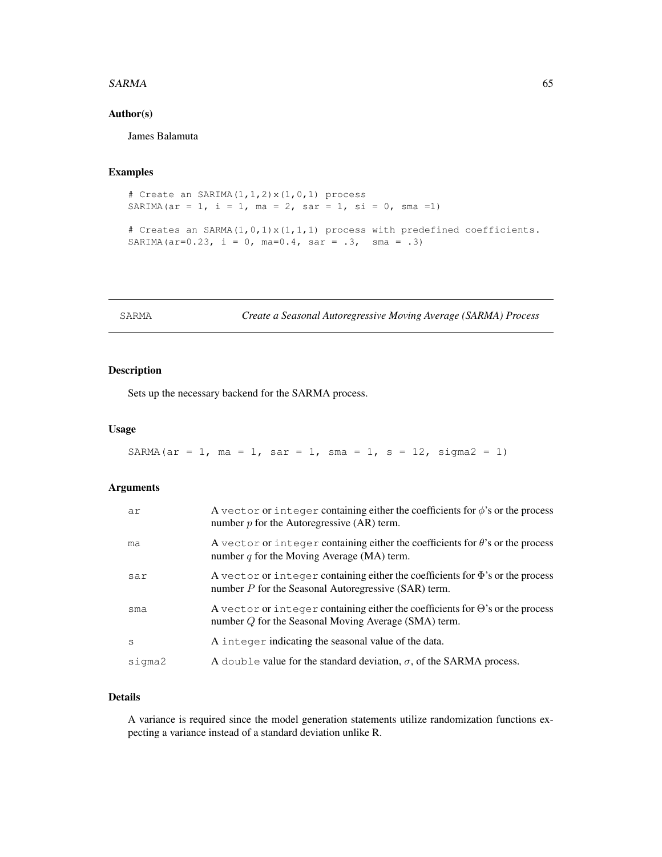#### $SARMA$  65

### Author(s)

James Balamuta

# Examples

```
# Create an SARIMA(1,1,2)x(1,0,1) process
SARIMA(ar = 1, i = 1, ma = 2, sar = 1, si = 0, sma = 1)
# Creates an SARMA(1,0,1)x(1,1,1) process with predefined coefficients.
SARIMA(ar=0.23, i = 0, ma=0.4, sar = .3, sma = .3)
```
SARMA *Create a Seasonal Autoregressive Moving Average (SARMA) Process*

# Description

Sets up the necessary backend for the SARMA process.

### Usage

```
SARMA(ar = 1, ma = 1, sar = 1, sma = 1, s = 12, sigma2 = 1)
```
# Arguments

| ar     | A vector or integer containing either the coefficients for $\phi$ 's or the process<br>number $p$ for the Autoregressive (AR) term.             |
|--------|-------------------------------------------------------------------------------------------------------------------------------------------------|
| ma     | A vector or integer containing either the coefficients for $\theta$ 's or the process<br>number $q$ for the Moving Average (MA) term.           |
| sar    | A vector or integer containing either the coefficients for $\Phi$ 's or the process<br>number $P$ for the Seasonal Autoregressive (SAR) term.   |
| sma    | A vector or integer containing either the coefficients for $\Theta$ 's or the process<br>number $Q$ for the Seasonal Moving Average (SMA) term. |
| S      | A integer indicating the seasonal value of the data.                                                                                            |
| sigma2 | A double value for the standard deviation, $\sigma$ , of the SARMA process.                                                                     |

### Details

A variance is required since the model generation statements utilize randomization functions expecting a variance instead of a standard deviation unlike R.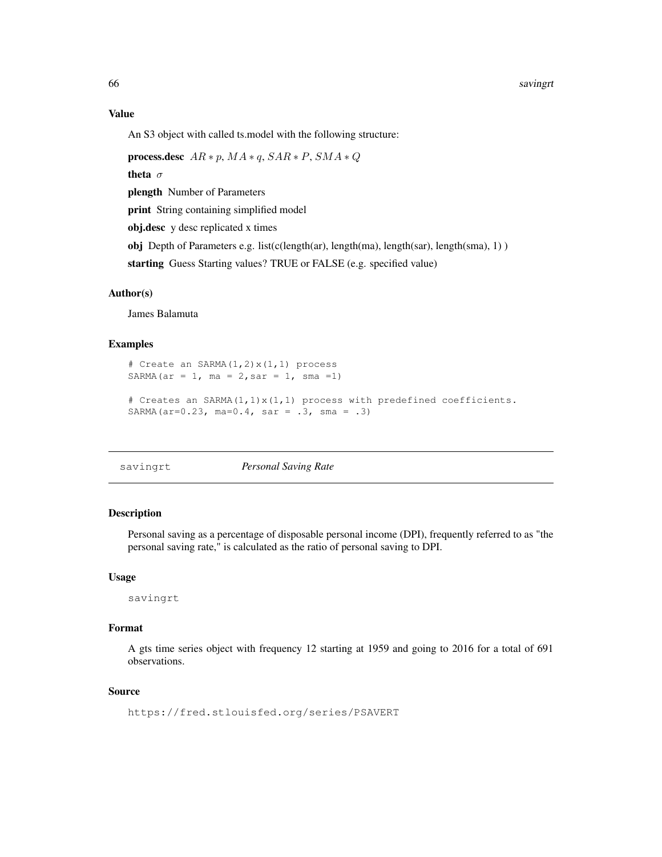An S3 object with called ts.model with the following structure:

process.desc  $AR * p$ ,  $MA * q$ ,  $SAR * P$ ,  $SMA * Q$ theta  $\sigma$ plength Number of Parameters print String containing simplified model obj.desc y desc replicated x times obj Depth of Parameters e.g. list(c(length(ar), length(ma), length(sar), length(sma), 1) ) starting Guess Starting values? TRUE or FALSE (e.g. specified value)

### Author(s)

James Balamuta

#### Examples

```
# Create an SARMA(1,2)x(1,1) process
SARMA(ar = 1, ma = 2, sar = 1, sma = 1)
# Creates an SARMA(1,1)x(1,1) process with predefined coefficients.
SARMA(ar=0.23, ma=0.4, sar = .3, sma = .3)
```
savingrt *Personal Saving Rate*

### Description

Personal saving as a percentage of disposable personal income (DPI), frequently referred to as "the personal saving rate," is calculated as the ratio of personal saving to DPI.

#### Usage

savingrt

#### Format

A gts time series object with frequency 12 starting at 1959 and going to 2016 for a total of 691 observations.

#### Source

https://fred.stlouisfed.org/series/PSAVERT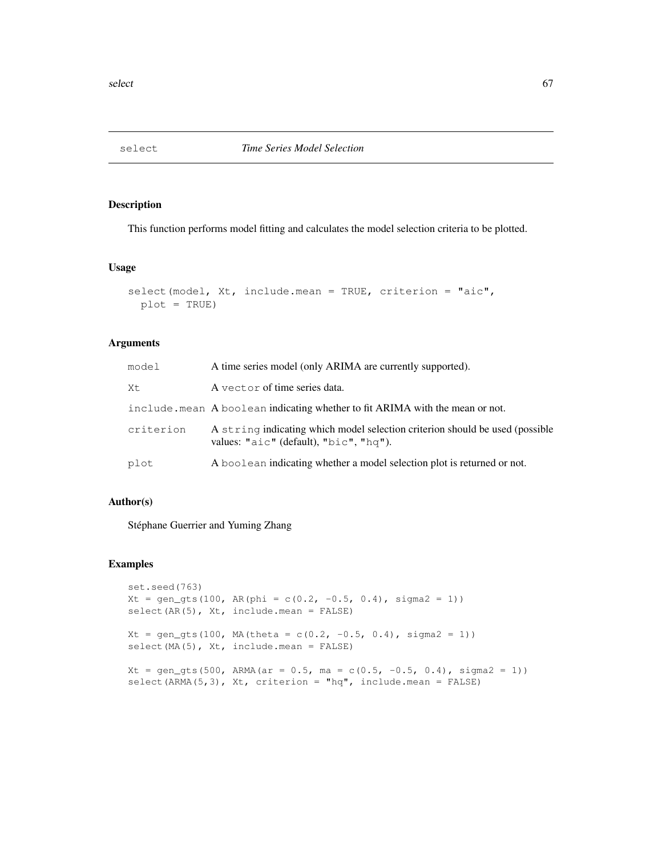This function performs model fitting and calculates the model selection criteria to be plotted.

### Usage

```
select(model, Xt, include.mean = TRUE, criterion = "aic",
 plot = TRUE)
```
### Arguments

| model     | A time series model (only ARIMA are currently supported).                                                                          |
|-----------|------------------------------------------------------------------------------------------------------------------------------------|
| Xt        | A vector of time series data.                                                                                                      |
|           | include. mean A boolean indicating whether to fit ARIMA with the mean or not.                                                      |
| criterion | A string indicating which model selection criterion should be used (possible<br>values: " $a$ ic" (default), " $b$ ic", " $hq$ "). |
| plot      | A boolean indicating whether a model selection plot is returned or not.                                                            |

# Author(s)

Stéphane Guerrier and Yuming Zhang

```
set.seed(763)
Xt = gen\_gts(100, AR(phi = c(0.2, -0.5, 0.4), sigma2 = 1))select(AR(5), Xt, include.mean = FALSE)
Xt = gen\_gts(100, MA(theta = c(0.2, -0.5, 0.4), sigma2 = 1))select(MA(5), Xt, include.mean = FALSE)
Xt = gen_gts(500, ARMA(ar = 0.5, ma = c(0.5, -0.5, 0.4), sigma2 = 1))
select(ARMA(5,3), Xt, criterion = "hq", include.mean = FALSE)
```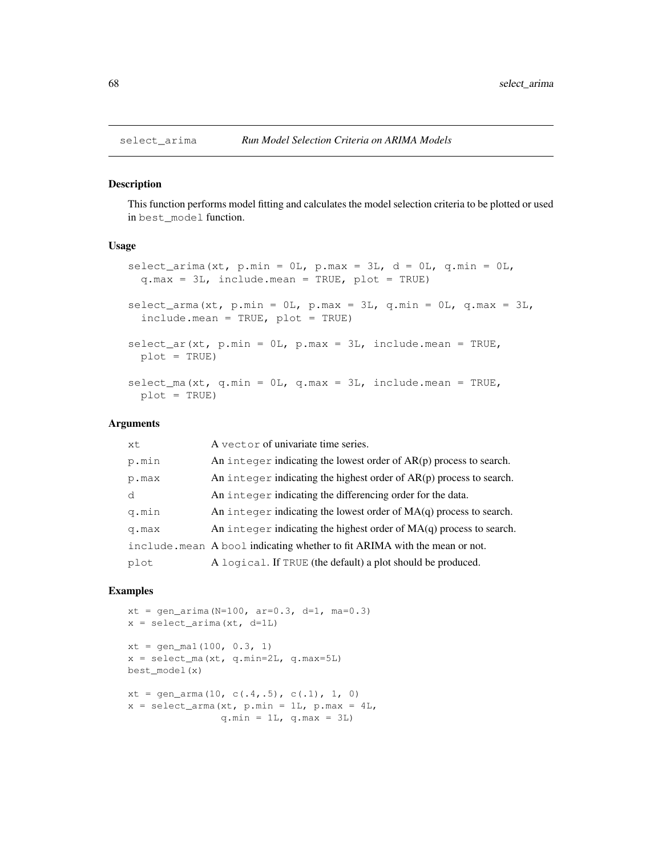This function performs model fitting and calculates the model selection criteria to be plotted or used in best\_model function.

#### Usage

```
select_arima(xt, p.min = 0L, p.max = 3L, d = 0L, q.min = 0L,
  q.max = 3L, include.mean = TRUE, plot = TRUE)
select_arma(xt, p.min = 0L, p.max = 3L, q.min = 0L, q.max = 3L,include.mean = TRUE, plot = TRUE)
select\_ar(xt, p.min = 0L, p.max = 3L, include mean = TRUE,plot = TRUE)
select\_ma(x_t, q.min = 0L, q.max = 3L, include mean = TRUE,plot = TRUE)
```
#### Arguments

| xt.   | A vector of univariate time series.                                        |
|-------|----------------------------------------------------------------------------|
| p.min | An integer indicating the lowest order of $AR(p)$ process to search.       |
| p.max | An integer indicating the highest order of $AR(p)$ process to search.      |
| d     | An integer indicating the differencing order for the data.                 |
| q.min | An integer indicating the lowest order of $MA(q)$ process to search.       |
| q.max | An integer indicating the highest order of $MA(q)$ process to search.      |
|       | include. mean A bool indicating whether to fit ARIMA with the mean or not. |
| plot  | A logical. If TRUE (the default) a plot should be produced.                |
|       |                                                                            |

```
xt = gen\_arima(N=100, ar=0.3, d=1, ma=0.3)x = select\_arima(xt, d=1L)xt = gen\_mal(100, 0.3, 1)x = select_ma(xt, q.min=2L, q.max=5L)
best_model(x)
xt = gen\_arma(10, c(.4,.5), c(.1), 1, 0)x = select\_arma(xt, p.min = 1L, p.max = 4L,q.min = 1L, q.max = 3L)
```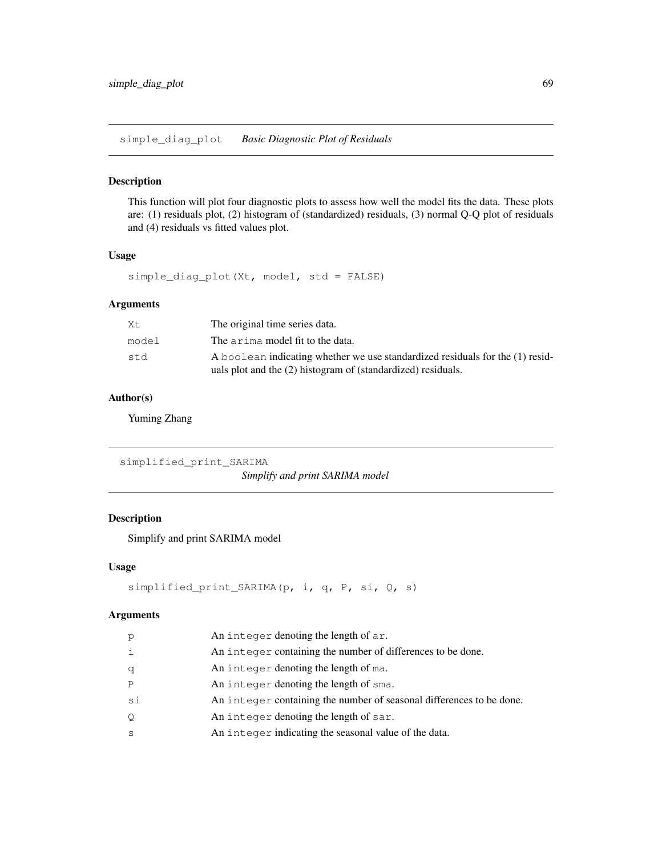simple\_diag\_plot *Basic Diagnostic Plot of Residuals*

### Description

This function will plot four diagnostic plots to assess how well the model fits the data. These plots are: (1) residuals plot, (2) histogram of (standardized) residuals, (3) normal Q-Q plot of residuals and (4) residuals vs fitted values plot.

# Usage

simple\_diag\_plot(Xt, model, std = FALSE)

### Arguments

| Хt.   | The original time series data.                                                                                                                |
|-------|-----------------------------------------------------------------------------------------------------------------------------------------------|
| model | The arima model fit to the data.                                                                                                              |
| st.d  | A boolean indicating whether we use standardized residuals for the (1) resid-<br>uals plot and the (2) histogram of (standardized) residuals. |

# Author(s)

Yuming Zhang

simplified\_print\_SARIMA *Simplify and print SARIMA model*

# Description

Simplify and print SARIMA model

### Usage

```
simplified_print_SARIMA(p, i, q, P, si, Q, s)
```
### Arguments

| p            | An integer denoting the length of ar.                                |
|--------------|----------------------------------------------------------------------|
| $\mathbf{i}$ | An integer containing the number of differences to be done.          |
| q            | An integer denoting the length of ma.                                |
| P            | An integer denoting the length of sma.                               |
| si           | An integer containing the number of seasonal differences to be done. |
| Q            | An integer denoting the length of sar.                               |
| S            | An integer indicating the seasonal value of the data.                |
|              |                                                                      |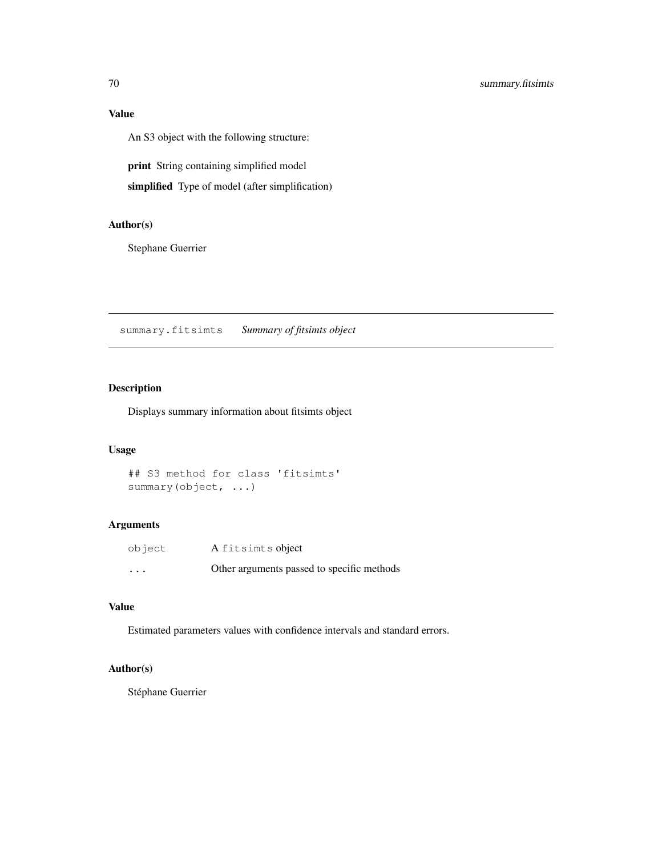# Value

An S3 object with the following structure:

print String containing simplified model

simplified Type of model (after simplification)

### Author(s)

Stephane Guerrier

summary.fitsimts *Summary of fitsimts object*

# Description

Displays summary information about fitsimts object

### Usage

```
## S3 method for class 'fitsimts'
summary(object, ...)
```
# Arguments

| object   | A fitsimts object                          |
|----------|--------------------------------------------|
| $\cdots$ | Other arguments passed to specific methods |

# Value

Estimated parameters values with confidence intervals and standard errors.

### Author(s)

Stéphane Guerrier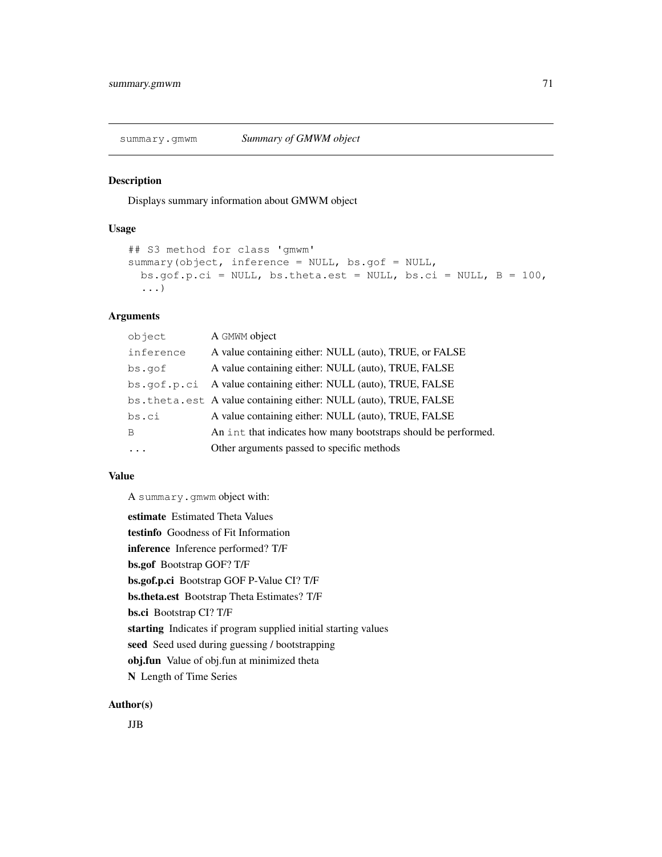Displays summary information about GMWM object

### Usage

```
## S3 method for class 'gmwm'
summary(object, inference = NULL, bs.gof = NULL,
 bs.qof.p.ci = NULL, bs.theta.est = NULL, bs.ci = NULL, B = 100,...)
```
# Arguments

| object      | A GMWM object                                                    |
|-------------|------------------------------------------------------------------|
| inference   | A value containing either: NULL (auto), TRUE, or FALSE           |
| bs.gof      | A value containing either: NULL (auto), TRUE, FALSE              |
| bs.gof.p.ci | A value containing either: NULL (auto), TRUE, FALSE              |
|             | bs.theta.est A value containing either: NULL (auto), TRUE, FALSE |
| bs.ci       | A value containing either: NULL (auto), TRUE, FALSE              |
| B           | An int that indicates how many bootstraps should be performed.   |
|             | Other arguments passed to specific methods                       |

### Value

A summary.gmwm object with:

```
estimate Estimated Theta Values
testinfo Goodness of Fit Information
inference Inference performed? T/F
bs.gof Bootstrap GOF? T/F
bs.gof.p.ci Bootstrap GOF P-Value CI? T/F
bs.theta.est Bootstrap Theta Estimates? T/F
bs.ci Bootstrap CI? T/F
starting Indicates if program supplied initial starting values
seed Seed used during guessing / bootstrapping
obj.fun Value of obj.fun at minimized theta
N Length of Time Series
```
#### Author(s)

JJB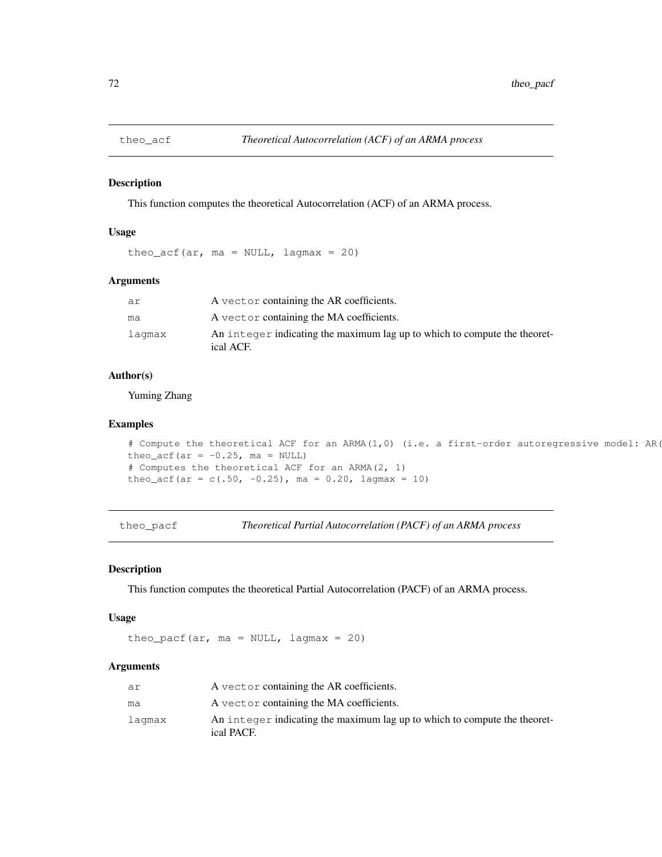This function computes the theoretical Autocorrelation (ACF) of an ARMA process.

# Usage

theo\_acf(ar,  $ma = NULL$ , lagmax = 20)

# Arguments

| ar     | A vector containing the AR coefficients.                                               |
|--------|----------------------------------------------------------------------------------------|
| ma     | A vector containing the MA coefficients.                                               |
| lagmax | An integer indicating the maximum lag up to which to compute the theoret-<br>ical ACF. |

# Author(s)

Yuming Zhang

#### Examples

```
# Compute the theoretical ACF for an ARMA(1,0) (i.e. a first-order autoregressive model: AR(
theo_acf(ar = -0.25, ma = NULL)
# Computes the theoretical ACF for an ARMA(2, 1)
theo_acf(ar = c(.50, -0.25), ma = 0.20, lagmax = 10)
```
theo\_pacf *Theoretical Partial Autocorrelation (PACF) of an ARMA process*

#### Description

This function computes the theoretical Partial Autocorrelation (PACF) of an ARMA process.

#### Usage

theo\_pacf(ar,  $ma = NULL$ , lagmax = 20)

# Arguments

| ar     | A vector containing the AR coefficients.                                                |
|--------|-----------------------------------------------------------------------------------------|
| ma     | A vector containing the MA coefficients.                                                |
| laqmax | An integer indicating the maximum lag up to which to compute the theoret-<br>ical PACF. |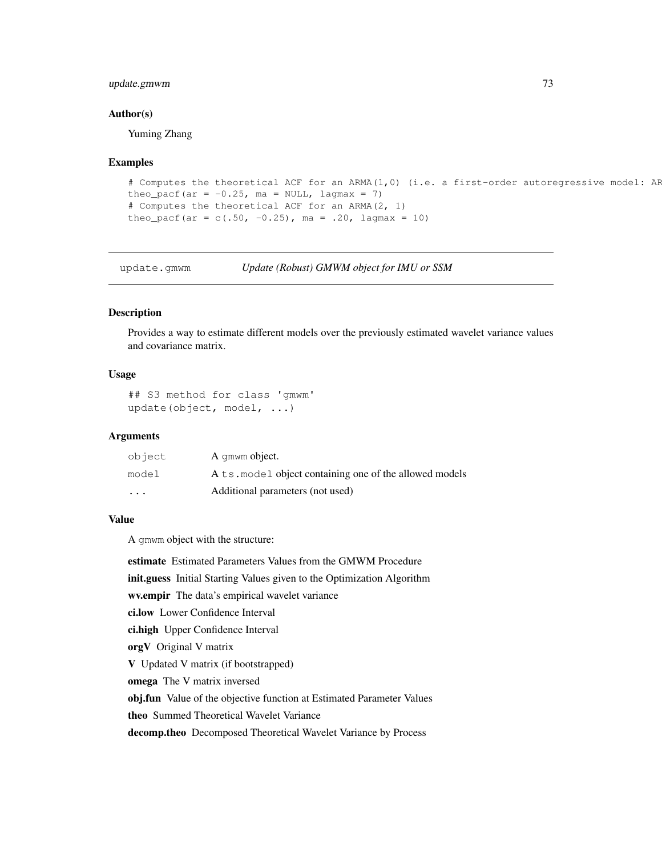# update.gmwm 73

## Author(s)

Yuming Zhang

### Examples

```
# Computes the theoretical ACF for an ARMA(1,0) (i.e. a first-order autoregressive model: AF
theo_pacf(ar = -0.25, ma = NULL, lagmax = 7)
# Computes the theoretical ACF for an ARMA(2, 1)
theo_pacf(ar = c(.50, -0.25), ma = .20, lagmax = 10)
```
update.gmwm *Update (Robust) GMWM object for IMU or SSM*

## Description

Provides a way to estimate different models over the previously estimated wavelet variance values and covariance matrix.

# Usage

```
## S3 method for class 'gmwm'
update(object, model, ...)
```
## Arguments

| object                  | A gmwm object.                                          |
|-------------------------|---------------------------------------------------------|
| model                   | A ts, model object containing one of the allowed models |
| $\cdot$ $\cdot$ $\cdot$ | Additional parameters (not used)                        |

## Value

A gmwm object with the structure:

estimate Estimated Parameters Values from the GMWM Procedure init.guess Initial Starting Values given to the Optimization Algorithm wv.empir The data's empirical wavelet variance ci.low Lower Confidence Interval ci.high Upper Confidence Interval orgV Original V matrix V Updated V matrix (if bootstrapped) omega The V matrix inversed obj.fun Value of the objective function at Estimated Parameter Values theo Summed Theoretical Wavelet Variance

decomp.theo Decomposed Theoretical Wavelet Variance by Process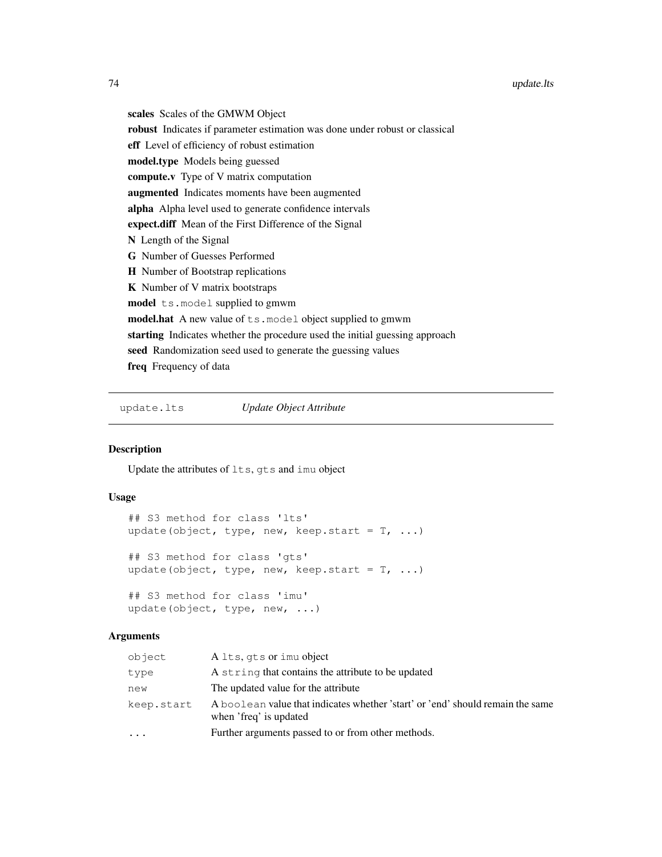scales Scales of the GMWM Object robust Indicates if parameter estimation was done under robust or classical eff Level of efficiency of robust estimation model.type Models being guessed compute.v Type of V matrix computation augmented Indicates moments have been augmented alpha Alpha level used to generate confidence intervals expect.diff Mean of the First Difference of the Signal N Length of the Signal G Number of Guesses Performed H Number of Bootstrap replications K Number of V matrix bootstraps model ts.model supplied to gmwm model.hat A new value of ts.model object supplied to gmwm starting Indicates whether the procedure used the initial guessing approach seed Randomization seed used to generate the guessing values freq Frequency of data

update.lts *Update Object Attribute*

## Description

Update the attributes of lts, gts and imu object

## Usage

```
## S3 method for class 'lts'
update(object, type, new, keep.start = T, ...)
## S3 method for class 'gts'
update(object, type, new, keep.start = T, ...)
## S3 method for class 'imu'
update(object, type, new, ...)
```
#### Arguments

| object     | A lts, qts or imu object                                                                                 |
|------------|----------------------------------------------------------------------------------------------------------|
| type       | A string that contains the attribute to be updated                                                       |
| new        | The updated value for the attribute                                                                      |
| keep.start | A boolean value that indicates whether 'start' or 'end' should remain the same<br>when 'freq' is updated |
|            | Further arguments passed to or from other methods.                                                       |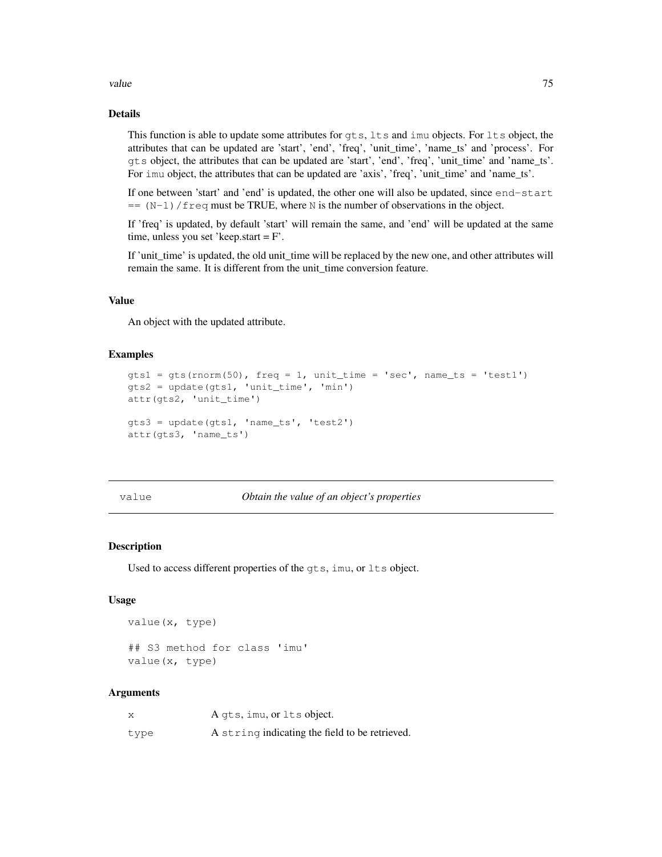### value 75

# Details

This function is able to update some attributes for gts, lts and imu objects. For lts object, the attributes that can be updated are 'start', 'end', 'freq', 'unit\_time', 'name\_ts' and 'process'. For gts object, the attributes that can be updated are 'start', 'end', 'freq', 'unit\_time' and 'name\_ts'. For imu object, the attributes that can be updated are 'axis', 'freq', 'unit\_time' and 'name\_ts'.

If one between 'start' and 'end' is updated, the other one will also be updated, since end-start  $=$   $(N-1)$  / freq must be TRUE, where N is the number of observations in the object.

If 'freq' is updated, by default 'start' will remain the same, and 'end' will be updated at the same time, unless you set 'keep.start = F'.

If 'unit\_time' is updated, the old unit\_time will be replaced by the new one, and other attributes will remain the same. It is different from the unit\_time conversion feature.

## Value

An object with the updated attribute.

## Examples

```
gts1 = gts(rnorm(50), freq = 1, unit_time = 'sec', name_ts = 'test1')gts2 = update(gts1, 'unit_time', 'min')
attr(gts2, 'unit_time')
gts3 = update(gts1, 'name_ts', 'test2')
attr(gts3, 'name_ts')
```
#### value *Obtain the value of an object's properties*

## Description

Used to access different properties of the gts, imu, or lts object.

## Usage

```
value(x, type)
## S3 method for class 'imu'
value(x, type)
```
#### Arguments

| Χ    | A gts, imu, or lts object.                     |
|------|------------------------------------------------|
| type | A string indicating the field to be retrieved. |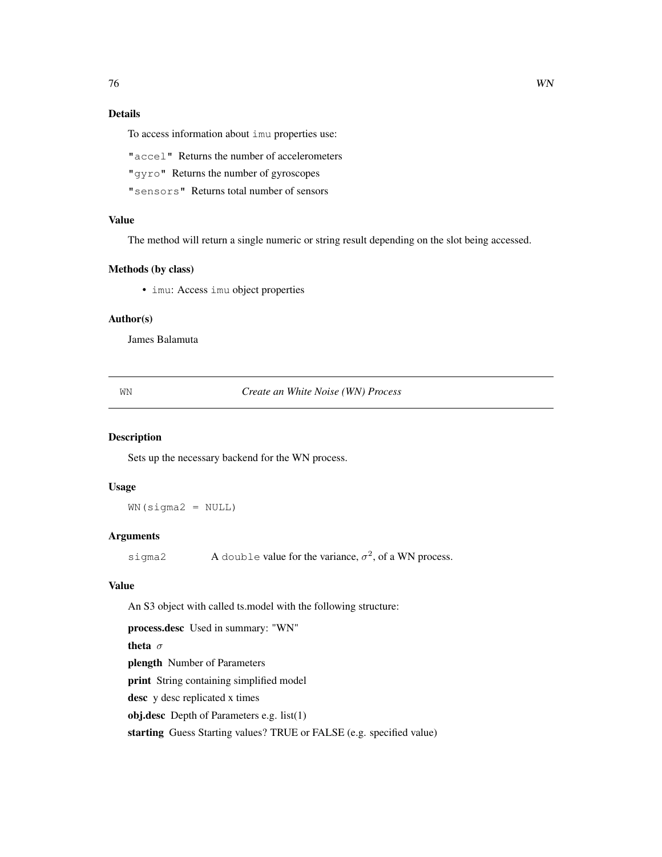# Details

To access information about imu properties use:

"accel" Returns the number of accelerometers

"gyro" Returns the number of gyroscopes

"sensors" Returns total number of sensors

# Value

The method will return a single numeric or string result depending on the slot being accessed.

## Methods (by class)

• imu: Access imu object properties

## Author(s)

James Balamuta

WN *Create an White Noise (WN) Process*

### Description

Sets up the necessary backend for the WN process.

## Usage

 $WN(sigma2 = NULL)$ 

# Arguments

sigma2 A double value for the variance,  $\sigma^2$ , of a WN process.

## Value

An S3 object with called ts.model with the following structure:

process.desc Used in summary: "WN"

theta  $\sigma$ plength Number of Parameters

print String containing simplified model

desc y desc replicated x times

obj.desc Depth of Parameters e.g. list(1)

starting Guess Starting values? TRUE or FALSE (e.g. specified value)